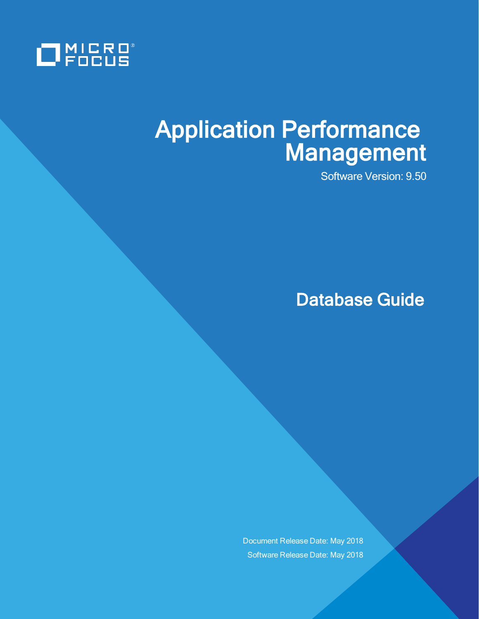

# Application Performance Management

Software Version: 9.50

Database Guide

Document Release Date: May 2018 Software Release Date: May 2018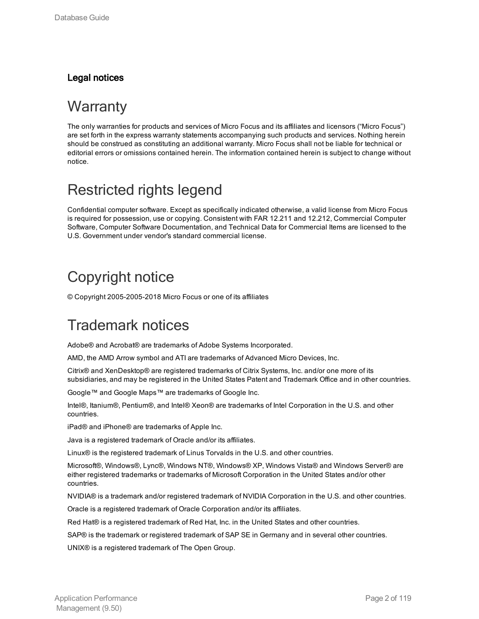#### Legal notices

### **Warranty**

The only warranties for products and services of Micro Focus and its affiliates and licensors ("Micro Focus") are set forth in the express warranty statements accompanying such products and services. Nothing herein should be construed as constituting an additional warranty. Micro Focus shall not be liable for technical or editorial errors or omissions contained herein. The information contained herein is subject to change without notice.

### Restricted rights legend

Confidential computer software. Except as specifically indicated otherwise, a valid license from Micro Focus is required for possession, use or copying. Consistent with FAR 12.211 and 12.212, Commercial Computer Software, Computer Software Documentation, and Technical Data for Commercial Items are licensed to the U.S. Government under vendor's standard commercial license.

### Copyright notice

© Copyright 2005-2005-2018 Micro Focus or one of its affiliates

## Trademark notices

Adobe® and Acrobat® are trademarks of Adobe Systems Incorporated.

AMD, the AMD Arrow symbol and ATI are trademarks of Advanced Micro Devices, Inc.

Citrix® and XenDesktop® are registered trademarks of Citrix Systems, Inc. and/or one more of its subsidiaries, and may be registered in the United States Patent and Trademark Office and in other countries.

Google™ and Google Maps™ are trademarks of Google Inc.

Intel®, Itanium®, Pentium®, and Intel® Xeon® are trademarks of Intel Corporation in the U.S. and other countries.

iPad® and iPhone® are trademarks of Apple Inc.

Java is a registered trademark of Oracle and/or its affiliates.

Linux® is the registered trademark of Linus Torvalds in the U.S. and other countries.

Microsoft®, Windows®, Lync®, Windows NT®, Windows® XP, Windows Vista® and Windows Server® are either registered trademarks or trademarks of Microsoft Corporation in the United States and/or other countries.

NVIDIA® is a trademark and/or registered trademark of NVIDIA Corporation in the U.S. and other countries.

Oracle is a registered trademark of Oracle Corporation and/or its affiliates.

Red Hat® is a registered trademark of Red Hat, Inc. in the United States and other countries.

SAP® is the trademark or registered trademark of SAP SE in Germany and in several other countries.

UNIX® is a registered trademark of The Open Group.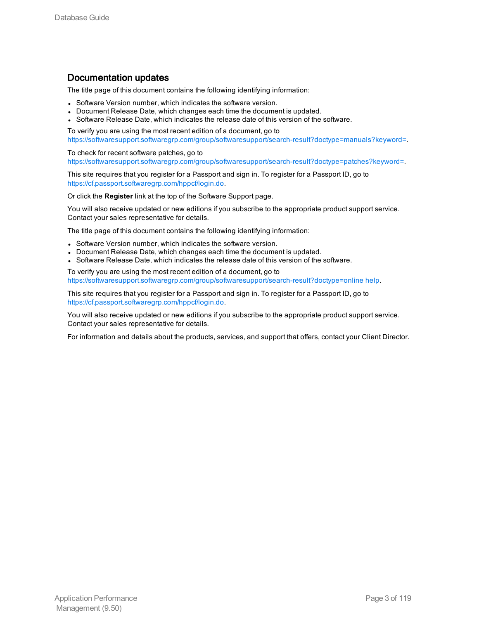#### Documentation updates

The title page of this document contains the following identifying information:

- Software Version number, which indicates the software version.
- Document Release Date, which changes each time the document is updated.
- Software Release Date, which indicates the release date of this version of the software.

To verify you are using the most recent edition of a document, go to [https://softwaresupport.softwaregrp.com/group/softwaresupport/search-result?doctype=manuals?keyword=.](https://softwaresupport.softwaregrp.com/group/softwaresupport/search-result?doctype=manuals?keyword=)

To check for recent software patches, go to [https://softwaresupport.softwaregrp.com/group/softwaresupport/search-result?doctype=patches?keyword=.](https://softwaresupport.softwaregrp.com/group/softwaresupport/search-result?doctype=patches?keyword=)

This site requires that you register for a Passport and sign in. To register for a Passport ID, go to <https://cf.passport.softwaregrp.com/hppcf/login.do>.

Or click the **Register** link at the top of the Software Support page.

You will also receive updated or new editions if you subscribe to the appropriate product support service. Contact your sales representative for details.

The title page of this document contains the following identifying information:

- Software Version number, which indicates the software version.
- Document Release Date, which changes each time the document is updated.
- Software Release Date, which indicates the release date of this version of the software.

To verify you are using the most recent edition of a document, go to [https://softwaresupport.softwaregrp.com/group/softwaresupport/search-result?doctype=online](https://softwaresupport.softwaregrp.com/group/softwaresupport/search-result?doctype=online help) help.

This site requires that you register for a Passport and sign in. To register for a Passport ID, go to <https://cf.passport.softwaregrp.com/hppcf/login.do>.

You will also receive updated or new editions if you subscribe to the appropriate product support service. Contact your sales representative for details.

For information and details about the products, services, and support that offers, contact your Client Director.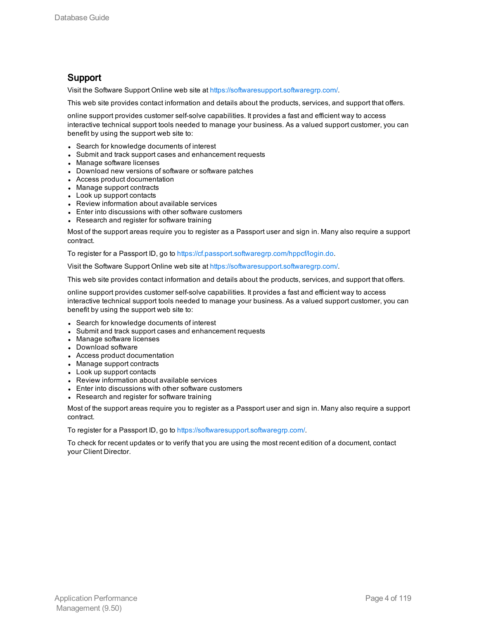#### Support

Visit the Software Support Online web site at <https://softwaresupport.softwaregrp.com/>.

This web site provides contact information and details about the products, services, and support that offers.

online support provides customer self-solve capabilities. It provides a fast and efficient way to access interactive technical support tools needed to manage your business. As a valued support customer, you can benefit by using the support web site to:

- Search for knowledge documents of interest
- Submit and track support cases and enhancement requests
- Manage software licenses
- Download new versions of software or software patches
- Access product documentation
- Manage support contracts
- Look up support contacts
- Review information about available services
- Enter into discussions with other software customers
- Research and register for software training

Most of the support areas require you to register as a Passport user and sign in. Many also require a support contract.

To register for a Passport ID, go to [https://cf.passport.softwaregrp.com/hppcf/login.do.](https://cf.passport.softwaregrp.com/hppcf/login.do)

Visit the Software Support Online web site at <https://softwaresupport.softwaregrp.com/>.

This web site provides contact information and details about the products, services, and support that offers.

online support provides customer self-solve capabilities. It provides a fast and efficient way to access interactive technical support tools needed to manage your business. As a valued support customer, you can benefit by using the support web site to:

- Search for knowledge documents of interest
- Submit and track support cases and enhancement requests
- Manage software licenses
- Download software
- Access product documentation
- Manage support contracts
- Look up support contacts
- Review information about available services
- Enter into discussions with other software customers
- Research and register for software training

Most of the support areas require you to register as a Passport user and sign in. Many also require a support contract.

To register for a Passport ID, go to <https://softwaresupport.softwaregrp.com/>.

To check for recent updates or to verify that you are using the most recent edition of a document, contact your Client Director.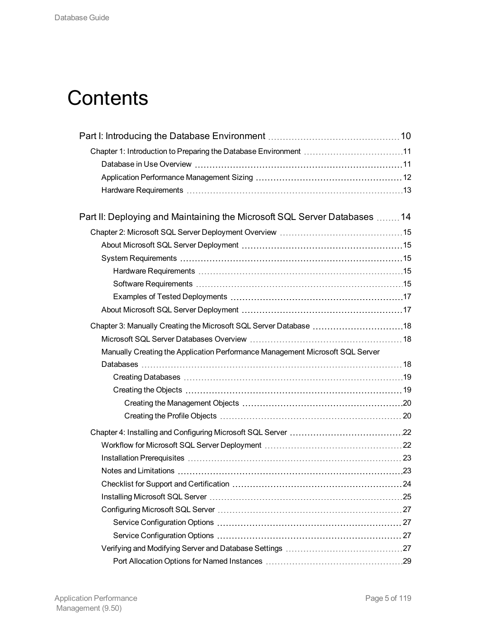# **Contents**

| Chapter 1: Introduction to Preparing the Database Environment 11              |  |
|-------------------------------------------------------------------------------|--|
|                                                                               |  |
|                                                                               |  |
|                                                                               |  |
| Part II: Deploying and Maintaining the Microsoft SQL Server Databases 14      |  |
|                                                                               |  |
|                                                                               |  |
|                                                                               |  |
|                                                                               |  |
|                                                                               |  |
|                                                                               |  |
|                                                                               |  |
| Chapter 3: Manually Creating the Microsoft SQL Server Database 18             |  |
|                                                                               |  |
| Manually Creating the Application Performance Management Microsoft SQL Server |  |
|                                                                               |  |
|                                                                               |  |
|                                                                               |  |
|                                                                               |  |
|                                                                               |  |
|                                                                               |  |
|                                                                               |  |
|                                                                               |  |
|                                                                               |  |
|                                                                               |  |
|                                                                               |  |
|                                                                               |  |
|                                                                               |  |
|                                                                               |  |
|                                                                               |  |
|                                                                               |  |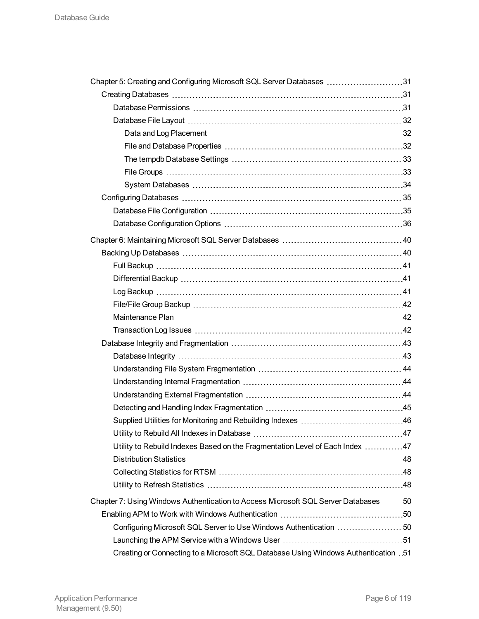| Chapter 5: Creating and Configuring Microsoft SQL Server Databases 31                   |  |
|-----------------------------------------------------------------------------------------|--|
|                                                                                         |  |
|                                                                                         |  |
|                                                                                         |  |
|                                                                                         |  |
|                                                                                         |  |
|                                                                                         |  |
|                                                                                         |  |
|                                                                                         |  |
|                                                                                         |  |
|                                                                                         |  |
|                                                                                         |  |
|                                                                                         |  |
|                                                                                         |  |
|                                                                                         |  |
|                                                                                         |  |
|                                                                                         |  |
|                                                                                         |  |
|                                                                                         |  |
|                                                                                         |  |
|                                                                                         |  |
|                                                                                         |  |
|                                                                                         |  |
|                                                                                         |  |
|                                                                                         |  |
|                                                                                         |  |
|                                                                                         |  |
|                                                                                         |  |
| Utility to Rebuild Indexes Based on the Fragmentation Level of Each Index 47            |  |
|                                                                                         |  |
|                                                                                         |  |
|                                                                                         |  |
| Chapter 7: Using Windows Authentication to Access Microsoft SQL Server Databases 50     |  |
|                                                                                         |  |
|                                                                                         |  |
|                                                                                         |  |
| 51. Creating or Connecting to a Microsoft SQL Database Using Windows Authentication .51 |  |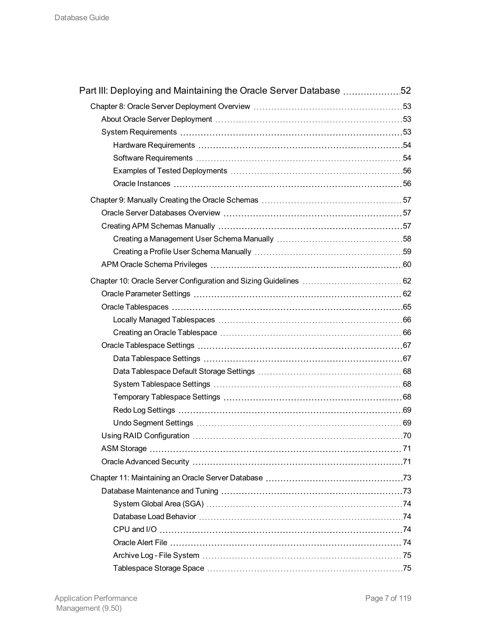| Part III: Deploying and Maintaining the Oracle Server Database 52 |  |
|-------------------------------------------------------------------|--|
|                                                                   |  |
|                                                                   |  |
|                                                                   |  |
|                                                                   |  |
|                                                                   |  |
|                                                                   |  |
|                                                                   |  |
|                                                                   |  |
|                                                                   |  |
|                                                                   |  |
|                                                                   |  |
|                                                                   |  |
|                                                                   |  |
|                                                                   |  |
|                                                                   |  |
|                                                                   |  |
|                                                                   |  |
|                                                                   |  |
|                                                                   |  |
|                                                                   |  |
|                                                                   |  |
|                                                                   |  |
|                                                                   |  |
|                                                                   |  |
|                                                                   |  |
|                                                                   |  |
|                                                                   |  |
|                                                                   |  |
|                                                                   |  |
|                                                                   |  |
|                                                                   |  |
|                                                                   |  |
|                                                                   |  |
|                                                                   |  |
|                                                                   |  |
|                                                                   |  |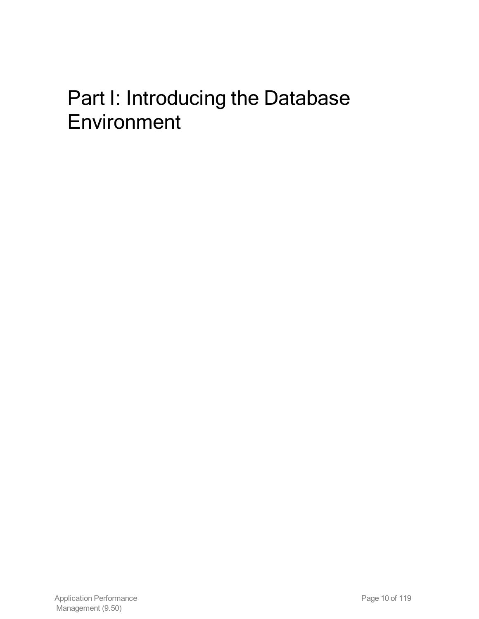# <span id="page-9-0"></span>Part I: Introducing the Database Environment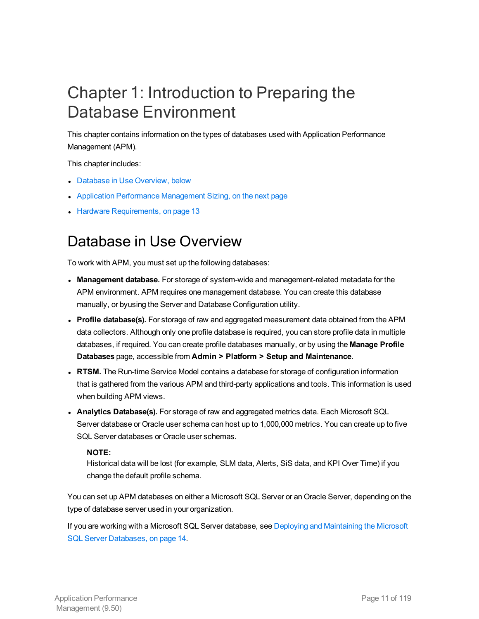# <span id="page-10-0"></span>Chapter 1: Introduction to Preparing the Database Environment

This chapter contains information on the types of databases used with Application Performance Management (APM).

This chapter includes:

- Database in Use [Overview,](#page-10-1) below
- Application Performance [Management](#page-11-0) Sizing, on the next page
- <span id="page-10-1"></span>• Hardware [Requirements,](#page-12-0) on page 13

### Database in Use Overview

To work with APM, you must set up the following databases:

- **Management database.** For storage of system-wide and management-related metadata for the APM environment. APM requires one management database. You can create this database manually, or byusing the Server and Database Configuration utility.
- <sup>l</sup> **Profile database(s).** For storage of raw and aggregated measurement data obtained from the APM data collectors. Although only one profile database is required, you can store profile data in multiple databases, if required. You can create profile databases manually, or by using the **Manage Profile Databases** page, accessible from **Admin > Platform > Setup and Maintenance**.
- **RTSM.** The Run-time Service Model contains a database for storage of configuration information that is gathered from the various APM and third-party applications and tools. This information is used when building APM views.
- <sup>l</sup> **Analytics Database(s).** For storage of raw and aggregated metrics data. Each Microsoft SQL Server database or Oracle user schema can host up to 1,000,000 metrics. You can create up to five SQL Server databases or Oracle user schemas.

#### **NOTE:**

Historical data will be lost (for example, SLM data, Alerts, SiS data, and KPI Over Time) if you change the default profile schema.

You can set up APM databases on either a Microsoft SQL Server or an Oracle Server, depending on the type of database server used in your organization.

If you are working with a Microsoft SQL Server database, see Deploying and [Maintaining](#page-13-0) the Microsoft SQL Server [Databases,](#page-13-0) on page 14.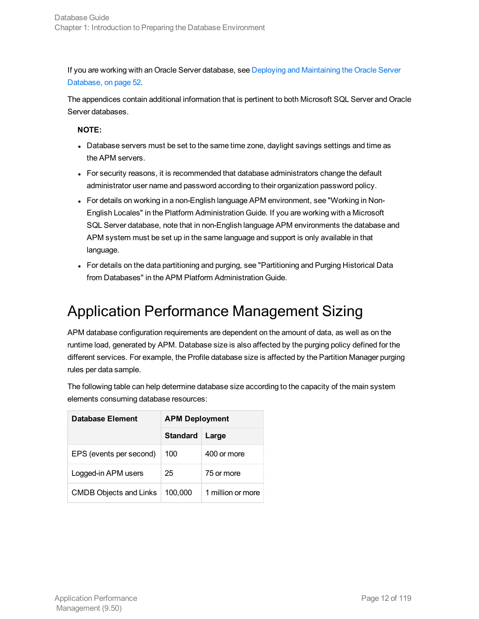If you are working with an Oracle Server database, see Deploying and [Maintaining](#page-51-0) the Oracle Server [Database,](#page-51-0) on page 52.

The appendices contain additional information that is pertinent to both Microsoft SQL Server and Oracle Server databases.

#### **NOTE:**

- Database servers must be set to the same time zone, daylight savings settings and time as the APM servers.
- For security reasons, it is recommended that database administrators change the default administrator user name and password according to their organization password policy.
- For details on working in a non-English language APM environment, see "Working in Non-English Locales" in the Platform Administration Guide. If you are working with a Microsoft SQL Server database, note that in non-English language APM environments the database and APM system must be set up in the same language and support is only available in that language.
- For details on the data partitioning and purging, see "Partitioning and Purging Historical Data from Databases" in the APM Platform Administration Guide.

# <span id="page-11-0"></span>Application Performance Management Sizing

APM database configuration requirements are dependent on the amount of data, as well as on the runtime load, generated by APM. Database size is also affected by the purging policy defined for the different services. For example, the Profile database size is affected by the Partition Manager purging rules per data sample.

The following table can help determine database size according to the capacity of the main system elements consuming database resources:

| <b>Database Element</b>       | <b>APM Deployment</b> |                   |
|-------------------------------|-----------------------|-------------------|
|                               | <b>Standard</b>       | Large             |
| EPS (events per second)       | 100                   | 400 or more       |
| Logged-in APM users           | 25                    | 75 or more        |
| <b>CMDB Objects and Links</b> | 100,000               | 1 million or more |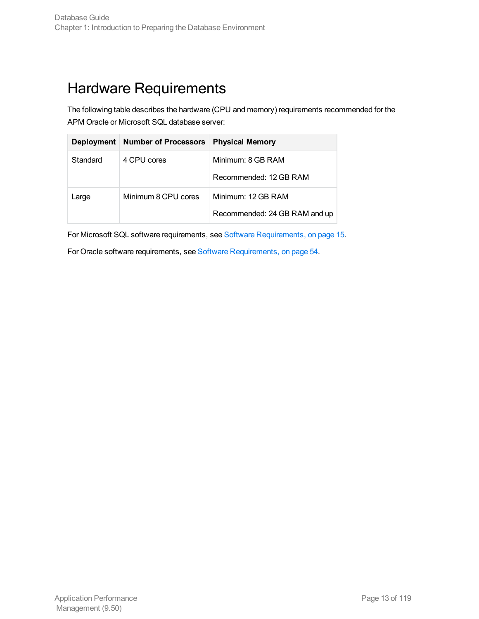## <span id="page-12-0"></span>Hardware Requirements

The following table describes the hardware (CPU and memory) requirements recommended for the APM Oracle or Microsoft SQL database server:

| <b>Deployment</b> | <b>Number of Processors</b> | <b>Physical Memory</b>        |
|-------------------|-----------------------------|-------------------------------|
| Standard          | 4 CPU cores                 | Minimum: 8 GB RAM             |
|                   |                             | Recommended: 12 GB RAM        |
| Large             | Minimum 8 CPU cores         | Minimum: 12 GB RAM            |
|                   |                             | Recommended: 24 GB RAM and up |

For Microsoft SQL software requirements, see Software [Requirements,](#page-14-4) on page 15.

For Oracle software requirements, see Software [Requirements,](#page-53-1) on page 54.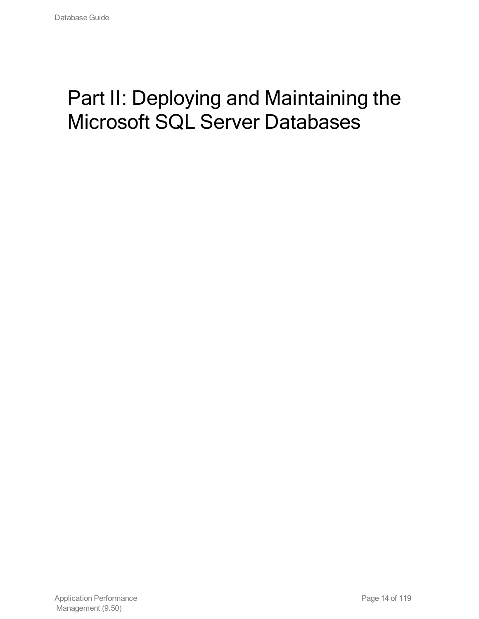# <span id="page-13-0"></span>Part II: Deploying and Maintaining the Microsoft SQL Server Databases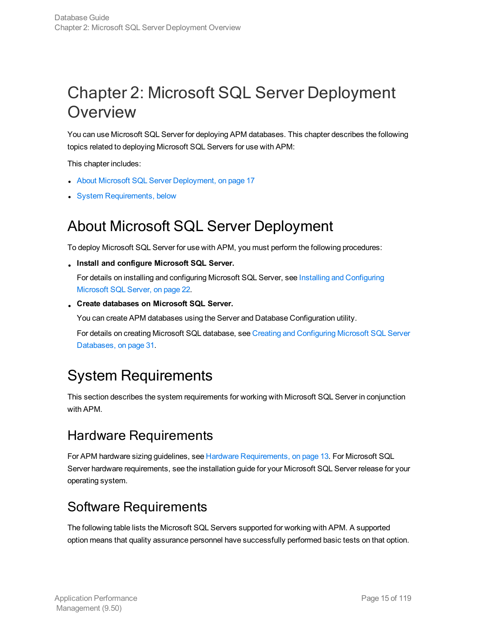# <span id="page-14-0"></span>Chapter 2: Microsoft SQL Server Deployment **Overview**

You can use Microsoft SQL Server for deploying APM databases. This chapter describes the following topics related to deploying Microsoft SQL Servers for use with APM:

This chapter includes:

- About Microsoft SQL Server [Deployment,](#page-16-1) on page 17
- <span id="page-14-1"></span>• System [Requirements,](#page-14-2) below

### About Microsoft SQL Server Deployment

To deploy Microsoft SQL Server for use with APM, you must perform the following procedures:

<sup>l</sup> **Install and configure Microsoft SQL Server.**

For details on installing and configuring Microsoft SQL Server, see Installing and [Configuring](#page-21-0) [Microsoft](#page-21-0) SQL Server, on page 22.

<sup>l</sup> **Create databases on Microsoft SQL Server.**

You can create APM databases using the Server and Database Configuration utility.

For details on creating Microsoft SQL database, see Creating and [Configuring](#page-30-0) Microsoft SQL Server [Databases,](#page-30-0) on page 31.

## <span id="page-14-2"></span>System Requirements

This section describes the system requirements for working with Microsoft SQL Server in conjunction with APM.

### <span id="page-14-3"></span>Hardware Requirements

For APM hardware sizing guidelines, see Hardware [Requirements,](#page-12-0) on page 13. For Microsoft SQL Server hardware requirements, see the installation guide for your Microsoft SQL Server release for your operating system.

### <span id="page-14-4"></span>Software Requirements

The following table lists the Microsoft SQL Servers supported for working with APM. A supported option means that quality assurance personnel have successfully performed basic tests on that option.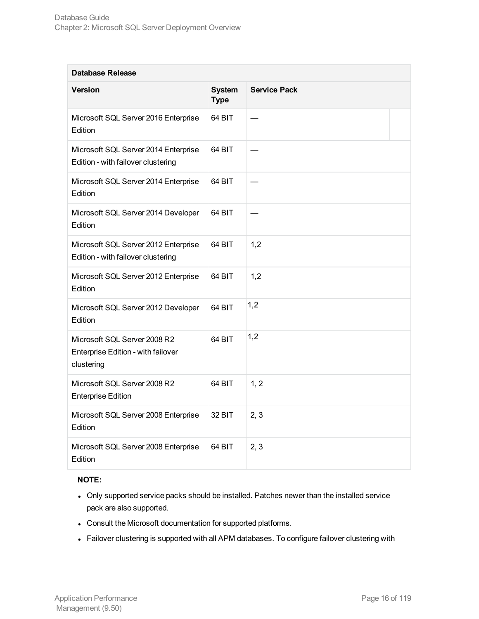| <b>Database Release</b>                                                          |                              |                     |  |
|----------------------------------------------------------------------------------|------------------------------|---------------------|--|
| Version                                                                          | <b>System</b><br><b>Type</b> | <b>Service Pack</b> |  |
| Microsoft SQL Server 2016 Enterprise<br>Edition                                  | 64 BIT                       |                     |  |
| Microsoft SQL Server 2014 Enterprise<br>Edition - with failover clustering       | 64 BIT                       |                     |  |
| Microsoft SQL Server 2014 Enterprise<br>Edition                                  | 64 BIT                       |                     |  |
| Microsoft SQL Server 2014 Developer<br>Edition                                   | 64 BIT                       |                     |  |
| Microsoft SQL Server 2012 Enterprise<br>Edition - with failover clustering       | 64 BIT                       | 1,2                 |  |
| Microsoft SQL Server 2012 Enterprise<br>Edition                                  | 64 BIT                       | 1,2                 |  |
| Microsoft SQL Server 2012 Developer<br>Edition                                   | 64 BIT                       | 1,2                 |  |
| Microsoft SQL Server 2008 R2<br>Enterprise Edition - with failover<br>clustering | 64 BIT                       | 1,2                 |  |
| Microsoft SQL Server 2008 R2<br><b>Enterprise Edition</b>                        | 64 BIT                       | 1, 2                |  |
| Microsoft SQL Server 2008 Enterprise<br>Edition                                  | 32 BIT                       | 2, 3                |  |
| Microsoft SQL Server 2008 Enterprise<br>Edition                                  | 64 BIT                       | 2, 3                |  |

#### **NOTE:**

- Only supported service packs should be installed. Patches newer than the installed service pack are also supported.
- Consult the Microsoft documentation for supported platforms.
- Failover clustering is supported with all APM databases. To configure failover clustering with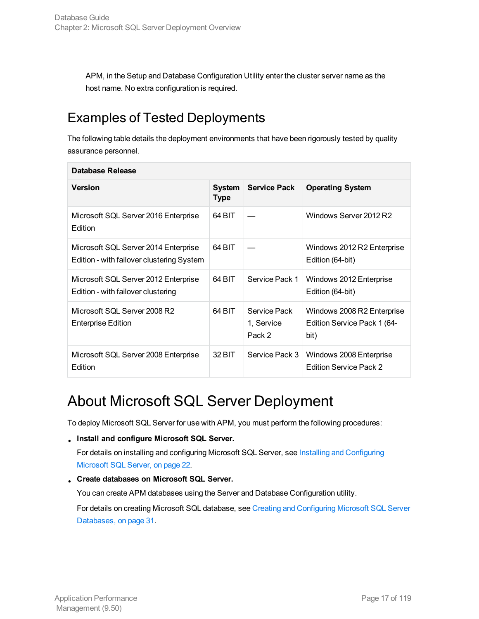APM, in the Setup and Database Configuration Utility enter the cluster server name as the host name. No extra configuration is required.

### <span id="page-16-0"></span>Examples of Tested Deployments

The following table details the deployment environments that have been rigorously tested by quality assurance personnel.

| Database Release                                                                  |                              |                                      |                                                                   |
|-----------------------------------------------------------------------------------|------------------------------|--------------------------------------|-------------------------------------------------------------------|
| <b>Version</b>                                                                    | <b>System</b><br><b>Type</b> | <b>Service Pack</b>                  | <b>Operating System</b>                                           |
| Microsoft SQL Server 2016 Enterprise<br>Edition                                   | 64 BIT                       |                                      | Windows Server 2012 R2                                            |
| Microsoft SQL Server 2014 Enterprise<br>Edition - with failover clustering System | 64 BIT                       |                                      | Windows 2012 R2 Enterprise<br>Edition (64-bit)                    |
| Microsoft SQL Server 2012 Enterprise<br>Edition - with failover clustering        | 64 BIT                       | Service Pack 1                       | Windows 2012 Enterprise<br>Edition (64-bit)                       |
| Microsoft SQL Server 2008 R2<br><b>Enterprise Edition</b>                         | 64 BIT                       | Service Pack<br>1, Service<br>Pack 2 | Windows 2008 R2 Enterprise<br>Edition Service Pack 1 (64-<br>bit) |
| Microsoft SQL Server 2008 Enterprise<br>Edition                                   | 32 BIT                       | Service Pack 3                       | Windows 2008 Enterprise<br><b>Edition Service Pack 2</b>          |

## <span id="page-16-1"></span>About Microsoft SQL Server Deployment

To deploy Microsoft SQL Server for use with APM, you must perform the following procedures:

<sup>l</sup> **Install and configure Microsoft SQL Server.**

For details on installing and configuring Microsoft SQL Server, see Installing and [Configuring](#page-21-0) [Microsoft](#page-21-0) SQL Server, on page 22.

<sup>l</sup> **Create databases on Microsoft SQL Server.**

You can create APM databases using the Server and Database Configuration utility.

For details on creating Microsoft SQL database, see Creating and [Configuring](#page-30-0) Microsoft SQL Server [Databases,](#page-30-0) on page 31.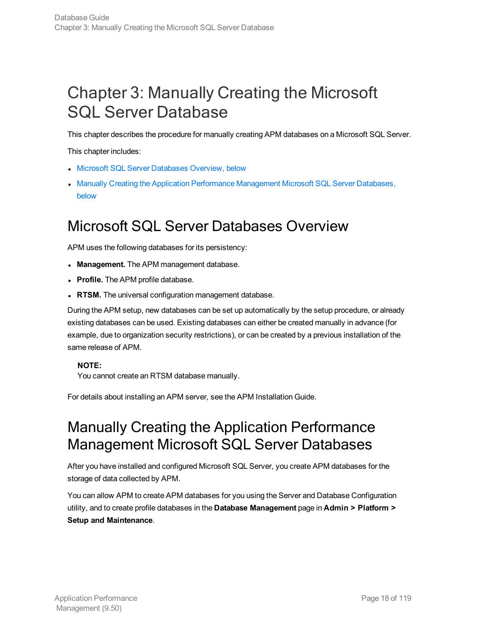# <span id="page-17-0"></span>Chapter 3: Manually Creating the Microsoft SQL Server Database

This chapter describes the procedure for manually creating APM databases on a Microsoft SQL Server.

This chapter includes:

- **.** Microsoft SQL Server [Databases](#page-17-1) Overview, below
- Manually Creating the Application Performance [Management](#page-17-2) Microsoft SQL Server Databases, [below](#page-17-2)

### <span id="page-17-1"></span>Microsoft SQL Server Databases Overview

APM uses the following databases for its persistency:

- **Management.** The APM management database.
- **Profile.** The APM profile database.
- **RTSM.** The universal configuration management database.

During the APM setup, new databases can be set up automatically by the setup procedure, or already existing databases can be used. Existing databases can either be created manually in advance (for example, due to organization security restrictions), or can be created by a previous installation of the same release of APM.

#### **NOTE:**

You cannot create an RTSM database manually.

<span id="page-17-2"></span>For details about installing an APM server, see the APM Installation Guide.

### Manually Creating the Application Performance Management Microsoft SQL Server Databases

After you have installed and configured Microsoft SQL Server, you create APM databases for the storage of data collected by APM.

You can allow APM to create APM databases for you using the Server and Database Configuration utility, and to create profile databases in the **Database Management** page in **Admin > Platform > Setup and Maintenance**.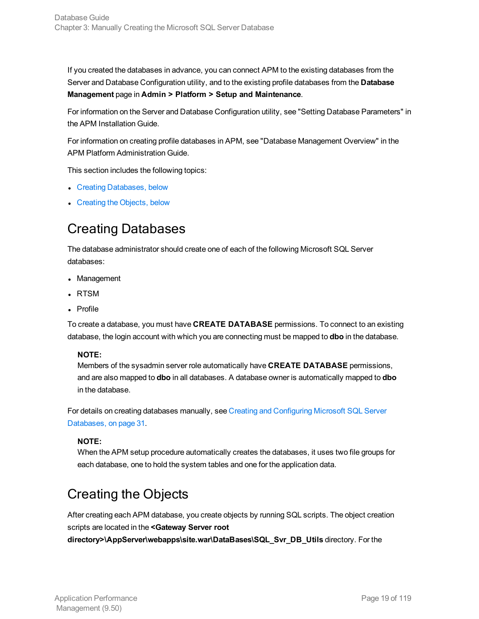If you created the databases in advance, you can connect APM to the existing databases from the Server and Database Configuration utility, and to the existing profile databases from the **Database Management** page in **Admin > Platform > Setup and Maintenance**.

For information on the Server and Database Configuration utility, see "Setting Database Parameters" in the APM Installation Guide.

For information on creating profile databases in APM, see "Database Management Overview" in the APM Platform Administration Guide.

This section includes the following topics:

- Creating [Databases,](#page-18-0) below
- <span id="page-18-0"></span>• [Creating](#page-18-1) the Objects, below

### Creating Databases

The database administrator should create one of each of the following Microsoft SQL Server databases:

- Management
- RTSM
- Profile

To create a database, you must have **CREATE DATABASE** permissions. To connect to an existing database, the login account with which you are connecting must be mapped to **dbo** in the database.

#### **NOTE:**

Members of the sysadmin server role automatically have **CREATE DATABASE** permissions, and are also mapped to **dbo** in all databases. A database owner is automatically mapped to **dbo** in the database.

For details on creating databases manually, see Creating and [Configuring](#page-30-0) Microsoft SQL Server [Databases,](#page-30-0) on page 31.

#### **NOTE:**

When the APM setup procedure automatically creates the databases, it uses two file groups for each database, one to hold the system tables and one for the application data.

### <span id="page-18-1"></span>Creating the Objects

After creating each APM database, you create objects by running SQL scripts. The object creation scripts are located in the **<Gateway Server root**

**directory>\AppServer\webapps\site.war\DataBases\SQL\_Svr\_DB\_Utils** directory. For the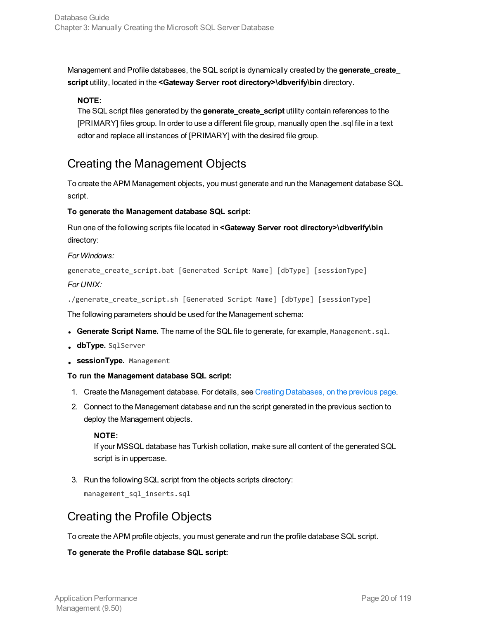Management and Profile databases, the SQL script is dynamically created by the **generate\_create\_ script** utility, located in the **<Gateway Server root directory>\dbverify\bin** directory.

#### **NOTE:**

The SQL script files generated by the **generate\_create\_script** utility contain references to the [PRIMARY] files group. In order to use a different file group, manually open the .sql file in a text edtor and replace all instances of [PRIMARY] with the desired file group.

#### <span id="page-19-0"></span>Creating the Management Objects

To create the APM Management objects, you must generate and run the Management database SQL script.

#### **To generate the Management database SQL script:**

Run one of the following scripts file located in **<Gateway Server root directory>\dbverify\bin** directory:

#### *For Windows:*

generate\_create\_script.bat [Generated Script Name] [dbType] [sessionType] *For UNIX:*

./generate\_create\_script.sh [Generated Script Name] [dbType] [sessionType]

The following parameters should be used for the Management schema:

- <sup>l</sup> **Generate Script Name.** The name of the SQL file to generate, for example, Management.sql.
- **.** dbType. SqlServer
- **. sessionType.** Management

#### **To run the Management database SQL script:**

- 1. Create the Management database. For details, see Creating [Databases,](#page-18-0) on the previous page.
- 2. Connect to the Management database and run the script generated in the previous section to deploy the Management objects.

#### **NOTE:**

If your MSSQL database has Turkish collation, make sure all content of the generated SQL script is in uppercase.

3. Run the following SQL script from the objects scripts directory:

management\_sql\_inserts.sql

#### <span id="page-19-1"></span>Creating the Profile Objects

To create the APM profile objects, you must generate and run the profile database SQL script.

#### **To generate the Profile database SQL script:**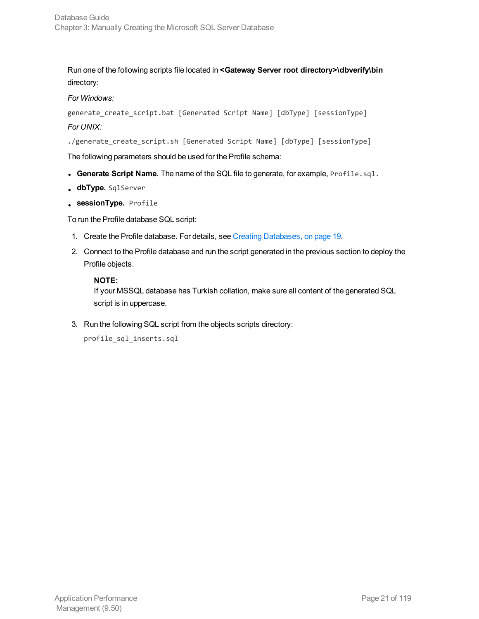Run one of the following scripts file located in **<Gateway Server root directory>\dbverify\bin** directory:

#### *For Windows:*

generate\_create\_script.bat [Generated Script Name] [dbType] [sessionType] *For UNIX:*

./generate\_create\_script.sh [Generated Script Name] [dbType] [sessionType]

The following parameters should be used for the Profile schema:

- <sup>l</sup> **Generate Script Name.** The name of the SQL file to generate, for example, Profile.sql.
- **dbType.** SqlServer
- **.** sessionType. Profile

To run the Profile database SQL script:

- 1. Create the Profile database. For details, see Creating [Databases,](#page-18-0) on page 19.
- 2. Connect to the Profile database and run the script generated in the previous section to deploy the Profile objects.

#### **NOTE:**

If your MSSQL database has Turkish collation, make sure all content of the generated SQL script is in uppercase.

3. Run the following SQL script from the objects scripts directory:

```
profile_sql_inserts.sql
```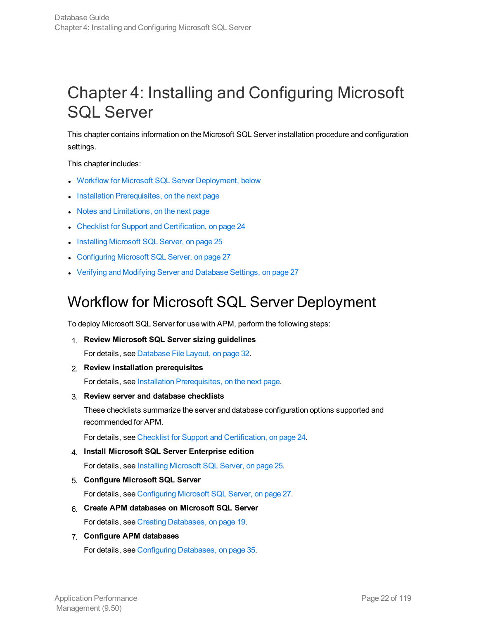# <span id="page-21-0"></span>Chapter 4: Installing and Configuring Microsoft SQL Server

This chapter contains information on the Microsoft SQL Server installation procedure and configuration settings.

This chapter includes:

- Workflow for Microsoft SQL Server [Deployment,](#page-21-1) below
- Installation [Prerequisites,](#page-22-0) on the next page
- Notes and [Limitations,](#page-22-1) on the next page
- Checklist for Support and [Certification,](#page-23-0) on page 24
- Installing [Microsoft](#page-24-0) SQL Server, on page 25
- **[Configuring](#page-26-0) Microsoft SQL Server, on page 27**
- <span id="page-21-1"></span>• Verifying and Modifying Server and [Database](#page-26-3) Settings, on page 27

### Workflow for Microsoft SQL Server Deployment

To deploy Microsoft SQL Server for use with APM, perform the following steps:

1. **Review Microsoft SQL Server sizing guidelines**

For details, see [Database](#page-31-0) File Layout, on page 32.

2. **Review installation prerequisites**

For details, see Installation [Prerequisites,](#page-22-0) on the next page.

3. **Review server and database checklists**

These checklists summarize the server and database configuration options supported and recommended for APM.

For details, see Checklist for Support and [Certification,](#page-23-0) on page 24.

4. **Install Microsoft SQL Server Enterprise edition**

For details, see Installing [Microsoft](#page-24-0) SQL Server, on page 25.

5. **Configure Microsoft SQL Server**

For details, see [Configuring](#page-26-0) Microsoft SQL Server, on page 27.

6. **Create APM databases on Microsoft SQL Server**

For details, see Creating [Databases,](#page-18-0) on page 19.

7. **Configure APM databases**

For details, see Configuring [Databases,](#page-34-0) on page 35.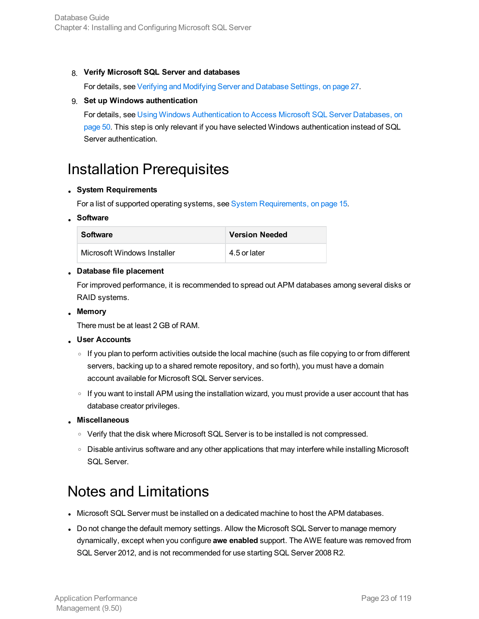#### 8. **Verify Microsoft SQL Server and databases**

For details, see Verifying and [Modifying](#page-26-3) Server and Database Settings, on page 27.

#### 9. **Set up Windows authentication**

For details, see Using Windows [Authentication](#page-49-0) to Access Microsoft SQL Server Databases, on [page](#page-49-0) 50. This step is only relevant if you have selected Windows authentication instead of SQL Server authentication.

### <span id="page-22-0"></span>Installation Prerequisites

#### <sup>l</sup> **System Requirements**

For a list of supported operating systems, see System [Requirements,](#page-14-2) on page 15.

#### <sup>l</sup> **Software**

| <b>Software</b>             | <b>Version Needed</b> |
|-----------------------------|-----------------------|
| Microsoft Windows Installer | 4.5 or later          |

#### <sup>l</sup> **Database file placement**

For improved performance, it is recommended to spread out APM databases among several disks or RAID systems.

<sup>l</sup> **Memory**

There must be at least 2 GB of RAM.

- <sup>l</sup> **User Accounts**
	- If you plan to perform activities outside the local machine (such as file copying to or from different servers, backing up to a shared remote repository, and so forth), you must have a domain account available for Microsoft SQL Server services.
	- $\circ$  If you want to install APM using the installation wizard, you must provide a user account that has database creator privileges.
- <sup>l</sup> **Miscellaneous**
	- o Verify that the disk where Microsoft SQL Server is to be installed is not compressed.
	- <sup>o</sup> Disable antivirus software and any other applications that may interfere while installing Microsoft SQL Server.

### <span id="page-22-1"></span>Notes and Limitations

- Microsoft SQL Server must be installed on a dedicated machine to host the APM databases.
- Do not change the default memory settings. Allow the Microsoft SQL Server to manage memory dynamically, except when you configure **awe enabled** support. The AWE feature was removed from SQL Server 2012, and is not recommended for use starting SQL Server 2008 R2.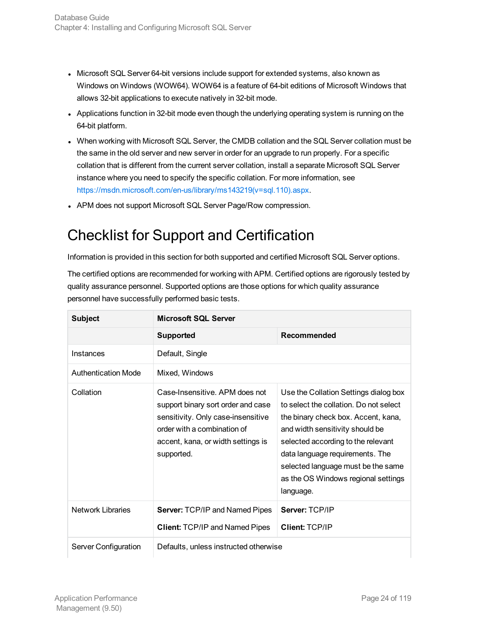- Microsoft SQL Server 64-bit versions include support for extended systems, also known as Windows on Windows (WOW64). WOW64 is a feature of 64-bit editions of Microsoft Windows that allows 32-bit applications to execute natively in 32-bit mode.
- Applications function in 32-bit mode even though the underlying operating system is running on the 64-bit platform.
- When working with Microsoft SQL Server, the CMDB collation and the SQL Server collation must be the same in the old server and new server in order for an upgrade to run properly. For a specific collation that is different from the current server collation, install a separate Microsoft SQL Server instance where you need to specify the specific collation. For more information, see [https://msdn.microsoft.com/en-us/library/ms143219\(v=sql.110\).aspx](https://msdn.microsoft.com/en-us/library/ms143219(v=sql.110).aspx).
- <span id="page-23-0"></span>• APM does not support Microsoft SQL Server Page/Row compression.

# Checklist for Support and Certification

Information is provided in this section for both supported and certified Microsoft SQL Server options.

The certified options are recommended for working with APM. Certified options are rigorously tested by quality assurance personnel. Supported options are those options for which quality assurance personnel have successfully performed basic tests.

| <b>Subject</b>             | <b>Microsoft SQL Server</b>                                                                                                                                                                   |                                                                                                                                                                                                                                                                                                                              |  |
|----------------------------|-----------------------------------------------------------------------------------------------------------------------------------------------------------------------------------------------|------------------------------------------------------------------------------------------------------------------------------------------------------------------------------------------------------------------------------------------------------------------------------------------------------------------------------|--|
|                            | <b>Supported</b>                                                                                                                                                                              | Recommended                                                                                                                                                                                                                                                                                                                  |  |
| Instances                  | Default, Single                                                                                                                                                                               |                                                                                                                                                                                                                                                                                                                              |  |
| <b>Authentication Mode</b> | Mixed, Windows                                                                                                                                                                                |                                                                                                                                                                                                                                                                                                                              |  |
| Collation                  | Case-Insensitive. APM does not<br>support binary sort order and case<br>sensitivity. Only case-insensitive<br>order with a combination of<br>accent, kana, or width settings is<br>supported. | Use the Collation Settings dialog box<br>to select the collation. Do not select<br>the binary check box. Accent, kana,<br>and width sensitivity should be<br>selected according to the relevant<br>data language requirements. The<br>selected language must be the same<br>as the OS Windows regional settings<br>language. |  |
| <b>Network Libraries</b>   | <b>Server: TCP/IP and Named Pipes</b><br><b>Client: TCP/IP and Named Pipes</b>                                                                                                                | Server: TCP/IP<br><b>Client: TCP/IP</b>                                                                                                                                                                                                                                                                                      |  |
| Server Configuration       | Defaults, unless instructed otherwise                                                                                                                                                         |                                                                                                                                                                                                                                                                                                                              |  |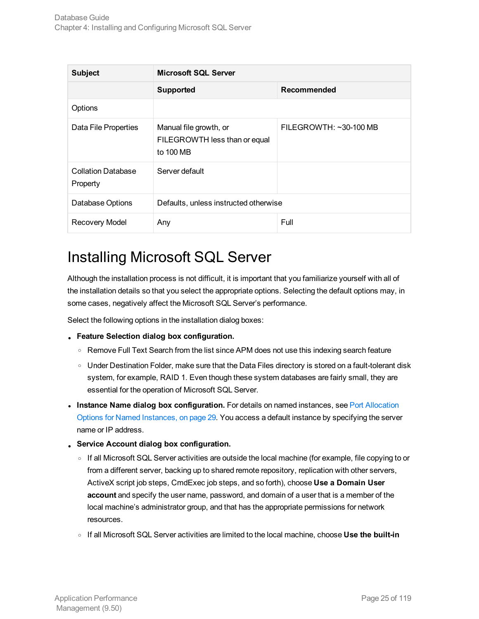| <b>Subject</b>                        | <b>Microsoft SQL Server</b>                                          |                        |  |
|---------------------------------------|----------------------------------------------------------------------|------------------------|--|
|                                       | <b>Supported</b>                                                     | Recommended            |  |
| Options                               |                                                                      |                        |  |
| Data File Properties                  | Manual file growth, or<br>FILEGROWTH less than or equal<br>to 100 MB | FILEGROWTH: ~30-100 MB |  |
| <b>Collation Database</b><br>Property | Server default                                                       |                        |  |
| Database Options                      | Defaults, unless instructed otherwise                                |                        |  |
| <b>Recovery Model</b>                 | Any                                                                  | Full                   |  |

### <span id="page-24-0"></span>Installing Microsoft SQL Server

Although the installation process is not difficult, it is important that you familiarize yourself with all of the installation details so that you select the appropriate options. Selecting the default options may, in some cases, negatively affect the Microsoft SQL Server's performance.

Select the following options in the installation dialog boxes:

- <sup>l</sup> **Feature Selection dialog box configuration.**
	- Remove Full Text Search from the list since APM does not use this indexing search feature
	- o Under Destination Folder, make sure that the Data Files directory is stored on a fault-tolerant disk system, for example, RAID 1. Even though these system databases are fairly small, they are essential for the operation of Microsoft SQL Server.
- **Instance Name dialog box configuration.** For details on named instances, see Port [Allocation](#page-28-0) Options for Named [Instances,](#page-28-0) on page 29. You access a default instance by specifying the server name or IP address.
- <sup>l</sup> **Service Account dialog box configuration.**
	- <sup>o</sup> If all Microsoft SQL Server activities are outside the local machine (for example, file copying to or from a different server, backing up to shared remote repository, replication with other servers, ActiveX script job steps, CmdExec job steps, and so forth), choose **Use a Domain User account** and specify the user name, password, and domain of a user that is a member of the local machine's administrator group, and that has the appropriate permissions for network resources.
	- <sup>o</sup> If all Microsoft SQL Server activities are limited to the local machine, choose **Use the built-in**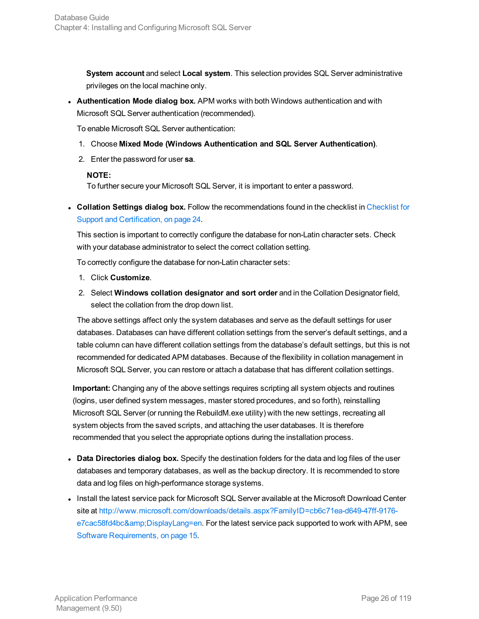**System account** and select **Local system**. This selection provides SQL Server administrative privileges on the local machine only.

**Authentication Mode dialog box.** APM works with both Windows authentication and with Microsoft SQL Server authentication (recommended).

To enable Microsoft SQL Server authentication:

- 1. Choose **Mixed Mode (Windows Authentication and SQL Server Authentication)**.
- 2. Enter the password for user **sa**.

#### **NOTE:**

To further secure your Microsoft SQL Server, it is important to enter a password.

<sup>l</sup> **Collation Settings dialog box.** Follow the recommendations found in the checklist in [Checklist](#page-23-0) for Support and [Certification,](#page-23-0) on page 24.

This section is important to correctly configure the database for non-Latin character sets. Check with your database administrator to select the correct collation setting.

To correctly configure the database for non-Latin character sets:

- 1. Click **Customize**.
- 2. Select **Windows collation designator and sort order** and in the Collation Designator field, select the collation from the drop down list.

The above settings affect only the system databases and serve as the default settings for user databases. Databases can have different collation settings from the server's default settings, and a table column can have different collation settings from the database's default settings, but this is not recommended for dedicated APM databases. Because of the flexibility in collation management in Microsoft SQL Server, you can restore or attach a database that has different collation settings.

**Important:** Changing any of the above settings requires scripting all system objects and routines (logins, user defined system messages, master stored procedures, and so forth), reinstalling Microsoft SQL Server (or running the RebuildM.exe utility) with the new settings, recreating all system objects from the saved scripts, and attaching the user databases. It is therefore recommended that you select the appropriate options during the installation process.

- **Data Directories dialog box.** Specify the destination folders for the data and log files of the user databases and temporary databases, as well as the backup directory. It is recommended to store data and log files on high-performance storage systems.
- Install the latest service pack for Microsoft SQL Server available at the Microsoft Download Center site at [http://www.microsoft.com/downloads/details.aspx?FamilyID=cb6c71ea-d649-47ff-9176](http://www.microsoft.com/downloads/details.aspx?FamilyID=cb6c71ea-d649-47ff-9176-e7cac58fd4bc&DisplayLang=en) [e7cac58fd4bc&DisplayLang=en](http://www.microsoft.com/downloads/details.aspx?FamilyID=cb6c71ea-d649-47ff-9176-e7cac58fd4bc&DisplayLang=en). For the latest service pack supported to work with APM, see Software [Requirements,](#page-14-4) on page 15.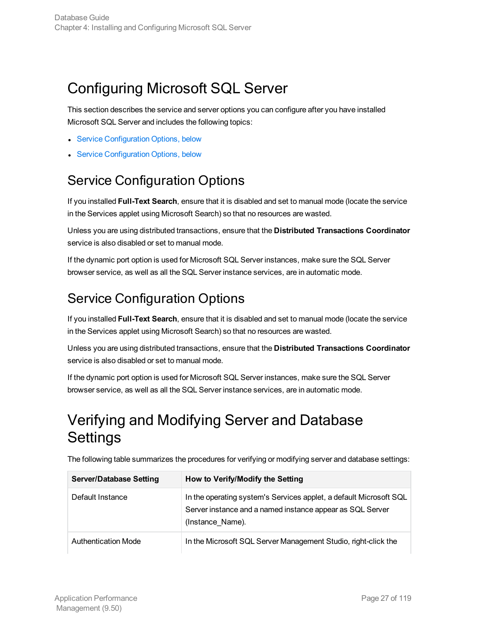# <span id="page-26-0"></span>Configuring Microsoft SQL Server

This section describes the service and server options you can configure after you have installed Microsoft SQL Server and includes the following topics:

- **.** Service [Configuration](#page-26-1) Options, below
- <span id="page-26-1"></span>**Service [Configuration](#page-26-2) Options, below**

## Service Configuration Options

If you installed **Full-Text Search**, ensure that it is disabled and set to manual mode (locate the service in the Services applet using Microsoft Search) so that no resources are wasted.

Unless you are using distributed transactions, ensure that the **Distributed Transactions Coordinator** service is also disabled or set to manual mode.

If the dynamic port option is used for Microsoft SQL Server instances, make sure the SQL Server browser service, as well as all the SQL Server instance services, are in automatic mode.

### <span id="page-26-2"></span>Service Configuration Options

If you installed **Full-Text Search**, ensure that it is disabled and set to manual mode (locate the service in the Services applet using Microsoft Search) so that no resources are wasted.

Unless you are using distributed transactions, ensure that the **Distributed Transactions Coordinator** service is also disabled or set to manual mode.

If the dynamic port option is used for Microsoft SQL Server instances, make sure the SQL Server browser service, as well as all the SQL Server instance services, are in automatic mode.

# <span id="page-26-3"></span>Verifying and Modifying Server and Database **Settings**

| <b>Server/Database Setting</b> | How to Verify/Modify the Setting                                                                                                                    |
|--------------------------------|-----------------------------------------------------------------------------------------------------------------------------------------------------|
| Default Instance               | In the operating system's Services applet, a default Microsoft SQL<br>Server instance and a named instance appear as SQL Server<br>(Instance Name). |
| <b>Authentication Mode</b>     | In the Microsoft SQL Server Management Studio, right-click the                                                                                      |

The following table summarizes the procedures for verifying or modifying server and database settings: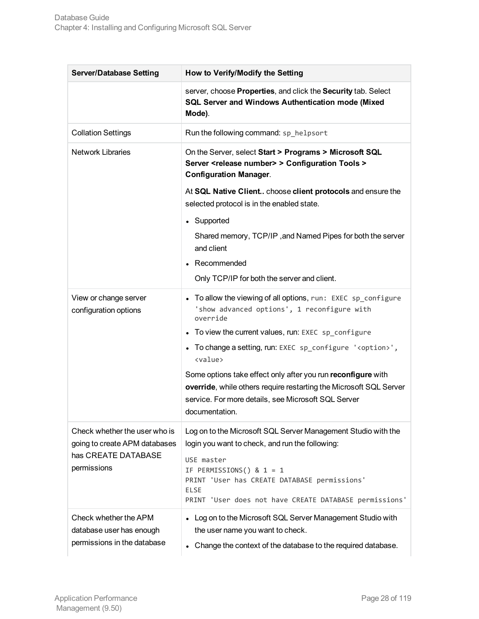| <b>Server/Database Setting</b>                                                   | How to Verify/Modify the Setting                                                                                                                                                                            |  |  |
|----------------------------------------------------------------------------------|-------------------------------------------------------------------------------------------------------------------------------------------------------------------------------------------------------------|--|--|
|                                                                                  | server, choose Properties, and click the Security tab. Select<br>SQL Server and Windows Authentication mode (Mixed<br>Mode).                                                                                |  |  |
| <b>Collation Settings</b>                                                        | Run the following command: sp_helpsort                                                                                                                                                                      |  |  |
| <b>Network Libraries</b>                                                         | On the Server, select Start > Programs > Microsoft SQL<br>Server <release number=""> &gt; Configuration Tools &gt;<br/><b>Configuration Manager.</b></release>                                              |  |  |
|                                                                                  | At SQL Native Client choose client protocols and ensure the<br>selected protocol is in the enabled state.                                                                                                   |  |  |
|                                                                                  | • Supported                                                                                                                                                                                                 |  |  |
|                                                                                  | Shared memory, TCP/IP, and Named Pipes for both the server<br>and client                                                                                                                                    |  |  |
|                                                                                  | • Recommended                                                                                                                                                                                               |  |  |
|                                                                                  | Only TCP/IP for both the server and client.                                                                                                                                                                 |  |  |
| View or change server<br>configuration options                                   | • To allow the viewing of all options, run: EXEC sp_configure<br>'show advanced options', 1 reconfigure with<br>override                                                                                    |  |  |
|                                                                                  | • To view the current values, run: EXEC sp_configure                                                                                                                                                        |  |  |
|                                                                                  | • To change a setting, run: EXEC sp_configure ' <option>',<br/><value></value></option>                                                                                                                     |  |  |
|                                                                                  | Some options take effect only after you run reconfigure with<br>override, while others require restarting the Microsoft SQL Server<br>service. For more details, see Microsoft SQL Server<br>documentation. |  |  |
| Check whether the user who is<br>going to create APM databases                   | Log on to the Microsoft SQL Server Management Studio with the<br>login you want to check, and run the following:                                                                                            |  |  |
| has CREATE DATABASE<br>permissions                                               | USE master<br>IF PERMISSIONS() & $1 = 1$<br>PRINT 'User has CREATE DATABASE permissions'<br><b>ELSE</b><br>PRINT 'User does not have CREATE DATABASE permissions'                                           |  |  |
| Check whether the APM<br>database user has enough<br>permissions in the database | • Log on to the Microsoft SQL Server Management Studio with<br>the user name you want to check.<br>Change the context of the database to the required database.                                             |  |  |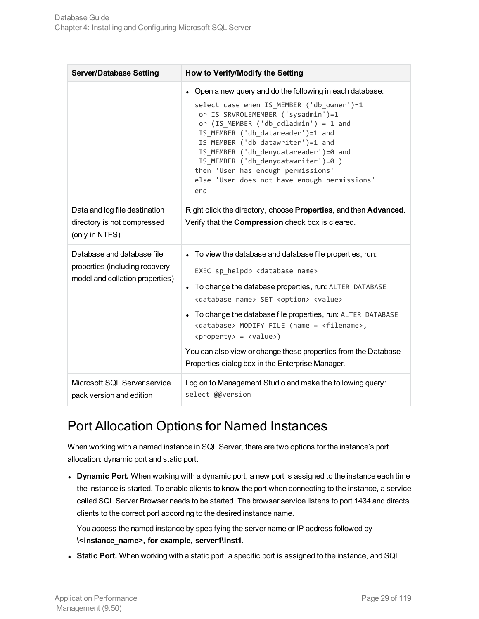| <b>Server/Database Setting</b>                                                                  | How to Verify/Modify the Setting                                                                                                                                                                                                                                                                                                                                                                                                                                                                                                                         |  |  |
|-------------------------------------------------------------------------------------------------|----------------------------------------------------------------------------------------------------------------------------------------------------------------------------------------------------------------------------------------------------------------------------------------------------------------------------------------------------------------------------------------------------------------------------------------------------------------------------------------------------------------------------------------------------------|--|--|
|                                                                                                 | • Open a new query and do the following in each database:<br>select case when IS_MEMBER ('db_owner')=1<br>or IS SRVROLEMEMBER ('sysadmin')=1<br>or $(IS_MEMBER ('db_ddladmin') = 1$ and<br>IS_MEMBER ('db_datareader')=1 and<br>IS MEMBER ('db datawriter')=1 and<br>IS_MEMBER ('db_denydatareader')=0 and<br>IS_MEMBER ('db_denydatawriter')=0 )<br>then 'User has enough permissions'<br>else 'User does not have enough permissions'<br>end                                                                                                           |  |  |
| Data and log file destination<br>directory is not compressed<br>(only in NTFS)                  | Right click the directory, choose Properties, and then Advanced.<br>Verify that the Compression check box is cleared.                                                                                                                                                                                                                                                                                                                                                                                                                                    |  |  |
| Database and database file<br>properties (including recovery<br>model and collation properties) | • To view the database and database file properties, run:<br>EXEC sp_helpdb <database name=""><br/>To change the database properties, run: ALTER DATABASE<br/><database name=""> SET <option> <value><br/>• To change the database file properties, run: ALTER DATABASE<br/><database> MODIFY FILE (name = <filename>,<br/><property> = <value>)<br/>You can also view or change these properties from the Database<br/>Properties dialog box in the Enterprise Manager.</value></property></filename></database></value></option></database></database> |  |  |
| Microsoft SQL Server service<br>pack version and edition                                        | Log on to Management Studio and make the following query:<br>select @@version                                                                                                                                                                                                                                                                                                                                                                                                                                                                            |  |  |

### <span id="page-28-0"></span>Port Allocation Options for Named Instances

When working with a named instance in SQL Server, there are two options for the instance's port allocation: dynamic port and static port.

**Dynamic Port.** When working with a dynamic port, a new port is assigned to the instance each time the instance is started. To enable clients to know the port when connecting to the instance, a service called SQL Server Browser needs to be started. The browser service listens to port 1434 and directs clients to the correct port according to the desired instance name.

You access the named instance by specifying the server name or IP address followed by **\<instance\_name>, for example, server1\inst1**.

**Static Port.** When working with a static port, a specific port is assigned to the instance, and SQL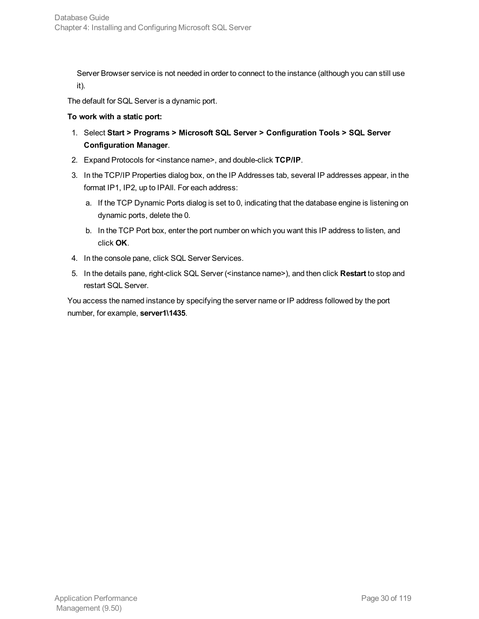Server Browser service is not needed in order to connect to the instance (although you can still use it).

The default for SQL Server is a dynamic port.

#### **To work with a static port:**

- 1. Select **Start > Programs > Microsoft SQL Server > Configuration Tools > SQL Server Configuration Manager**.
- 2. Expand Protocols for <instance name>, and double-click **TCP/IP**.
- 3. In the TCP/IP Properties dialog box, on the IP Addresses tab, several IP addresses appear, in the format IP1, IP2, up to IPAll. For each address:
	- a. If the TCP Dynamic Ports dialog is set to 0, indicating that the database engine is listening on dynamic ports, delete the 0.
	- b. In the TCP Port box, enter the port number on which you want this IP address to listen, and click **OK**.
- 4. In the console pane, click SQL Server Services.
- 5. In the details pane, right-click SQL Server (<instance name>), and then click **Restart** to stop and restart SQL Server.

You access the named instance by specifying the server name or IP address followed by the port number, for example, **server1\1435**.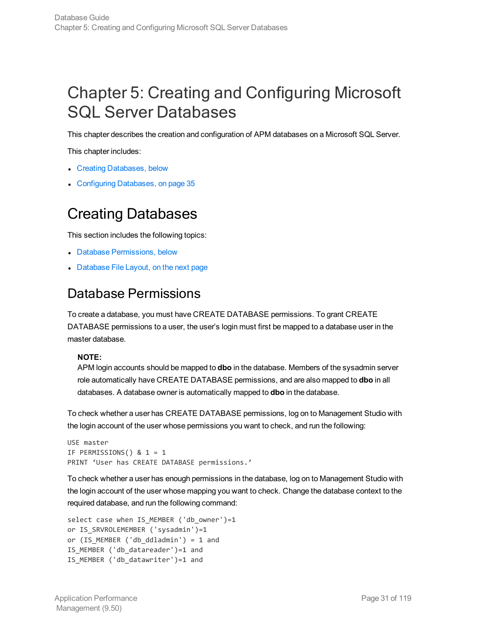# <span id="page-30-0"></span>Chapter 5: Creating and Configuring Microsoft SQL Server Databases

This chapter describes the creation and configuration of APM databases on a Microsoft SQL Server.

This chapter includes:

- Creating [Databases,](#page-30-1) below
- <span id="page-30-1"></span>• Configuring [Databases,](#page-34-0) on page 35

## Creating Databases

This section includes the following topics:

- Database [Permissions,](#page-30-2) below
- <span id="page-30-2"></span>• [Database](#page-31-0) File Layout, on the next page

### Database Permissions

To create a database, you must have CREATE DATABASE permissions. To grant CREATE DATABASE permissions to a user, the user's login must first be mapped to a database user in the master database.

#### **NOTE:**

APM login accounts should be mapped to **dbo** in the database. Members of the sysadmin server role automatically have CREATE DATABASE permissions, and are also mapped to **dbo** in all databases. A database owner is automatically mapped to **dbo** in the database.

To check whether a user has CREATE DATABASE permissions, log on to Management Studio with the login account of the user whose permissions you want to check, and run the following:

```
USE master
IF PERMISSIONS() & 1 = 1
PRINT 'User has CREATE DATABASE permissions.'
```
To check whether a user has enough permissions in the database, log on to Management Studio with the login account of the user whose mapping you want to check. Change the database context to the required database, and run the following command:

```
select case when IS_MEMBER ('db_owner')=1
or IS SRVROLEMEMBER ('sysadmin')=1
or (IS_MEMBER ('db_ddladmin') = 1 and
IS_MEMBER ('db_datareader')=1 and
IS_MEMBER ('db_datawriter')=1 and
```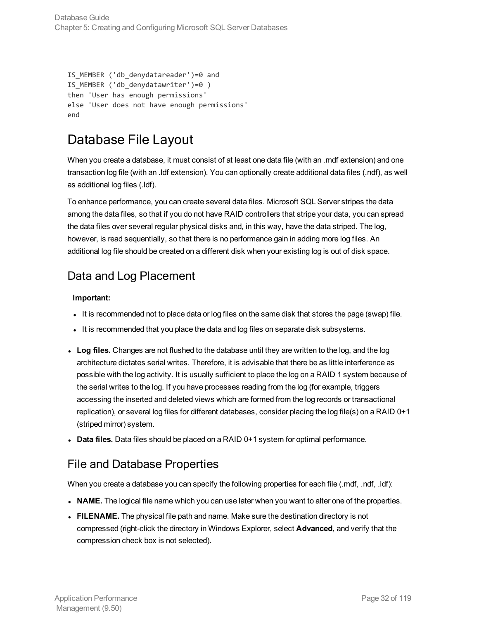```
IS_MEMBER ('db_denydatareader')=0 and
IS_MEMBER ('db_denydatawriter')=0 )
then 'User has enough permissions'
else 'User does not have enough permissions'
end
```
### <span id="page-31-0"></span>Database File Layout

When you create a database, it must consist of at least one data file (with an .mdf extension) and one transaction log file (with an .ldf extension). You can optionally create additional data files (.ndf), as well as additional log files (.ldf).

To enhance performance, you can create several data files. Microsoft SQL Server stripes the data among the data files, so that if you do not have RAID controllers that stripe your data, you can spread the data files over several regular physical disks and, in this way, have the data striped. The log, however, is read sequentially, so that there is no performance gain in adding more log files. An additional log file should be created on a different disk when your existing log is out of disk space.

#### <span id="page-31-1"></span>Data and Log Placement

#### **Important:**

- It is recommended not to place data or log files on the same disk that stores the page (swap) file.
- It is recommended that you place the data and log files on separate disk subsystems.
- **Log files.** Changes are not flushed to the database until they are written to the log, and the log architecture dictates serial writes. Therefore, it is advisable that there be as little interference as possible with the log activity. It is usually sufficient to place the log on a RAID 1 system because of the serial writes to the log. If you have processes reading from the log (for example, triggers accessing the inserted and deleted views which are formed from the log records or transactional replication), or several log files for different databases, consider placing the log file(s) on a RAID 0+1 (striped mirror) system.
- <span id="page-31-2"></span>• Data files. Data files should be placed on a RAID 0+1 system for optimal performance.

#### File and Database Properties

When you create a database you can specify the following properties for each file (.mdf, .ndf, .ldf):

- NAME. The logical file name which you can use later when you want to alter one of the properties.
- **FILENAME.** The physical file path and name. Make sure the destination directory is not compressed (right-click the directory in Windows Explorer, select **Advanced**, and verify that the compression check box is not selected).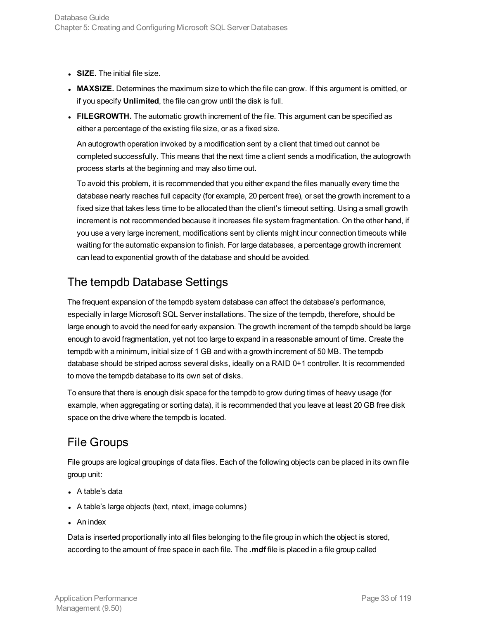- **SIZE.** The initial file size.
- **MAXSIZE.** Determines the maximum size to which the file can grow. If this argument is omitted, or if you specify **Unlimited**, the file can grow until the disk is full.
- **FILEGROWTH.** The automatic growth increment of the file. This argument can be specified as either a percentage of the existing file size, or as a fixed size.

An autogrowth operation invoked by a modification sent by a client that timed out cannot be completed successfully. This means that the next time a client sends a modification, the autogrowth process starts at the beginning and may also time out.

To avoid this problem, it is recommended that you either expand the files manually every time the database nearly reaches full capacity (for example, 20 percent free), or set the growth increment to a fixed size that takes less time to be allocated than the client's timeout setting. Using a small growth increment is not recommended because it increases file system fragmentation. On the other hand, if you use a very large increment, modifications sent by clients might incur connection timeouts while waiting for the automatic expansion to finish. For large databases, a percentage growth increment can lead to exponential growth of the database and should be avoided.

### <span id="page-32-0"></span>The tempdb Database Settings

The frequent expansion of the tempdb system database can affect the database's performance, especially in large Microsoft SQL Server installations. The size of the tempdb, therefore, should be large enough to avoid the need for early expansion. The growth increment of the tempdb should be large enough to avoid fragmentation, yet not too large to expand in a reasonable amount of time. Create the tempdb with a minimum, initial size of 1 GB and with a growth increment of 50 MB. The tempdb database should be striped across several disks, ideally on a RAID 0+1 controller. It is recommended to move the tempdb database to its own set of disks.

To ensure that there is enough disk space for the tempdb to grow during times of heavy usage (for example, when aggregating or sorting data), it is recommended that you leave at least 20 GB free disk space on the drive where the tempdb is located.

### <span id="page-32-1"></span>File Groups

File groups are logical groupings of data files. Each of the following objects can be placed in its own file group unit:

- $\bullet$  A table's data
- A table's large objects (text, ntext, image columns)
- $\bullet$  An index

Data is inserted proportionally into all files belonging to the file group in which the object is stored, according to the amount of free space in each file. The **.mdf** file is placed in a file group called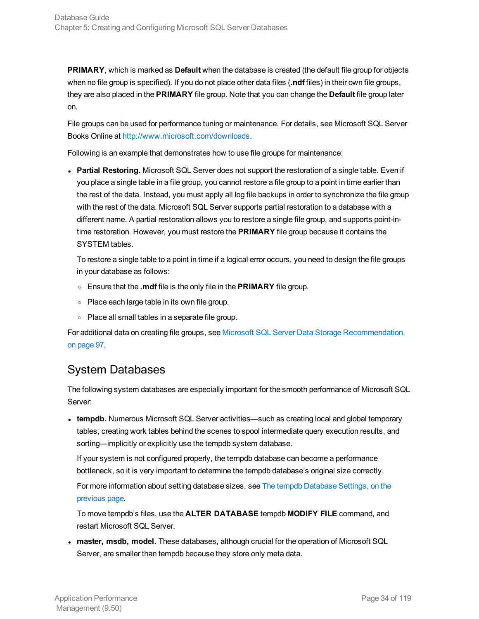**PRIMARY**, which is marked as **Default** when the database is created (the default file group for objects when no file group is specified). If you do not place other data files (**.ndf** files) in their own file groups, they are also placed in the **PRIMARY** file group. Note that you can change the **Default** file group later on.

File groups can be used for performance tuning or maintenance. For details, see Microsoft SQL Server Books Online at [http://www.microsoft.com/downloads.](http://www.microsoft.com/downloads)

Following is an example that demonstrates how to use file groups for maintenance:

**Partial Restoring.** Microsoft SQL Server does not support the restoration of a single table. Even if you place a single table in a file group, you cannot restore a file group to a point in time earlier than the rest of the data. Instead, you must apply all log file backups in order to synchronize the file group with the rest of the data. Microsoft SQL Server supports partial restoration to a database with a different name. A partial restoration allows you to restore a single file group, and supports point-intime restoration. However, you must restore the **PRIMARY** file group because it contains the SYSTEM tables.

To restore a single table to a point in time if a logical error occurs, you need to design the file groups in your database as follows:

- <sup>o</sup> Ensure that the **.mdf** file is the only file in the **PRIMARY** file group.
- <sup>o</sup> Place each large table in its own file group.
- <sup>o</sup> Place all small tables in a separate file group.

For additional data on creating file groups, see Microsoft SQL Server Data Storage [Recommendation,](#page-96-0) on [page](#page-96-0) 97.

#### <span id="page-33-0"></span>System Databases

The following system databases are especially important for the smooth performance of Microsoft SQL Server:

• tempdb. Numerous Microsoft SQL Server activities—such as creating local and global temporary tables, creating work tables behind the scenes to spool intermediate query execution results, and sorting—implicitly or explicitly use the tempdb system database.

If your system is not configured properly, the tempdb database can become a performance bottleneck, so it is very important to determine the tempdb database's original size correctly.

For more information about setting database sizes, see The tempdb [Database](#page-32-0) Settings, on the [previous](#page-32-0) page.

To move tempdb's files, use the **ALTER DATABASE** tempdb **MODIFY FILE** command, and restart Microsoft SQL Server.

<sup>l</sup> **master, msdb, model.** These databases, although crucial for the operation of Microsoft SQL Server, are smaller than tempdb because they store only meta data.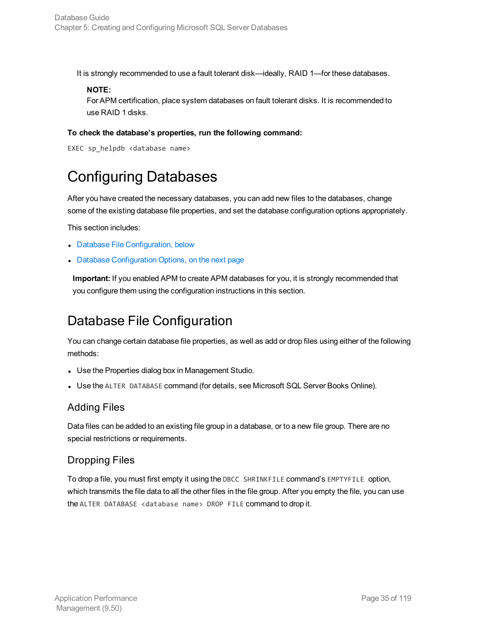It is strongly recommended to use a fault tolerant disk—ideally, RAID 1—for these databases.

#### **NOTE:**

For APM certification, place system databases on fault tolerant disks. It is recommended to use RAID 1 disks.

#### **To check the database's properties, run the following command:**

```
EXEC sp_helpdb <database name>
```
# Configuring Databases

After you have created the necessary databases, you can add new files to the databases, change some of the existing database file properties, and set the database configuration options appropriately.

This section includes:

- **.** Database File [Configuration,](#page-34-1) below
- Database [Configuration](#page-35-0) Options, on the next page

**Important:** If you enabled APM to create APM databases for you, it is strongly recommended that you configure them using the configuration instructions in this section.

### <span id="page-34-1"></span>Database File Configuration

You can change certain database file properties, as well as add or drop files using either of the following methods:

- Use the Properties dialog box in Management Studio.
- Use the ALTER DATABASE command (for details, see Microsoft SQL Server Books Online).

#### Adding Files

Data files can be added to an existing file group in a database, or to a new file group. There are no special restrictions or requirements.

#### Dropping Files

To drop a file, you must first empty it using the DBCC SHRINKFILE command's EMPTYFILE option, which transmits the file data to all the other files in the file group. After you empty the file, you can use the ALTER DATABASE <database name> DROP FILE command to drop it.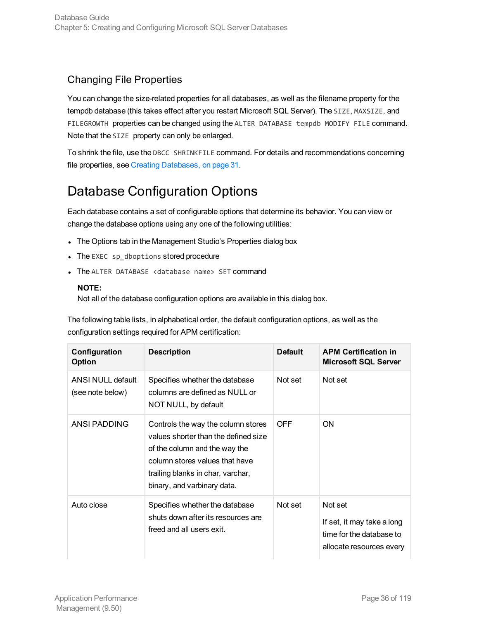#### Changing File Properties

You can change the size-related properties for all databases, as well as the filename property for the tempdb database (this takes effect after you restart Microsoft SQL Server). The SIZE, MAXSIZE, and FILEGROWTH properties can be changed using the ALTER DATABASE tempdb MODIFY FILE command. Note that the SIZE property can only be enlarged.

To shrink the file, use the DBCC SHRINKFILE command. For details and recommendations concerning file properties, see Creating [Databases,](#page-30-1) on page 31.

### <span id="page-35-0"></span>Database Configuration Options

Each database contains a set of configurable options that determine its behavior. You can view or change the database options using any one of the following utilities:

- The Options tab in the Management Studio's Properties dialog box
- The EXEC sp\_dboptions stored procedure
- The ALTER DATABASE <database name> SET command

#### **NOTE:**

Not all of the database configuration options are available in this dialog box.

The following table lists, in alphabetical order, the default configuration options, as well as the configuration settings required for APM certification:

| Configuration<br>Option               | <b>Description</b>                                                                                                                                                                                                | <b>Default</b> | <b>APM Certification in</b><br><b>Microsoft SQL Server</b>                                    |
|---------------------------------------|-------------------------------------------------------------------------------------------------------------------------------------------------------------------------------------------------------------------|----------------|-----------------------------------------------------------------------------------------------|
| ANSI NULL default<br>(see note below) | Specifies whether the database<br>columns are defined as NULL or<br>NOT NULL, by default                                                                                                                          | Not set        | Not set                                                                                       |
| ANSI PADDING                          | Controls the way the column stores<br>values shorter than the defined size<br>of the column and the way the<br>column stores values that have<br>trailing blanks in char, varchar,<br>binary, and varbinary data. | <b>OFF</b>     | ON                                                                                            |
| Auto close                            | Specifies whether the database<br>shuts down after its resources are<br>freed and all users exit.                                                                                                                 | Not set        | Not set<br>If set, it may take a long<br>time for the database to<br>allocate resources every |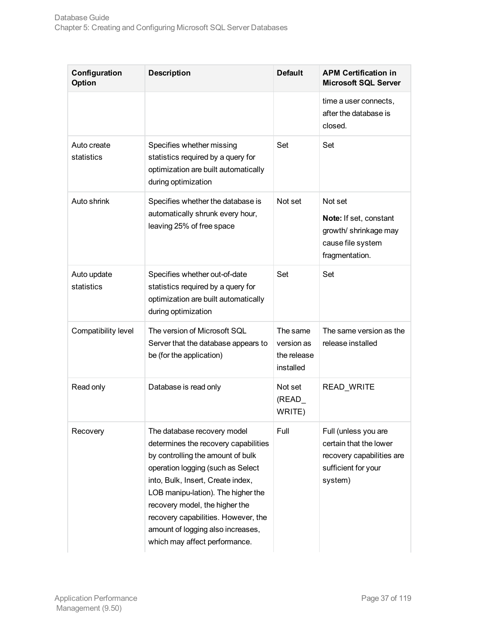| Configuration<br>Option   | <b>Description</b>                                                                                                                                                                                                                                                                                                                                                      | <b>Default</b>                                     | <b>APM Certification in</b><br><b>Microsoft SQL Server</b>                                                    |
|---------------------------|-------------------------------------------------------------------------------------------------------------------------------------------------------------------------------------------------------------------------------------------------------------------------------------------------------------------------------------------------------------------------|----------------------------------------------------|---------------------------------------------------------------------------------------------------------------|
|                           |                                                                                                                                                                                                                                                                                                                                                                         |                                                    | time a user connects,<br>after the database is<br>closed.                                                     |
| Auto create<br>statistics | Specifies whether missing<br>statistics required by a query for<br>optimization are built automatically<br>during optimization                                                                                                                                                                                                                                          | Set                                                | Set                                                                                                           |
| Auto shrink               | Specifies whether the database is<br>automatically shrunk every hour,<br>leaving 25% of free space                                                                                                                                                                                                                                                                      | Not set                                            | Not set<br>Note: If set, constant<br>growth/ shrinkage may<br>cause file system<br>fragmentation.             |
| Auto update<br>statistics | Specifies whether out-of-date<br>statistics required by a query for<br>optimization are built automatically<br>during optimization                                                                                                                                                                                                                                      | Set                                                | Set                                                                                                           |
| Compatibility level       | The version of Microsoft SQL<br>Server that the database appears to<br>be (for the application)                                                                                                                                                                                                                                                                         | The same<br>version as<br>the release<br>installed | The same version as the<br>release installed                                                                  |
| Read only                 | Database is read only                                                                                                                                                                                                                                                                                                                                                   | Not set<br>$(READ_$<br>WRITE)                      | READ_WRITE                                                                                                    |
| Recovery                  | The database recovery model<br>determines the recovery capabilities<br>by controlling the amount of bulk<br>operation logging (such as Select<br>into, Bulk, Insert, Create index,<br>LOB manipu-lation). The higher the<br>recovery model, the higher the<br>recovery capabilities. However, the<br>amount of logging also increases,<br>which may affect performance. | Full                                               | Full (unless you are<br>certain that the lower<br>recovery capabilities are<br>sufficient for your<br>system) |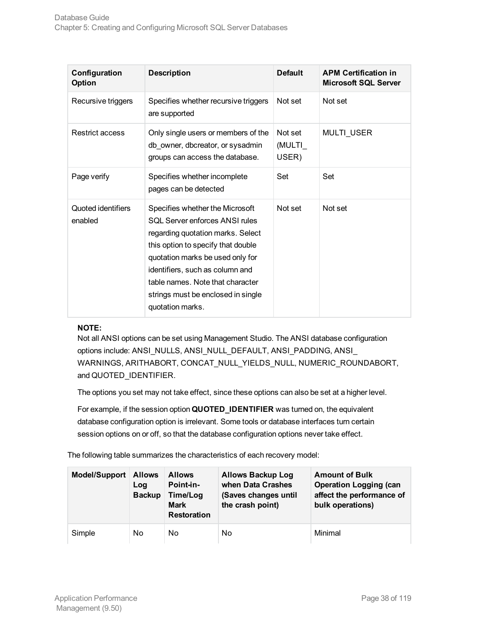| Configuration<br>Option       | <b>Description</b>                                                                                                                                                                                                                                                                                                | <b>Default</b>             | <b>APM Certification in</b><br><b>Microsoft SQL Server</b> |
|-------------------------------|-------------------------------------------------------------------------------------------------------------------------------------------------------------------------------------------------------------------------------------------------------------------------------------------------------------------|----------------------------|------------------------------------------------------------|
| Recursive triggers            | Specifies whether recursive triggers<br>are supported                                                                                                                                                                                                                                                             | Not set                    | Not set                                                    |
| <b>Restrict access</b>        | Only single users or members of the<br>db owner, dbcreator, or sysadmin<br>groups can access the database.                                                                                                                                                                                                        | Not set<br>(MULTI<br>USER) | <b>MULTI USER</b>                                          |
| Page verify                   | Specifies whether incomplete<br>pages can be detected                                                                                                                                                                                                                                                             | Set                        | Set                                                        |
| Quoted identifiers<br>enabled | Specifies whether the Microsoft<br>SOL Server enforces ANSI rules<br>regarding quotation marks. Select<br>this option to specify that double<br>quotation marks be used only for<br>identifiers, such as column and<br>table names. Note that character<br>strings must be enclosed in single<br>quotation marks. | Not set                    | Not set                                                    |

#### **NOTE:**

Not all ANSI options can be set using Management Studio. The ANSI database configuration options include: ANSI\_NULLS, ANSI\_NULL\_DEFAULT, ANSI\_PADDING, ANSI\_ WARNINGS, ARITHABORT, CONCAT\_NULL\_YIELDS\_NULL, NUMERIC\_ROUNDABORT, and QUOTED\_IDENTIFIER.

The options you set may not take effect, since these options can also be set at a higher level.

For example, if the session option **QUOTED\_IDENTIFIER** was turned on, the equivalent database configuration option is irrelevant. Some tools or database interfaces turn certain session options on or off, so that the database configuration options never take effect.

The following table summarizes the characteristics of each recovery model:

| <b>Model/Support</b> | <b>Allows</b><br>Log<br><b>Backup</b> | <b>Allows</b><br>Point-in-<br>Time/Log<br><b>Mark</b><br><b>Restoration</b> | <b>Allows Backup Log</b><br>when Data Crashes<br>(Saves changes until<br>the crash point) | <b>Amount of Bulk</b><br><b>Operation Logging (can</b><br>affect the performance of<br>bulk operations) |
|----------------------|---------------------------------------|-----------------------------------------------------------------------------|-------------------------------------------------------------------------------------------|---------------------------------------------------------------------------------------------------------|
| Simple               | No.                                   | No                                                                          | No                                                                                        | Minimal                                                                                                 |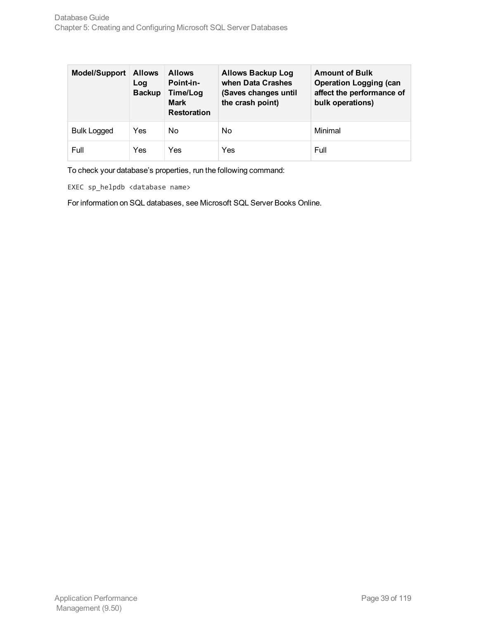| <b>Model/Support</b> | <b>Allows</b><br>Log<br><b>Backup</b> | <b>Allows</b><br>Point-in-<br>Time/Log<br><b>Mark</b><br><b>Restoration</b> | <b>Allows Backup Log</b><br>when Data Crashes<br>(Saves changes until<br>the crash point) | <b>Amount of Bulk</b><br><b>Operation Logging (can</b><br>affect the performance of<br>bulk operations) |
|----------------------|---------------------------------------|-----------------------------------------------------------------------------|-------------------------------------------------------------------------------------------|---------------------------------------------------------------------------------------------------------|
| <b>Bulk Logged</b>   | Yes                                   | No                                                                          | No                                                                                        | Minimal                                                                                                 |
| Full                 | Yes                                   | Yes                                                                         | Yes                                                                                       | Full                                                                                                    |

To check your database's properties, run the following command:

EXEC sp\_helpdb <database name>

For information on SQL databases, see Microsoft SQL Server Books Online.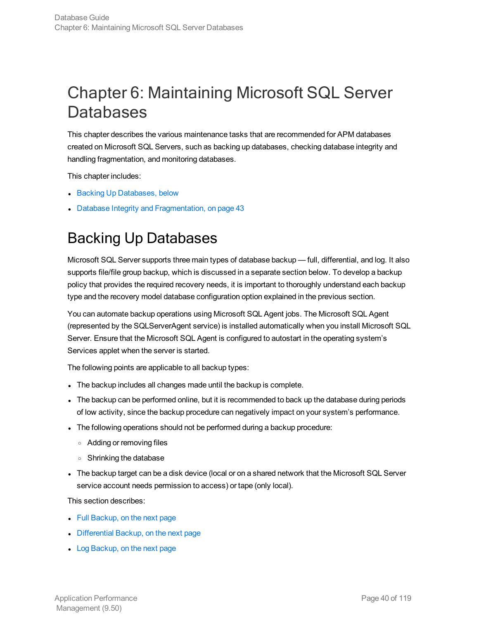# Chapter 6: Maintaining Microsoft SQL Server **Databases**

This chapter describes the various maintenance tasks that are recommended for APM databases created on Microsoft SQL Servers, such as backing up databases, checking database integrity and handling fragmentation, and monitoring databases.

This chapter includes:

- Backing Up [Databases,](#page-39-0) below
- <span id="page-39-0"></span>• Database Integrity and [Fragmentation,](#page-42-0) on page 43

# Backing Up Databases

Microsoft SQL Server supports three main types of database backup — full, differential, and log. It also supports file/file group backup, which is discussed in a separate section below. To develop a backup policy that provides the required recovery needs, it is important to thoroughly understand each backup type and the recovery model database configuration option explained in the previous section.

You can automate backup operations using Microsoft SQL Agent jobs. The Microsoft SQL Agent (represented by the SQLServerAgent service) is installed automatically when you install Microsoft SQL Server. Ensure that the Microsoft SQL Agent is configured to autostart in the operating system's Services applet when the server is started.

The following points are applicable to all backup types:

- The backup includes all changes made until the backup is complete.
- The backup can be performed online, but it is recommended to back up the database during periods of low activity, since the backup procedure can negatively impact on your system's performance.
- The following operations should not be performed during a backup procedure:
	- <sup>o</sup> Adding or removing files
	- <sup>o</sup> Shrinking the database
- The backup target can be a disk device (local or on a shared network that the Microsoft SQL Server service account needs permission to access) or tape (only local).

This section describes:

- $\bullet$  Full [Backup,](#page-40-0) on the next page
- [Differential](#page-40-1) Backup, on the next page
- Log [Backup,](#page-40-2) on the next page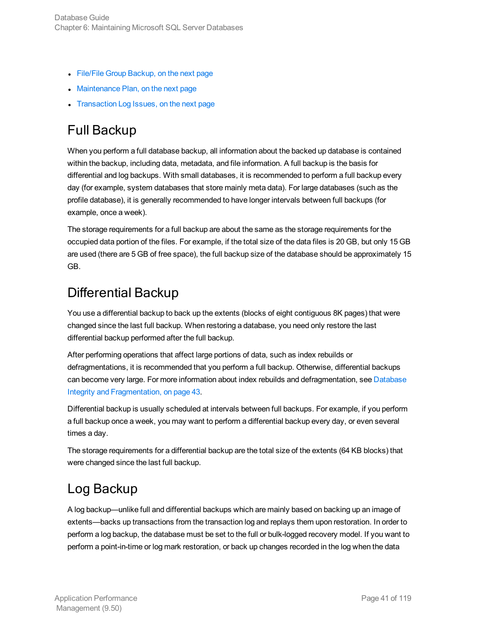- File/File Group [Backup,](#page-41-0) on the next page
- [Maintenance](#page-41-1) Plan, on the next page
- <span id="page-40-0"></span>• [Transaction](#page-41-2) Log Issues, on the next page

# Full Backup

When you perform a full database backup, all information about the backed up database is contained within the backup, including data, metadata, and file information. A full backup is the basis for differential and log backups. With small databases, it is recommended to perform a full backup every day (for example, system databases that store mainly meta data). For large databases (such as the profile database), it is generally recommended to have longer intervals between full backups (for example, once a week).

The storage requirements for a full backup are about the same as the storage requirements for the occupied data portion of the files. For example, if the total size of the data files is 20 GB, but only 15 GB are used (there are 5 GB of free space), the full backup size of the database should be approximately 15 GB.

# <span id="page-40-1"></span>Differential Backup

You use a differential backup to back up the extents (blocks of eight contiguous 8K pages) that were changed since the last full backup. When restoring a database, you need only restore the last differential backup performed after the full backup.

After performing operations that affect large portions of data, such as index rebuilds or defragmentations, it is recommended that you perform a full backup. Otherwise, differential backups can become very large. For more information about index rebuilds and defragmentation, see [Database](#page-42-0) Integrity and [Fragmentation,](#page-42-0) on page 43.

Differential backup is usually scheduled at intervals between full backups. For example, if you perform a full backup once a week, you may want to perform a differential backup every day, or even several times a day.

The storage requirements for a differential backup are the total size of the extents (64 KB blocks) that were changed since the last full backup.

# <span id="page-40-2"></span>Log Backup

A log backup—unlike full and differential backups which are mainly based on backing up an image of extents—backs up transactions from the transaction log and replays them upon restoration. In order to perform a log backup, the database must be set to the full or bulk-logged recovery model. If you want to perform a point-in-time or log mark restoration, or back up changes recorded in the log when the data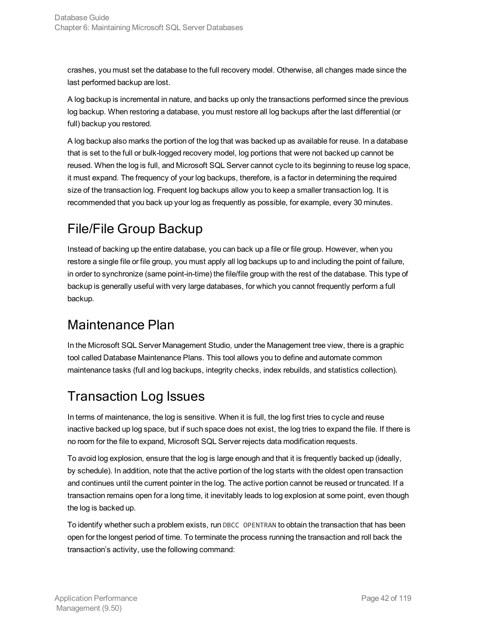crashes, you must set the database to the full recovery model. Otherwise, all changes made since the last performed backup are lost.

A log backup is incremental in nature, and backs up only the transactions performed since the previous log backup. When restoring a database, you must restore all log backups after the last differential (or full) backup you restored.

A log backup also marks the portion of the log that was backed up as available for reuse. In a database that is set to the full or bulk-logged recovery model, log portions that were not backed up cannot be reused. When the log is full, and Microsoft SQL Server cannot cycle to its beginning to reuse log space, it must expand. The frequency of your log backups, therefore, is a factor in determining the required size of the transaction log. Frequent log backups allow you to keep a smaller transaction log. It is recommended that you back up your log as frequently as possible, for example, every 30 minutes.

# <span id="page-41-0"></span>File/File Group Backup

Instead of backing up the entire database, you can back up a file or file group. However, when you restore a single file or file group, you must apply all log backups up to and including the point of failure, in order to synchronize (same point-in-time) the file/file group with the rest of the database. This type of backup is generally useful with very large databases, for which you cannot frequently perform a full backup.

# <span id="page-41-1"></span>Maintenance Plan

In the Microsoft SQL Server Management Studio, under the Management tree view, there is a graphic tool called Database Maintenance Plans. This tool allows you to define and automate common maintenance tasks (full and log backups, integrity checks, index rebuilds, and statistics collection).

# <span id="page-41-2"></span>Transaction Log Issues

In terms of maintenance, the log is sensitive. When it is full, the log first tries to cycle and reuse inactive backed up log space, but if such space does not exist, the log tries to expand the file. If there is no room for the file to expand, Microsoft SQL Server rejects data modification requests.

To avoid log explosion, ensure that the log is large enough and that it is frequently backed up (ideally, by schedule). In addition, note that the active portion of the log starts with the oldest open transaction and continues until the current pointer in the log. The active portion cannot be reused or truncated. If a transaction remains open for a long time, it inevitably leads to log explosion at some point, even though the log is backed up.

To identify whether such a problem exists, run DBCC OPENTRAN to obtain the transaction that has been open for the longest period of time. To terminate the process running the transaction and roll back the transaction's activity, use the following command: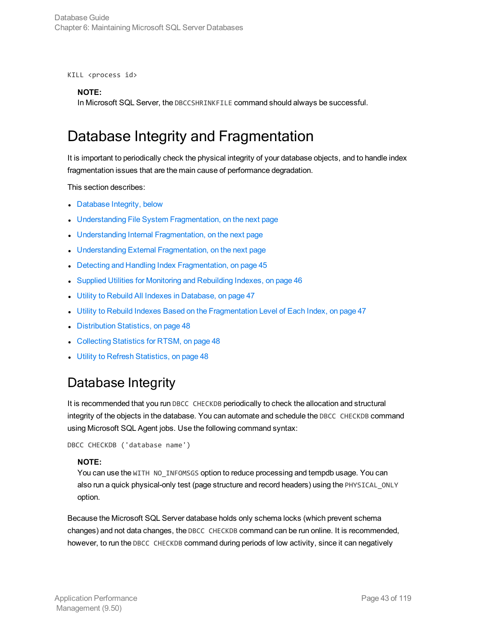KILL <process id>

#### **NOTE:**

<span id="page-42-0"></span>In Microsoft SQL Server, the DBCCSHRINKFILE command should always be successful.

# Database Integrity and Fragmentation

It is important to periodically check the physical integrity of your database objects, and to handle index fragmentation issues that are the main cause of performance degradation.

This section describes:

- [Database](#page-42-1) Integrity, below
- **J** Understanding File System [Fragmentation,](#page-43-0) on the next page
- Understanding Internal [Fragmentation,](#page-43-1) on the next page
- Understanding External [Fragmentation,](#page-43-2) on the next page
- Detecting and Handling Index [Fragmentation,](#page-44-0) on page 45
- Supplied Utilities for Monitoring and [Rebuilding](#page-45-0) Indexes, on page 46
- **Utility to Rebuild All Indexes in [Database,](#page-46-0) on page 47**
- Utility to Rebuild Indexes Based on the [Fragmentation](#page-46-1) Level of Each Index, on page 47
- [Distribution](#page-47-0) Statistics, on page 48
- [Collecting](#page-47-1) Statistics for RTSM, on page 48
- <span id="page-42-1"></span>**.** Utility to Refresh [Statistics,](#page-47-2) on page 48

### Database Integrity

It is recommended that you run DBCC CHECKDB periodically to check the allocation and structural integrity of the objects in the database. You can automate and schedule the DBCC CHECKDB command using Microsoft SQL Agent jobs. Use the following command syntax:

```
DBCC CHECKDB ('database name')
```
#### **NOTE:**

You can use the WITH NO\_INFOMSGS option to reduce processing and tempdb usage. You can also run a quick physical-only test (page structure and record headers) using the PHYSICAL\_ONLY option.

Because the Microsoft SQL Server database holds only schema locks (which prevent schema changes) and not data changes, the DBCC CHECKDB command can be run online. It is recommended, however, to run the DBCC CHECKDB command during periods of low activity, since it can negatively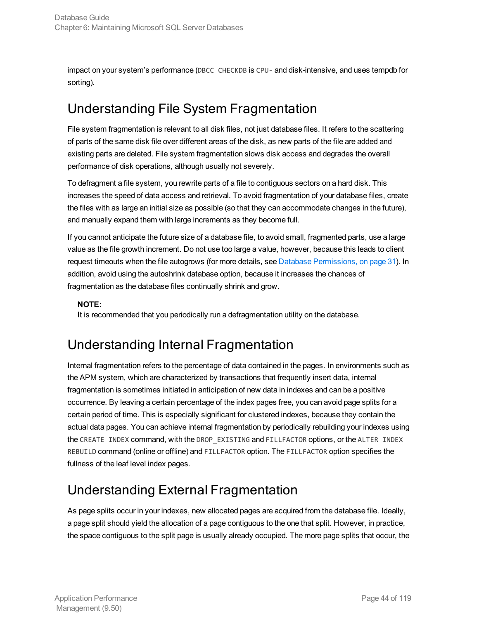impact on your system's performance (DBCC CHECKDB is CPU- and disk-intensive, and uses tempdb for sorting).

# <span id="page-43-0"></span>Understanding File System Fragmentation

File system fragmentation is relevant to all disk files, not just database files. It refers to the scattering of parts of the same disk file over different areas of the disk, as new parts of the file are added and existing parts are deleted. File system fragmentation slows disk access and degrades the overall performance of disk operations, although usually not severely.

To defragment a file system, you rewrite parts of a file to contiguous sectors on a hard disk. This increases the speed of data access and retrieval. To avoid fragmentation of your database files, create the files with as large an initial size as possible (so that they can accommodate changes in the future), and manually expand them with large increments as they become full.

If you cannot anticipate the future size of a database file, to avoid small, fragmented parts, use a large value as the file growth increment. Do not use too large a value, however, because this leads to client request timeouts when the file autogrows (for more details, see Database [Permissions,](#page-30-0) on page 31). In addition, avoid using the autoshrink database option, because it increases the chances of fragmentation as the database files continually shrink and grow.

#### **NOTE:**

<span id="page-43-1"></span>It is recommended that you periodically run a defragmentation utility on the database.

### Understanding Internal Fragmentation

Internal fragmentation refers to the percentage of data contained in the pages. In environments such as the APM system, which are characterized by transactions that frequently insert data, internal fragmentation is sometimes initiated in anticipation of new data in indexes and can be a positive occurrence. By leaving a certain percentage of the index pages free, you can avoid page splits for a certain period of time. This is especially significant for clustered indexes, because they contain the actual data pages. You can achieve internal fragmentation by periodically rebuilding your indexes using the CREATE INDEX command, with the DROP EXISTING and FILLFACTOR options, or the ALTER INDEX REBUILD command (online or offline) and FILLFACTOR option. The FILLFACTOR option specifies the fullness of the leaf level index pages.

# <span id="page-43-2"></span>Understanding External Fragmentation

As page splits occur in your indexes, new allocated pages are acquired from the database file. Ideally, a page split should yield the allocation of a page contiguous to the one that split. However, in practice, the space contiguous to the split page is usually already occupied. The more page splits that occur, the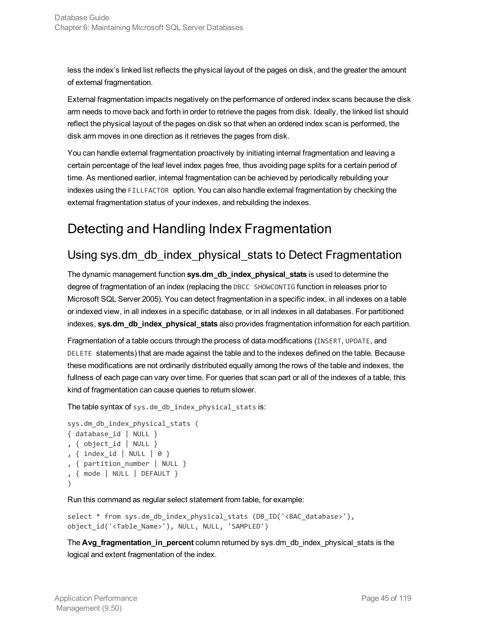less the index's linked list reflects the physical layout of the pages on disk, and the greater the amount of external fragmentation.

External fragmentation impacts negatively on the performance of ordered index scans because the disk arm needs to move back and forth in order to retrieve the pages from disk. Ideally, the linked list should reflect the physical layout of the pages on disk so that when an ordered index scan is performed, the disk arm moves in one direction as it retrieves the pages from disk.

You can handle external fragmentation proactively by initiating internal fragmentation and leaving a certain percentage of the leaf level index pages free, thus avoiding page splits for a certain period of time. As mentioned earlier, internal fragmentation can be achieved by periodically rebuilding your indexes using the FILLFACTOR option. You can also handle external fragmentation by checking the external fragmentation status of your indexes, and rebuilding the indexes.

# <span id="page-44-0"></span>Detecting and Handling Index Fragmentation

### Using sys.dm\_db\_index\_physical\_stats to Detect Fragmentation

The dynamic management function **sys.dm\_db\_index\_physical\_stats** is used to determine the degree of fragmentation of an index (replacing the DBCC SHOWCONTIG function in releases prior to Microsoft SQL Server 2005). You can detect fragmentation in a specific index, in all indexes on a table or indexed view, in all indexes in a specific database, or in all indexes in all databases. For partitioned indexes, **sys.dm\_db\_index\_physical\_stats** also provides fragmentation information for each partition.

Fragmentation of a table occurs through the process of data modifications (INSERT, UPDATE, and DELETE statements) that are made against the table and to the indexes defined on the table. Because these modifications are not ordinarily distributed equally among the rows of the table and indexes, the fullness of each page can vary over time. For queries that scan part or all of the indexes of a table, this kind of fragmentation can cause queries to return slower.

The table syntax of sys.dm\_db\_index\_physical\_stats is:

```
sys.dm_db_index_physical_stats (
{ database_id | NULL }
, { object_id | NULL }
, { index_id | NULL | 0 }
, { partition_number | NULL }
, { mode | NULL | DEFAULT }
)
```
Run this command as regular select statement from table, for example:

```
select * from sys.dm_db_index_physical_stats (DB_ID('<BAC_database>'),
object_id('<Table_Name>'), NULL, NULL, 'SAMPLED')
```
The **Avg\_fragmentation\_in\_percent** column returned by sys.dm\_db\_index\_physical\_stats is the logical and extent fragmentation of the index.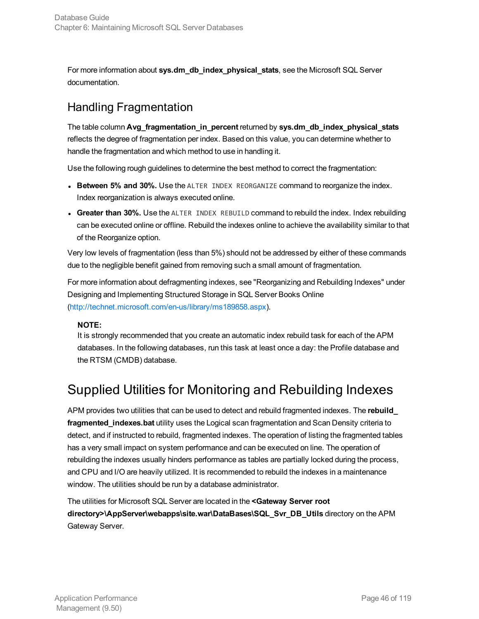For more information about **sys.dm\_db\_index\_physical\_stats**, see the Microsoft SQL Server documentation.

### Handling Fragmentation

The table column **Avg\_fragmentation\_in\_percent** returned by **sys.dm\_db\_index\_physical\_stats** reflects the degree of fragmentation per index. Based on this value, you can determine whether to handle the fragmentation and which method to use in handling it.

Use the following rough guidelines to determine the best method to correct the fragmentation:

- **Between 5% and 30%.** Use the ALTER INDEX REORGANIZE command to reorganize the index. Index reorganization is always executed online.
- **. Greater than 30%.** Use the ALTER INDEX REBUILD command to rebuild the index. Index rebuilding can be executed online or offline. Rebuild the indexes online to achieve the availability similar to that of the Reorganize option.

Very low levels of fragmentation (less than 5%) should not be addressed by either of these commands due to the negligible benefit gained from removing such a small amount of fragmentation.

For more information about defragmenting indexes, see "Reorganizing and Rebuilding Indexes" under Designing and Implementing Structured Storage in SQL Server Books Online [\(http://technet.microsoft.com/en-us/library/ms189858.aspx](http://technet.microsoft.com/en-us/library/ms189858.aspx)).

#### **NOTE:**

It is strongly recommended that you create an automatic index rebuild task for each of the APM databases. In the following databases, run this task at least once a day: the Profile database and the RTSM (CMDB) database.

# <span id="page-45-0"></span>Supplied Utilities for Monitoring and Rebuilding Indexes

APM provides two utilities that can be used to detect and rebuild fragmented indexes. The **rebuild\_ fragmented\_indexes.bat** utility uses the Logical scan fragmentation and Scan Density criteria to detect, and if instructed to rebuild, fragmented indexes. The operation of listing the fragmented tables has a very small impact on system performance and can be executed on line. The operation of rebuilding the indexes usually hinders performance as tables are partially locked during the process, and CPU and I/O are heavily utilized. It is recommended to rebuild the indexes in a maintenance window. The utilities should be run by a database administrator.

The utilities for Microsoft SQL Server are located in the **<Gateway Server root directory>\AppServer\webapps\site.war\DataBases\SQL\_Svr\_DB\_Utils** directory on the APM Gateway Server.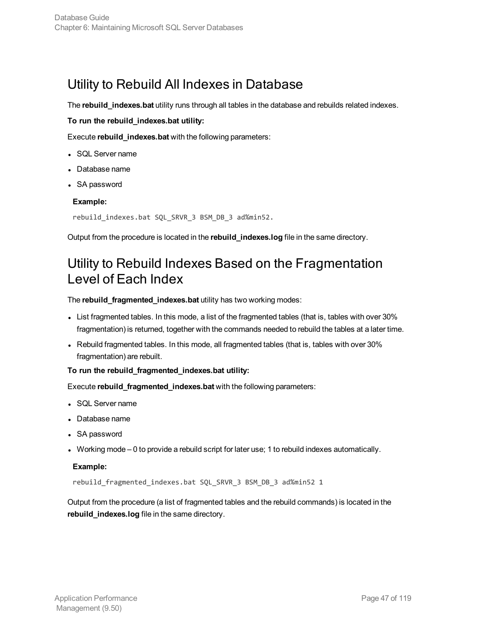### <span id="page-46-0"></span>Utility to Rebuild All Indexes in Database

The **rebuild\_indexes.bat** utility runs through all tables in the database and rebuilds related indexes.

#### **To run the rebuild\_indexes.bat utility:**

Execute **rebuild\_indexes.bat** with the following parameters:

- SQL Server name
- Database name
- SA password

#### **Example:**

rebuild\_indexes.bat SQL\_SRVR\_3 BSM\_DB\_3 ad%min52.

<span id="page-46-1"></span>Output from the procedure is located in the **rebuild\_indexes.log** file in the same directory.

### Utility to Rebuild Indexes Based on the Fragmentation Level of Each Index

The **rebuild\_fragmented\_indexes.bat** utility has two working modes:

- List fragmented tables. In this mode, a list of the fragmented tables (that is, tables with over 30% fragmentation) is returned, together with the commands needed to rebuild the tables at a later time.
- Rebuild fragmented tables. In this mode, all fragmented tables (that is, tables with over 30% fragmentation) are rebuilt.

#### **To run the rebuild\_fragmented\_indexes.bat utility:**

Execute **rebuild\_fragmented\_indexes.bat** with the following parameters:

- SQL Server name
- Database name
- SA password
- Working mode 0 to provide a rebuild script for later use; 1 to rebuild indexes automatically.

#### **Example:**

rebuild\_fragmented\_indexes.bat SQL\_SRVR\_3 BSM\_DB\_3 ad%min52 1

Output from the procedure (a list of fragmented tables and the rebuild commands) is located in the **rebuild\_indexes.log** file in the same directory.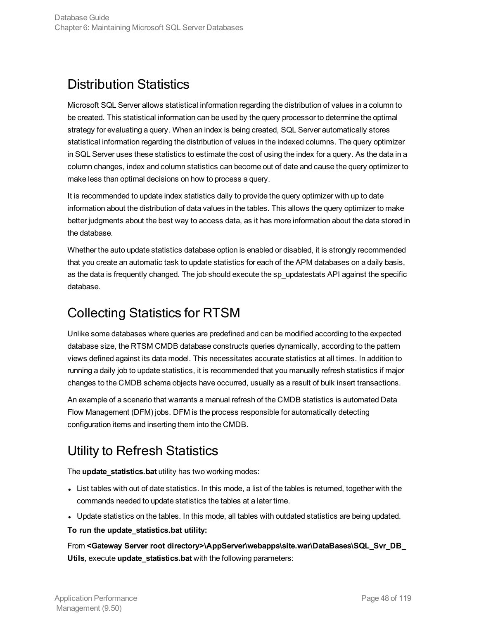# <span id="page-47-0"></span>Distribution Statistics

Microsoft SQL Server allows statistical information regarding the distribution of values in a column to be created. This statistical information can be used by the query processor to determine the optimal strategy for evaluating a query. When an index is being created, SQL Server automatically stores statistical information regarding the distribution of values in the indexed columns. The query optimizer in SQL Server uses these statistics to estimate the cost of using the index for a query. As the data in a column changes, index and column statistics can become out of date and cause the query optimizer to make less than optimal decisions on how to process a query.

It is recommended to update index statistics daily to provide the query optimizer with up to date information about the distribution of data values in the tables. This allows the query optimizer to make better judgments about the best way to access data, as it has more information about the data stored in the database.

Whether the auto update statistics database option is enabled or disabled, it is strongly recommended that you create an automatic task to update statistics for each of the APM databases on a daily basis, as the data is frequently changed. The job should execute the sp\_updatestats API against the specific database.

# <span id="page-47-1"></span>Collecting Statistics for RTSM

Unlike some databases where queries are predefined and can be modified according to the expected database size, the RTSM CMDB database constructs queries dynamically, according to the pattern views defined against its data model. This necessitates accurate statistics at all times. In addition to running a daily job to update statistics, it is recommended that you manually refresh statistics if major changes to the CMDB schema objects have occurred, usually as a result of bulk insert transactions.

An example of a scenario that warrants a manual refresh of the CMDB statistics is automated Data Flow Management (DFM) jobs. DFM is the process responsible for automatically detecting configuration items and inserting them into the CMDB.

# <span id="page-47-2"></span>Utility to Refresh Statistics

The **update\_statistics.bat** utility has two working modes:

- List tables with out of date statistics. In this mode, a list of the tables is returned, together with the commands needed to update statistics the tables at a later time.
- Update statistics on the tables. In this mode, all tables with outdated statistics are being updated.

#### **To run the update\_statistics.bat utility:**

From **<Gateway Server root directory>\AppServer\webapps\site.war\DataBases\SQL\_Svr\_DB\_ Utils**, execute **update\_statistics.bat** with the following parameters: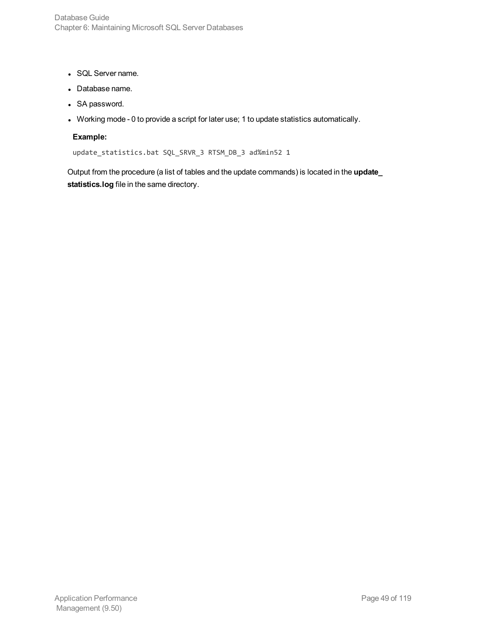- SQL Server name.
- Database name.
- SA password.
- Working mode 0 to provide a script for later use; 1 to update statistics automatically.

#### **Example:**

update\_statistics.bat SQL\_SRVR\_3 RTSM\_DB\_3 ad%min52 1

Output from the procedure (a list of tables and the update commands) is located in the **update\_ statistics.log** file in the same directory.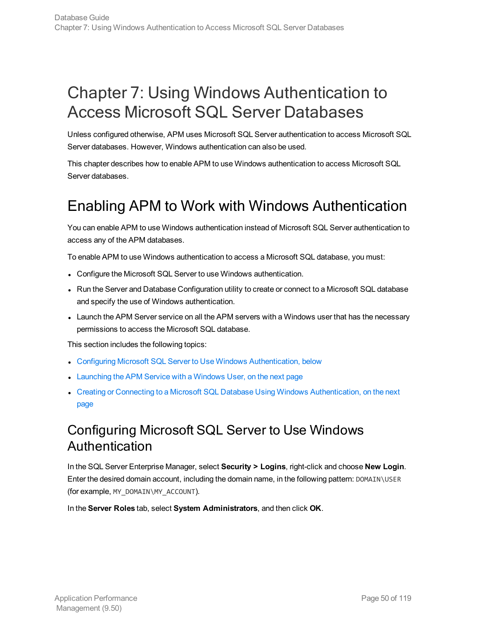# Chapter 7: Using Windows Authentication to Access Microsoft SQL Server Databases

Unless configured otherwise, APM uses Microsoft SQL Server authentication to access Microsoft SQL Server databases. However, Windows authentication can also be used.

This chapter describes how to enable APM to use Windows authentication to access Microsoft SQL Server databases.

# Enabling APM to Work with Windows Authentication

You can enable APM to use Windows authentication instead of Microsoft SQL Server authentication to access any of the APM databases.

To enable APM to use Windows authentication to access a Microsoft SQL database, you must:

- Configure the Microsoft SQL Server to use Windows authentication.
- Run the Server and Database Configuration utility to create or connect to a Microsoft SQL database and specify the use of Windows authentication.
- Launch the APM Server service on all the APM servers with a Windows user that has the necessary permissions to access the Microsoft SQL database.

This section includes the following topics:

- **Configuring Microsoft SQL Server to Use Windows [Authentication,](#page-49-0) below**
- [Launching](#page-50-0) the APM Service with a Windows User, on the next page
- Creating or Connecting to a Microsoft SQL Database Using Windows [Authentication,](#page-50-1) on the next [page](#page-50-1)

### <span id="page-49-0"></span>Configuring Microsoft SQL Server to Use Windows Authentication

In the SQL Server Enterprise Manager, select **Security > Logins**, right-click and choose **New Login**. Enter the desired domain account, including the domain name, in the following pattern: DOMAIN\USER (for example, MY\_DOMAIN\MY\_ACCOUNT).

In the **Server Roles** tab, select **System Administrators**, and then click **OK**.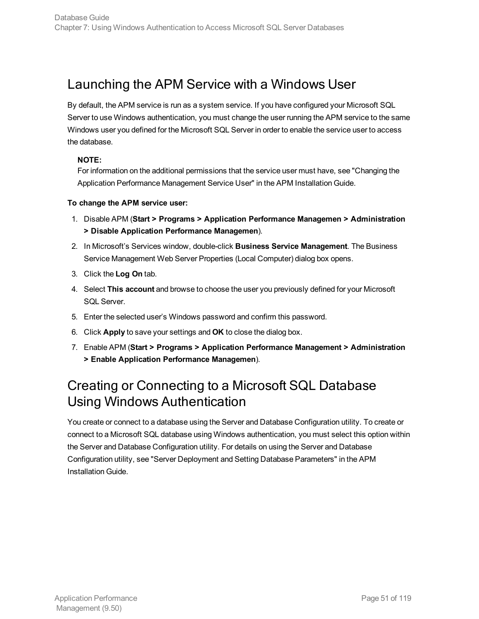# <span id="page-50-0"></span>Launching the APM Service with a Windows User

By default, the APM service is run as a system service. If you have configured your Microsoft SQL Server to use Windows authentication, you must change the user running the APM service to the same Windows user you defined for the Microsoft SQL Server in order to enable the service user to access the database.

#### **NOTE:**

For information on the additional permissions that the service user must have, see "Changing the Application Performance Management Service User" in the APM Installation Guide.

#### **To change the APM service user:**

- 1. Disable APM (**Start > Programs > Application Performance Managemen > Administration > Disable Application Performance Managemen**).
- 2. In Microsoft's Services window, double-click **Business Service Management**. The Business Service Management Web Server Properties (Local Computer) dialog box opens.
- 3. Click the **Log On** tab.
- 4. Select **This account** and browse to choose the user you previously defined for your Microsoft SQL Server.
- 5. Enter the selected user's Windows password and confirm this password.
- 6. Click **Apply** to save your settings and **OK** to close the dialog box.
- 7. Enable APM (**Start > Programs > Application Performance Management > Administration > Enable Application Performance Managemen**).

### <span id="page-50-1"></span>Creating or Connecting to a Microsoft SQL Database Using Windows Authentication

You create or connect to a database using the Server and Database Configuration utility. To create or connect to a Microsoft SQL database using Windows authentication, you must select this option within the Server and Database Configuration utility. For details on using the Server and Database Configuration utility, see "Server Deployment and Setting Database Parameters" in the APM Installation Guide.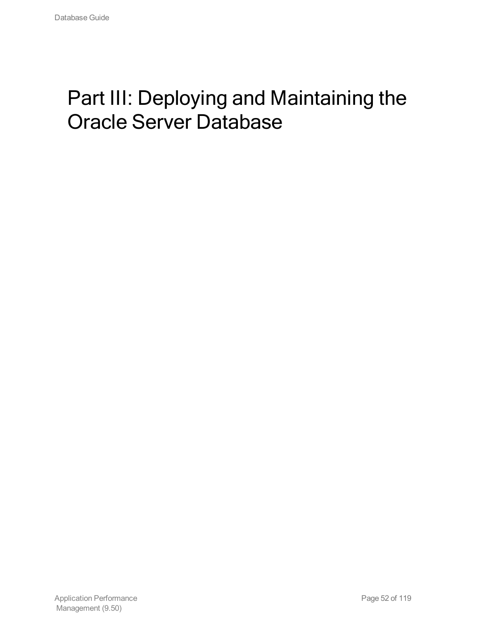# Part III: Deploying and Maintaining the Oracle Server Database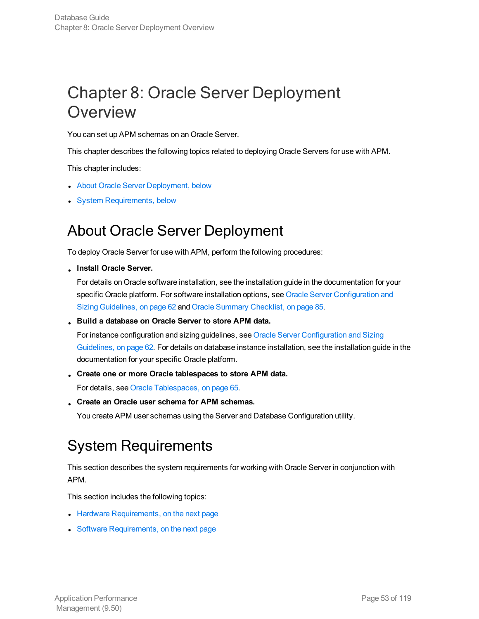# Chapter 8: Oracle Server Deployment **Overview**

You can set up APM schemas on an Oracle Server.

This chapter describes the following topics related to deploying Oracle Servers for use with APM.

This chapter includes:

- **About Oracle Server [Deployment,](#page-52-0) below**
- <span id="page-52-0"></span>• System [Requirements,](#page-52-1) below

# About Oracle Server Deployment

To deploy Oracle Server for use with APM, perform the following procedures:

<sup>l</sup> **Install Oracle Server.**

For details on Oracle software installation, see the installation guide in the documentation for your specific Oracle platform. For software installation options, see Oracle Server [Configuration](#page-61-0) and Sizing [Guidelines,](#page-61-0) on page 62 and Oracle Summary [Checklist,](#page-84-0) on page 85.

<sup>l</sup> **Build a database on Oracle Server to store APM data.**

For instance configuration and sizing guidelines, see Oracle Server [Configuration](#page-61-0) and Sizing [Guidelines,](#page-61-0) on page 62. For details on database instance installation, see the installation guide in the documentation for your specific Oracle platform.

<sup>l</sup> **Create one or more Oracle tablespaces to store APM data.**

For details, see Oracle [Tablespaces,](#page-64-0) on page 65.

<sup>l</sup> **Create an Oracle user schema for APM schemas.**

<span id="page-52-1"></span>You create APM user schemas using the Server and Database Configuration utility.

# System Requirements

This section describes the system requirements for working with Oracle Server in conjunction with APM.

This section includes the following topics:

- Hardware [Requirements,](#page-53-0) on the next page
- Software [Requirements,](#page-53-1) on the next page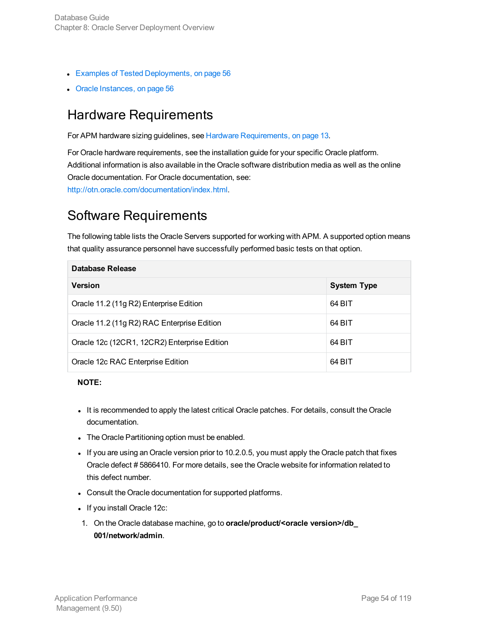- Examples of Tested [Deployments,](#page-55-0) on page 56
- <span id="page-53-0"></span>• Oracle [Instances,](#page-55-1) on page 56

### Hardware Requirements

For APM hardware sizing guidelines, see Hardware [Requirements,](#page-12-0) on page 13.

For Oracle hardware requirements, see the installation guide for your specific Oracle platform. Additional information is also available in the Oracle software distribution media as well as the online Oracle documentation. For Oracle documentation, see: <http://otn.oracle.com/documentation/index.html>.

### <span id="page-53-1"></span>Software Requirements

The following table lists the Oracle Servers supported for working with APM. A supported option means that quality assurance personnel have successfully performed basic tests on that option.

| Database Release                             |                    |  |  |  |  |
|----------------------------------------------|--------------------|--|--|--|--|
| <b>Version</b>                               | <b>System Type</b> |  |  |  |  |
| Oracle 11.2 (11g R2) Enterprise Edition      | 64 BIT             |  |  |  |  |
| Oracle 11.2 (11g R2) RAC Enterprise Edition  | 64 BIT             |  |  |  |  |
| Oracle 12c (12CR1, 12CR2) Enterprise Edition | 64 BIT             |  |  |  |  |
| Oracle 12c RAC Enterprise Edition            | 64 BIT             |  |  |  |  |

#### **NOTE:**

- It is recommended to apply the latest critical Oracle patches. For details, consult the Oracle documentation.
- The Oracle Partitioning option must be enabled.
- If you are using an Oracle version prior to 10.2.0.5, you must apply the Oracle patch that fixes Oracle defect # 5866410. For more details, see the Oracle website for information related to this defect number.
- Consult the Oracle documentation for supported platforms.
- If you install Oracle 12c:
- 1. On the Oracle database machine, go to **oracle/product/<oracle version>/db\_ 001/network/admin**.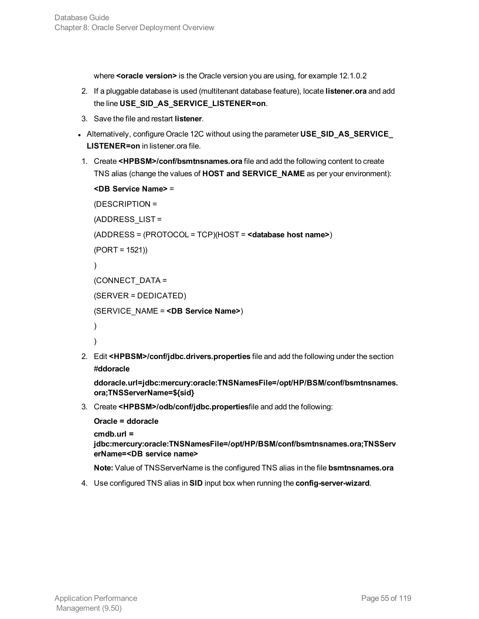where **<oracle version>** is the Oracle version you are using, for example 12.1.0.2

- 2. If a pluggable database is used (multitenant database feature), locate **listener.ora** and add the line **USE\_SID\_AS\_SERVICE\_LISTENER=on**.
- 3. Save the file and restart **listener**.
- <sup>l</sup> Alternatively, configure Oracle 12C without using the parameter **USE\_SID\_AS\_SERVICE\_ LISTENER=on** in listener.ora file.
- 1. Create **<HPBSM>/conf/bsmtnsnames.ora** file and add the following content to create TNS alias (change the values of **HOST and SERVICE\_NAME** as per your environment):

```
<DB Service Name> =
(DESCRIPTION =
(ADDRESS_LIST =
(ADDRESS = (PROTOCOL = TCP)(HOST = <database host name>)
(PORT = 1521))
)
(CONNECT_DATA =
(SERVER = DEDICATED)
(SERVICE_NAME = <DB Service Name>)
)
)
```
2. Edit **<HPBSM>/conf/jdbc.drivers.properties** file and add the following under the section #**ddoracle**

```
ddoracle.url=jdbc:mercury:oracle:TNSNamesFile=/opt/HP/BSM/conf/bsmtnsnames.
ora;TNSServerName=${sid}
```
3. Create **<HPBSM>/odb/conf/jdbc.properties**file and add the following:

```
Oracle = ddoracle
```

```
cmdb.url =
```

```
jdbc:mercury:oracle:TNSNamesFile=/opt/HP/BSM/conf/bsmtnsnames.ora;TNSServ
erName=<DB service name>
```
**Note:** Value of TNSServerName is the configured TNS alias in the file **bsmtnsnames.ora**

4. Use configured TNS alias in **SID** input box when running the **config-server-wizard**.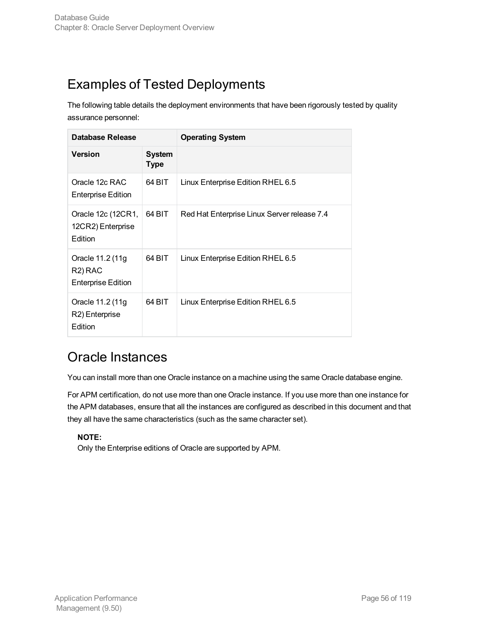# <span id="page-55-0"></span>Examples of Tested Deployments

The following table details the deployment environments that have been rigorously tested by quality assurance personnel:

| Database Release                                                      |                              | <b>Operating System</b>                     |
|-----------------------------------------------------------------------|------------------------------|---------------------------------------------|
| <b>Version</b>                                                        | <b>System</b><br><b>Type</b> |                                             |
| Oracle 12c RAC<br>Enterprise Edition                                  | 64 BIT                       | Linux Enterprise Edition RHEL 6.5           |
| Oracle 12c (12CR1,<br>12CR2) Enterprise<br>Edition                    | 64 BIT                       | Red Hat Enterprise Linux Server release 7.4 |
| Oracle 11.2 (11g<br>R <sub>2</sub> ) RAC<br><b>Enterprise Edition</b> | 64 BIT                       | Linux Enterprise Edition RHEL 6.5           |
| Oracle 11.2 (11g<br>R2) Enterprise<br>Edition                         | 64 BIT                       | Linux Enterprise Edition RHEL 6.5           |

# <span id="page-55-1"></span>Oracle Instances

You can install more than one Oracle instance on a machine using the same Oracle database engine.

For APM certification, do not use more than one Oracle instance. If you use more than one instance for the APM databases, ensure that all the instances are configured as described in this document and that they all have the same characteristics (such as the same character set).

#### **NOTE:**

Only the Enterprise editions of Oracle are supported by APM.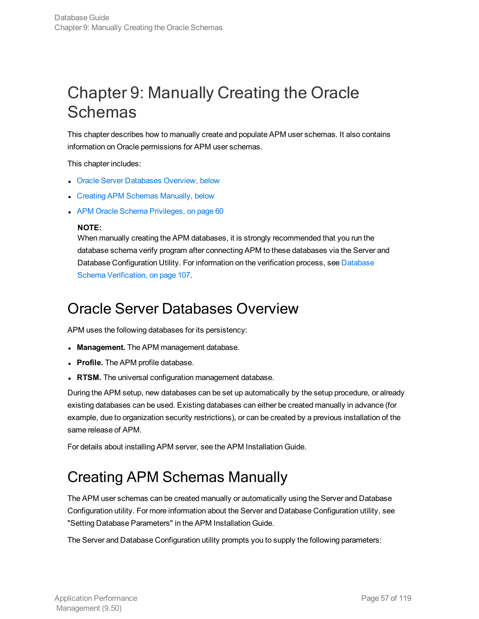# Chapter 9: Manually Creating the Oracle **Schemas**

This chapter describes how to manually create and populate APM user schemas. It also contains information on Oracle permissions for APM user schemas.

This chapter includes:

- **.** Oracle Server [Databases](#page-56-0) Overview, below
- Creating APM Schemas [Manually,](#page-56-1) below
- APM Oracle Schema [Privileges,](#page-59-0) on page 60

#### **NOTE:**

When manually creating the APM databases, it is strongly recommended that you run the database schema verify program after connecting APM to these databases via the Server and [Database](#page-106-0) Configuration Utility. For information on the verification process, see Database Schema [Verification,](#page-106-0) on page 107.

# <span id="page-56-0"></span>Oracle Server Databases Overview

APM uses the following databases for its persistency:

- **Management.** The APM management database.
- **Profile.** The APM profile database.
- **RTSM.** The universal configuration management database.

During the APM setup, new databases can be set up automatically by the setup procedure, or already existing databases can be used. Existing databases can either be created manually in advance (for example, due to organization security restrictions), or can be created by a previous installation of the same release of APM.

<span id="page-56-1"></span>For details about installing APM server, see the APM Installation Guide.

# Creating APM Schemas Manually

The APM user schemas can be created manually or automatically using the Server and Database Configuration utility. For more information about the Server and Database Configuration utility, see "Setting Database Parameters" in the APM Installation Guide.

The Server and Database Configuration utility prompts you to supply the following parameters: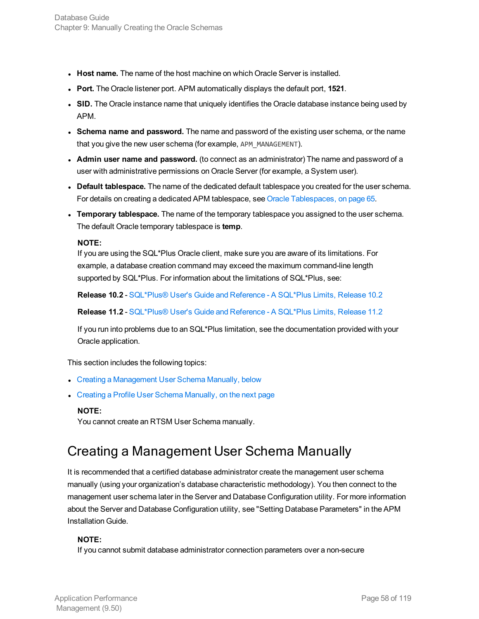- **Host name.** The name of the host machine on which Oracle Server is installed.
- **Port.** The Oracle listener port. APM automatically displays the default port, 1521.
- SID. The Oracle instance name that uniquely identifies the Oracle database instance being used by APM.
- <sup>l</sup> **Schema name and password.** The name and password of the existing user schema, or the name that you give the new user schema (for example, APM\_MANAGEMENT).
- <sup>l</sup> **Admin user name and password.** (to connect as an administrator) The name and password of a user with administrative permissions on Oracle Server (for example, a System user).
- <sup>l</sup> **Default tablespace.** The name of the dedicated default tablespace you created for the user schema. For details on creating a dedicated APM tablespace, see Oracle [Tablespaces,](#page-64-0) on page 65.
- <sup>l</sup> **Temporary tablespace.** The name of the temporary tablespace you assigned to the user schema. The default Oracle temporary tablespace is **temp**.

#### **NOTE:**

If you are using the SQL\*Plus Oracle client, make sure you are aware of its limitations. For example, a database creation command may exceed the maximum command-line length supported by SQL\*Plus. For information about the limitations of SQL\*Plus, see:

**Release 10.2** - [SQL\\*Plus®](http://docs.oracle.com/cd/B19306_01/server.102/b14357/apa.htm#SQPUG141) User's Guide and Reference - A SQL\*Plus Limits, Release 10.2

**Release 11.2** - [SQL\\*Plus®](http://docs.oracle.com/cd/E11882_01/server.112/e16604/apa.htm#SQPUG141) User's Guide and Reference - A SQL\*Plus Limits, Release 11.2

If you run into problems due to an SQL\*Plus limitation, see the documentation provided with your Oracle application.

This section includes the following topics:

- Creating a [Management](#page-57-0) User Schema Manually, below
- Creating a Profile User Schema [Manually,](#page-58-0) on the next page

#### **NOTE:**

<span id="page-57-0"></span>You cannot create an RTSM User Schema manually.

# Creating a Management User Schema Manually

It is recommended that a certified database administrator create the management user schema manually (using your organization's database characteristic methodology). You then connect to the management user schema later in the Server and Database Configuration utility. For more information about the Server and Database Configuration utility, see "Setting Database Parameters" in the APM Installation Guide.

#### **NOTE:**

If you cannot submit database administrator connection parameters over a non-secure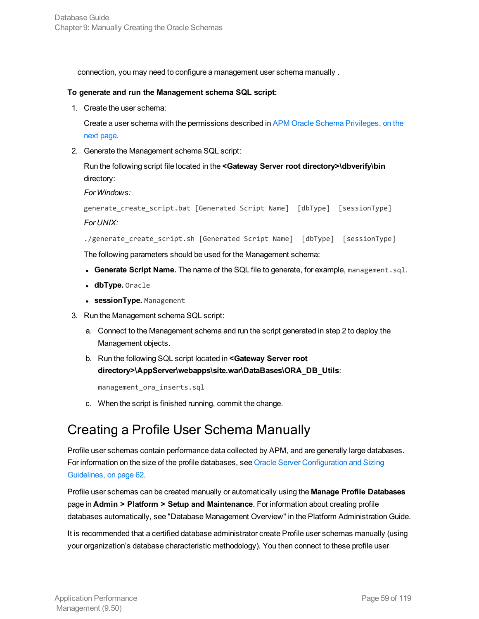connection, you may need to configure a management user schema manually .

#### **To generate and run the Management schema SQL script:**

1. Create the user schema:

Create a user schema with the permissions described in APM Oracle Schema [Privileges,](#page-59-0) on the next [page](#page-59-0).

2. Generate the Management schema SQL script:

Run the following script file located in the **<Gateway Server root directory>\dbverify\bin** directory:

*For Windows:*

```
generate_create_script.bat [Generated Script Name] [dbType] [sessionType]
For UNIX:
```

```
./generate_create_script.sh [Generated Script Name] [dbType] [sessionType]
```
The following parameters should be used for the Management schema:

- <sup>l</sup> **Generate Script Name.** The name of the SQL file to generate, for example, management.sql.
- dbType. Oracle
- **.** sessionType. Management
- 3. Run the Management schema SQL script:
	- a. Connect to the Management schema and run the script generated in step 2 to deploy the Management objects.
	- b. Run the following SQL script located in **<Gateway Server root directory>\AppServer\webapps\site.war\DataBases\ORA\_DB\_Utils**:

management\_ora\_inserts.sql

c. When the script is finished running, commit the change.

### <span id="page-58-0"></span>Creating a Profile User Schema Manually

Profile user schemas contain performance data collected by APM, and are generally large databases. For information on the size of the profile databases, see Oracle Server [Configuration](#page-61-0) and Sizing [Guidelines,](#page-61-0) on page 62.

Profile user schemas can be created manually or automatically using the **Manage Profile Databases** page in **Admin > Platform > Setup and Maintenance**. For information about creating profile databases automatically, see "Database Management Overview" in the Platform Administration Guide.

It is recommended that a certified database administrator create Profile user schemas manually (using your organization's database characteristic methodology). You then connect to these profile user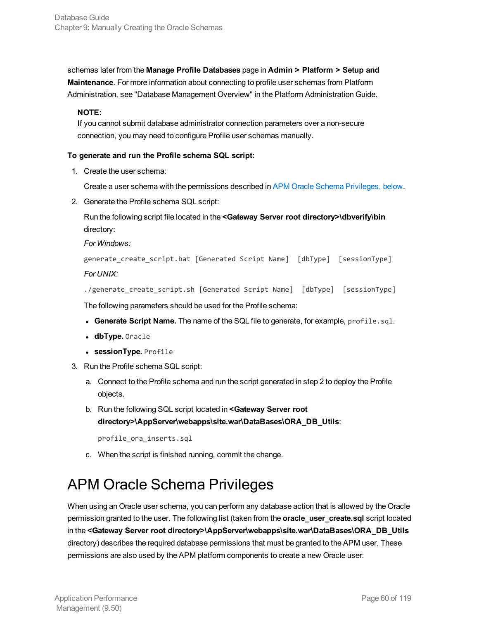schemas later from the **Manage Profile Databases** page in **Admin > Platform > Setup and Maintenance**. For more information about connecting to profile user schemas from Platform Administration, see "Database Management Overview" in the Platform Administration Guide.

#### **NOTE:**

If you cannot submit database administrator connection parameters over a non-secure connection, you may need to configure Profile user schemas manually.

#### **To generate and run the Profile schema SQL script:**

1. Create the user schema:

Create a user schema with the permissions described in APM Oracle Schema [Privileges,](#page-59-0) below.

2. Generate the Profile schema SQL script:

Run the following script file located in the **<Gateway Server root directory>\dbverify\bin** directory:

*For Windows:*

```
generate_create_script.bat [Generated Script Name] [dbType] [sessionType]
For UNIX:
```

```
./generate_create_script.sh [Generated Script Name] [dbType] [sessionType]
```
The following parameters should be used for the Profile schema:

- <sup>l</sup> **Generate Script Name.** The name of the SQL file to generate, for example, profile.sql.
- dbType. Oracle
- **.** sessionType. Profile
- 3. Run the Profile schema SQL script:
	- a. Connect to the Profile schema and run the script generated in step 2 to deploy the Profile objects.
	- b. Run the following SQL script located in **<Gateway Server root directory>\AppServer\webapps\site.war\DataBases\ORA\_DB\_Utils**:

profile\_ora\_inserts.sql

c. When the script is finished running, commit the change.

# <span id="page-59-0"></span>APM Oracle Schema Privileges

When using an Oracle user schema, you can perform any database action that is allowed by the Oracle permission granted to the user. The following list (taken from the **oracle\_user\_create.sql** script located in the **<Gateway Server root directory>\AppServer\webapps\site.war\DataBases\ORA\_DB\_Utils** directory) describes the required database permissions that must be granted to the APM user. These permissions are also used by the APM platform components to create a new Oracle user: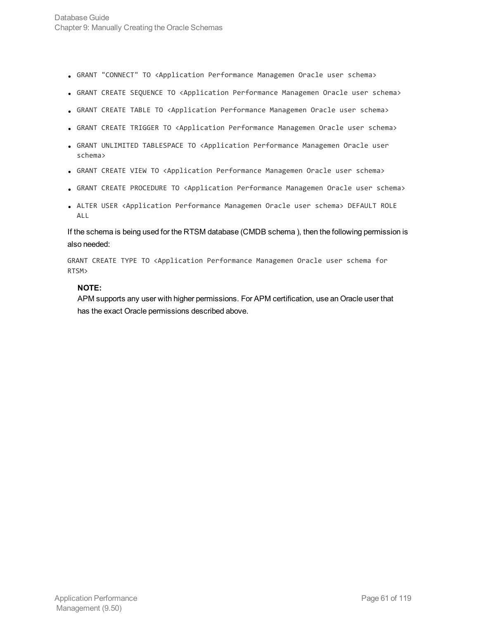- <sup>l</sup> GRANT "CONNECT" TO <Application Performance Managemen Oracle user schema>
- GRANT CREATE SEQUENCE TO <Application Performance Managemen Oracle user schema>
- GRANT CREATE TABLE TO <Application Performance Managemen Oracle user schema>
- GRANT CREATE TRIGGER TO <Application Performance Managemen Oracle user schema>
- GRANT UNLIMITED TABLESPACE TO <Application Performance Managemen Oracle user schema>
- GRANT CREATE VIEW TO <Application Performance Managemen Oracle user schema>
- <sup>l</sup> GRANT CREATE PROCEDURE TO <Application Performance Managemen Oracle user schema>
- <sup>l</sup> ALTER USER <Application Performance Managemen Oracle user schema> DEFAULT ROLE ALL

If the schema is being used for the RTSM database (CMDB schema ), then the following permission is also needed:

GRANT CREATE TYPE TO <Application Performance Managemen Oracle user schema for RTSM>

#### **NOTE:**

APM supports any user with higher permissions. For APM certification, use an Oracle user that has the exact Oracle permissions described above.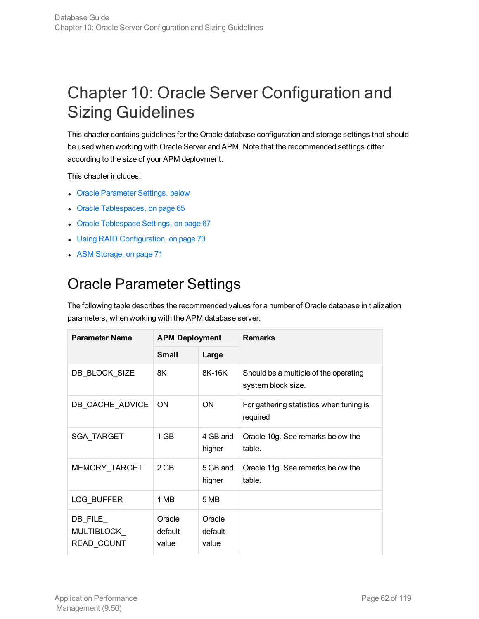# <span id="page-61-0"></span>Chapter 10: Oracle Server Configuration and Sizing Guidelines

This chapter contains guidelines for the Oracle database configuration and storage settings that should be used when working with Oracle Server and APM. Note that the recommended settings differ according to the size of your APM deployment.

This chapter includes:

- Oracle [Parameter](#page-61-1) Settings, below
- Oracle [Tablespaces,](#page-64-0) on page 65
- Oracle [Tablespace](#page-66-0) Settings, on page 67
- **.** Using RAID [Configuration,](#page-69-0) on page 70
- <span id="page-61-1"></span>• ASM [Storage,](#page-70-0) on page 71

# Oracle Parameter Settings

The following table describes the recommended values for a number of Oracle database initialization parameters, when working with the APM database server:

| <b>Parameter Name</b>                        | <b>APM Deployment</b>      |                            | <b>Remarks</b>                                              |
|----------------------------------------------|----------------------------|----------------------------|-------------------------------------------------------------|
|                                              | <b>Small</b>               | Large                      |                                                             |
| DB BLOCK SIZE                                | 8K                         | 8K-16K                     | Should be a multiple of the operating<br>system block size. |
| DB CACHE ADVICE                              | <b>ON</b>                  | <b>ON</b>                  | For gathering statistics when tuning is<br>required         |
| <b>SGA TARGET</b>                            | 1 GB                       | 4 GB and<br>higher         | Oracle 10g. See remarks below the<br>table.                 |
| MEMORY_TARGET                                | $2$ GB                     | 5 GB and<br>higher         | Oracle 11g. See remarks below the<br>table.                 |
| LOG BUFFER                                   | 1 MB                       | 5 MB                       |                                                             |
| $DB$ FILE<br>MULTIBLOCK<br><b>READ COUNT</b> | Oracle<br>default<br>value | Oracle<br>default<br>value |                                                             |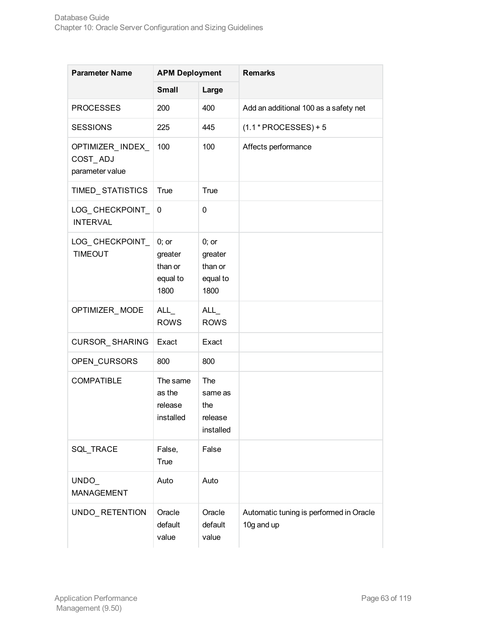| <b>Parameter Name</b>                           | <b>APM Deployment</b>                             |                                                   | <b>Remarks</b>                                        |
|-------------------------------------------------|---------------------------------------------------|---------------------------------------------------|-------------------------------------------------------|
|                                                 | <b>Small</b>                                      | Large                                             |                                                       |
| <b>PROCESSES</b>                                | 200                                               | 400                                               | Add an additional 100 as a safety net                 |
| <b>SESSIONS</b>                                 | 225                                               | 445                                               | $(1.1 * PROCESSES) + 5$                               |
| OPTIMIZER_INDEX_<br>COST_ADJ<br>parameter value | 100                                               | 100                                               | Affects performance                                   |
| TIMED_STATISTICS                                | <b>True</b>                                       | True                                              |                                                       |
| LOG_CHECKPOINT_<br><b>INTERVAL</b>              | 0                                                 | $\mathbf 0$                                       |                                                       |
| LOG_CHECKPOINT_<br><b>TIMEOUT</b>               | $0;$ or<br>greater<br>than or<br>equal to<br>1800 | $0;$ or<br>greater<br>than or<br>equal to<br>1800 |                                                       |
| OPTIMIZER_MODE                                  | $ALL_$<br><b>ROWS</b>                             | ALL<br><b>ROWS</b>                                |                                                       |
| CURSOR_SHARING                                  | Exact                                             | Exact                                             |                                                       |
| OPEN_CURSORS                                    | 800                                               | 800                                               |                                                       |
| <b>COMPATIBLE</b>                               | The same<br>as the<br>release<br>installed        | The<br>same as<br>the<br>release<br>installed     |                                                       |
| SQL_TRACE                                       | False,<br><b>True</b>                             | False                                             |                                                       |
| UNDO_<br><b>MANAGEMENT</b>                      | Auto                                              | Auto                                              |                                                       |
| UNDO_RETENTION                                  | Oracle<br>default<br>value                        | Oracle<br>default<br>value                        | Automatic tuning is performed in Oracle<br>10g and up |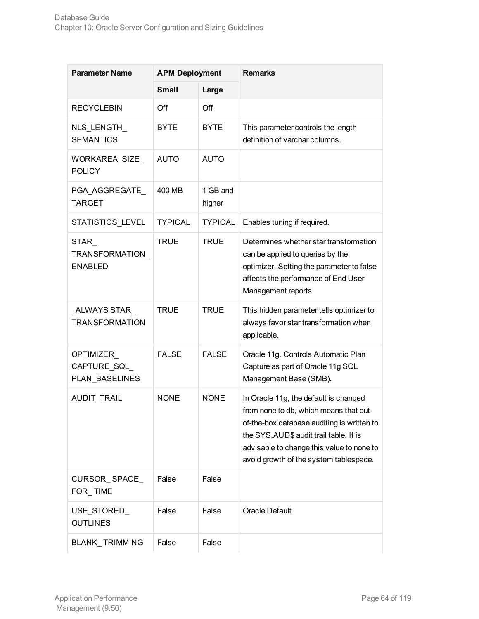| <b>Parameter Name</b>                      | <b>APM Deployment</b> |                    | <b>Remarks</b>                                                                                                                                                                                                                                                 |  |
|--------------------------------------------|-----------------------|--------------------|----------------------------------------------------------------------------------------------------------------------------------------------------------------------------------------------------------------------------------------------------------------|--|
|                                            | <b>Small</b>          | Large              |                                                                                                                                                                                                                                                                |  |
| <b>RECYCLEBIN</b>                          | Off                   | Off                |                                                                                                                                                                                                                                                                |  |
| NLS_LENGTH_<br><b>SEMANTICS</b>            | <b>BYTE</b>           | <b>BYTE</b>        | This parameter controls the length<br>definition of varchar columns.                                                                                                                                                                                           |  |
| WORKAREA_SIZE_<br><b>POLICY</b>            | <b>AUTO</b>           | <b>AUTO</b>        |                                                                                                                                                                                                                                                                |  |
| PGA_AGGREGATE_<br><b>TARGET</b>            | 400 MB                | 1 GB and<br>higher |                                                                                                                                                                                                                                                                |  |
| STATISTICS_LEVEL                           | <b>TYPICAL</b>        | <b>TYPICAL</b>     | Enables tuning if required.                                                                                                                                                                                                                                    |  |
| STAR<br>TRANSFORMATION_<br><b>ENABLED</b>  | <b>TRUE</b>           | <b>TRUE</b>        | Determines whether star transformation<br>can be applied to queries by the<br>optimizer. Setting the parameter to false<br>affects the performance of End User<br>Management reports.                                                                          |  |
| ALWAYS STAR<br><b>TRANSFORMATION</b>       | <b>TRUE</b>           | <b>TRUE</b>        | This hidden parameter tells optimizer to<br>always favor star transformation when<br>applicable.                                                                                                                                                               |  |
| OPTIMIZER<br>CAPTURE_SQL<br>PLAN_BASELINES | <b>FALSE</b>          | <b>FALSE</b>       | Oracle 11g. Controls Automatic Plan<br>Capture as part of Oracle 11g SQL<br>Management Base (SMB).                                                                                                                                                             |  |
| AUDIT_TRAIL                                | <b>NONE</b>           | <b>NONE</b>        | In Oracle 11g, the default is changed<br>from none to db, which means that out-<br>of-the-box database auditing is written to<br>the SYS.AUD\$ audit trail table. It is<br>advisable to change this value to none to<br>avoid growth of the system tablespace. |  |
| CURSOR_SPACE_<br>FOR_TIME                  | False                 | False              |                                                                                                                                                                                                                                                                |  |
| USE STORED<br><b>OUTLINES</b>              | False                 | False              | Oracle Default                                                                                                                                                                                                                                                 |  |
| <b>BLANK_TRIMMING</b>                      | False                 | False              |                                                                                                                                                                                                                                                                |  |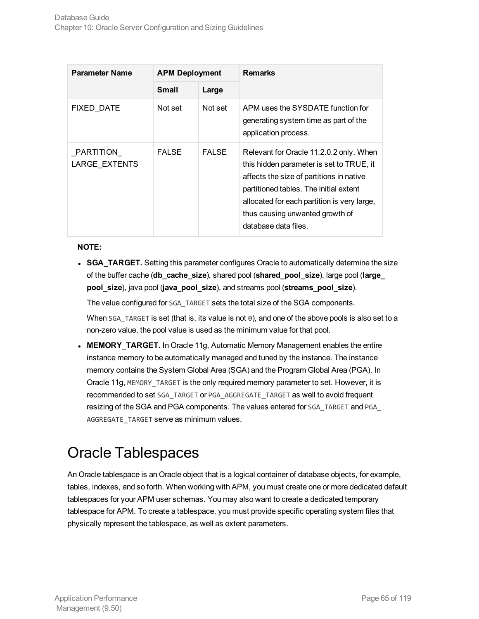| <b>Parameter Name</b>      | <b>APM Deployment</b> |              | <b>Remarks</b>                                                                                                                                                                                                                                                                      |
|----------------------------|-----------------------|--------------|-------------------------------------------------------------------------------------------------------------------------------------------------------------------------------------------------------------------------------------------------------------------------------------|
|                            | <b>Small</b>          | Large        |                                                                                                                                                                                                                                                                                     |
| <b>FIXED DATE</b>          | Not set               | Not set      | APM uses the SYSDATE function for<br>generating system time as part of the<br>application process.                                                                                                                                                                                  |
| PARTITION<br>LARGE EXTENTS | <b>FALSE</b>          | <b>FALSE</b> | Relevant for Oracle 11.2.0.2 only. When<br>this hidden parameter is set to TRUE, it<br>affects the size of partitions in native<br>partitioned tables. The initial extent<br>allocated for each partition is very large,<br>thus causing unwanted growth of<br>database data files. |

#### **NOTE:**

**SGA TARGET.** Setting this parameter configures Oracle to automatically determine the size of the buffer cache (**db\_cache\_size**), shared pool (**shared\_pool\_size**), large pool (**large\_ pool\_size**), java pool (**java\_pool\_size**), and streams pool (**streams\_pool\_size**).

The value configured for SGA\_TARGET sets the total size of the SGA components.

When SGA\_TARGET is set (that is, its value is not 0), and one of the above pools is also set to a non-zero value, the pool value is used as the minimum value for that pool.

**MEMORY TARGET.** In Oracle 11g, Automatic Memory Management enables the entire instance memory to be automatically managed and tuned by the instance. The instance memory contains the System Global Area (SGA) and the Program Global Area (PGA). In Oracle 11g, MEMORY\_TARGET is the only required memory parameter to set. However, it is recommended to set SGA\_TARGET or PGA\_AGGREGATE\_TARGET as well to avoid frequent resizing of the SGA and PGA components. The values entered for SGA\_TARGET and PGA\_ AGGREGATE\_TARGET serve as minimum values.

# <span id="page-64-0"></span>Oracle Tablespaces

An Oracle tablespace is an Oracle object that is a logical container of database objects, for example, tables, indexes, and so forth. When working with APM, you must create one or more dedicated default tablespaces for your APM user schemas. You may also want to create a dedicated temporary tablespace for APM. To create a tablespace, you must provide specific operating system files that physically represent the tablespace, as well as extent parameters.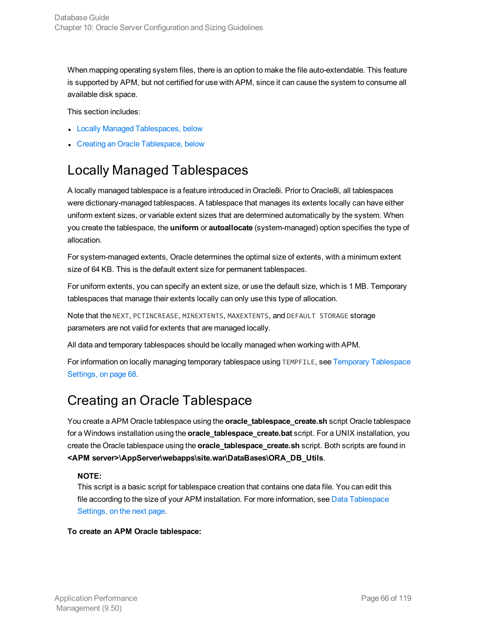When mapping operating system files, there is an option to make the file auto-extendable. This feature is supported by APM, but not certified for use with APM, since it can cause the system to consume all available disk space.

This section includes:

- Locally Managed [Tablespaces,](#page-65-0) below
- <span id="page-65-0"></span>• Creating an Oracle [Tablespace,](#page-65-1) below

# Locally Managed Tablespaces

A locally managed tablespace is a feature introduced in Oracle8i. Prior to Oracle8i, all tablespaces were dictionary-managed tablespaces. A tablespace that manages its extents locally can have either uniform extent sizes, or variable extent sizes that are determined automatically by the system. When you create the tablespace, the **uniform** or **autoallocate** (system-managed) option specifies the type of allocation.

For system-managed extents, Oracle determines the optimal size of extents, with a minimum extent size of 64 KB. This is the default extent size for permanent tablespaces.

For uniform extents, you can specify an extent size, or use the default size, which is 1 MB. Temporary tablespaces that manage their extents locally can only use this type of allocation.

Note that the NEXT, PCTINCREASE, MINEXTENTS, MAXEXTENTS, and DEFAULT STORAGE storage parameters are not valid for extents that are managed locally.

All data and temporary tablespaces should be locally managed when working with APM.

For information on locally managing temporary tablespace using TEMPFILE, see Temporary [Tablespace](#page-67-0) [Settings,](#page-67-0) on page 68.

### <span id="page-65-1"></span>Creating an Oracle Tablespace

You create a APM Oracle tablespace using the **oracle\_tablespace\_create.sh** script Oracle tablespace for a Windows installation using the **oracle\_tablespace\_create.bat** script. For a UNIX installation, you create the Oracle tablespace using the **oracle\_tablespace\_create.sh** script. Both scripts are found in **<APM server>\AppServer\webapps\site.war\DataBases\ORA\_DB\_Utils**.

#### **NOTE:**

This script is a basic script for tablespace creation that contains one data file. You can edit this file according to the size of your APM installation. For more information, see Data [Tablespace](#page-66-1) [Settings,](#page-66-1) on the next page.

#### **To create an APM Oracle tablespace:**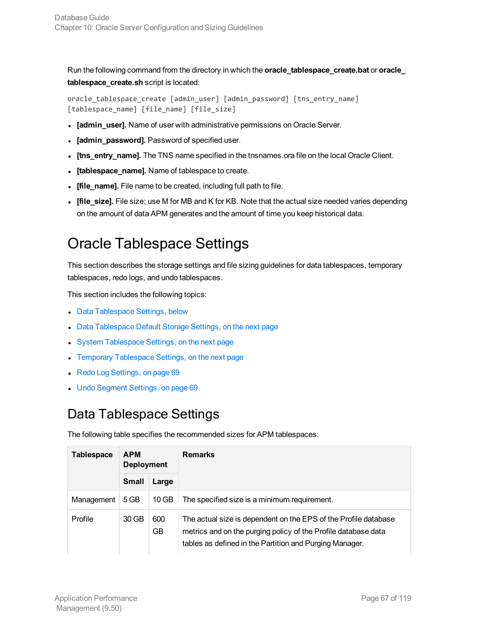Run the following command from the directory in which the **oracle\_tablespace\_create.bat** or **oracle\_ tablespace\_create.sh** script is located:

```
oracle_tablespace_create [admin_user] [admin_password] [tns_entry_name]
[tablespace_name] [file_name] [file_size]
```
- <sup>l</sup> **[admin\_user].** Name of user with administrative permissions on Oracle Server.
- **.** [admin\_password]. Password of specified user.
- <sup>l</sup> **[tns\_entry\_name].** The TNS name specified in the tnsnames.ora file on the local Oracle Client.
- [tablespace\_name]. Name of tablespace to create.
- **.** [file\_name]. File name to be created, including full path to file.
- <sup>l</sup> **[file\_size].** File size; use M for MB and K for KB. Note that the actual size needed varies depending on the amount of data APM generates and the amount of time you keep historical data.

# <span id="page-66-0"></span>Oracle Tablespace Settings

This section describes the storage settings and file sizing guidelines for data tablespaces, temporary tablespaces, redo logs, and undo tablespaces.

This section includes the following topics:

- Data [Tablespace](#page-66-1) Settings, below
- **Data [Tablespace](#page-67-1) Default Storage Settings, on the next page**
- **System [Tablespace](#page-67-2) Settings, on the next page**
- Temporary [Tablespace](#page-67-0) Settings, on the next page
- Redo Log [Settings,](#page-68-0) on page 69
- <span id="page-66-1"></span>• Undo [Segment](#page-68-1) Settings, on page 69

### Data Tablespace Settings

The following table specifies the recommended sizes for APM tablespaces:

| <b>Tablespace</b><br><b>APM</b><br><b>Deployment</b> |              |                  | <b>Remarks</b>                                                                                                                                                                               |  |
|------------------------------------------------------|--------------|------------------|----------------------------------------------------------------------------------------------------------------------------------------------------------------------------------------------|--|
|                                                      | <b>Small</b> | Large            |                                                                                                                                                                                              |  |
| Management                                           | 5 GB         | $10$ GB          | The specified size is a minimum requirement.                                                                                                                                                 |  |
| Profile                                              | 30 GB        | 600<br><b>GB</b> | The actual size is dependent on the EPS of the Profile database<br>metrics and on the purging policy of the Profile database data<br>tables as defined in the Partition and Purging Manager. |  |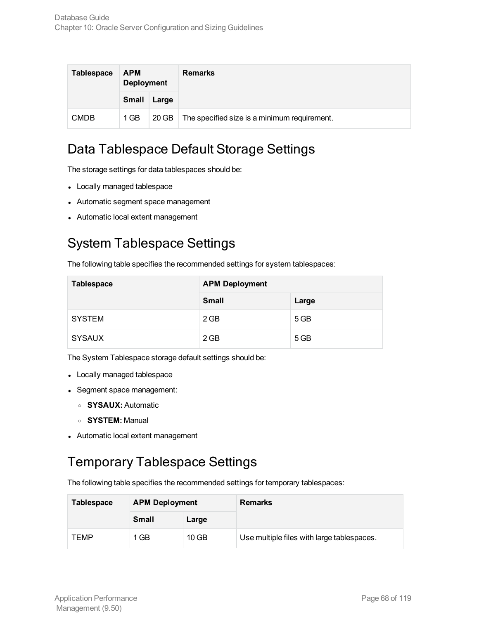| <b>Tablespace</b> | <b>APM</b><br><b>Deployment</b> |       | <b>Remarks</b>                               |
|-------------------|---------------------------------|-------|----------------------------------------------|
|                   | <b>Small</b>                    | Large |                                              |
| <b>CMDB</b>       | 1 GB                            | 20 GB | The specified size is a minimum requirement. |

### <span id="page-67-1"></span>Data Tablespace Default Storage Settings

The storage settings for data tablespaces should be:

- Locally managed tablespace
- Automatic segment space management
- <span id="page-67-2"></span>- Automatic local extent management

# System Tablespace Settings

The following table specifies the recommended settings for system tablespaces:

| Tablespace    | <b>APM Deployment</b> |       |  |
|---------------|-----------------------|-------|--|
|               | <b>Small</b>          | Large |  |
| <b>SYSTEM</b> | 2 GB                  | 5 GB  |  |
| <b>SYSAUX</b> | $2$ GB                | 5 GB  |  |

The System Tablespace storage default settings should be:

- Locally managed tablespace
- Segment space management:
	- <sup>o</sup> **SYSAUX:** Automatic
	- <sup>o</sup> **SYSTEM:** Manual
- <span id="page-67-0"></span>• Automatic local extent management

### Temporary Tablespace Settings

The following table specifies the recommended settings for temporary tablespaces:

| <b>Tablespace</b> | <b>APM Deployment</b> |         | <b>Remarks</b>                             |
|-------------------|-----------------------|---------|--------------------------------------------|
|                   | <b>Small</b>          | Large   |                                            |
| TEMP              | 1 GB                  | $10$ GB | Use multiple files with large tablespaces. |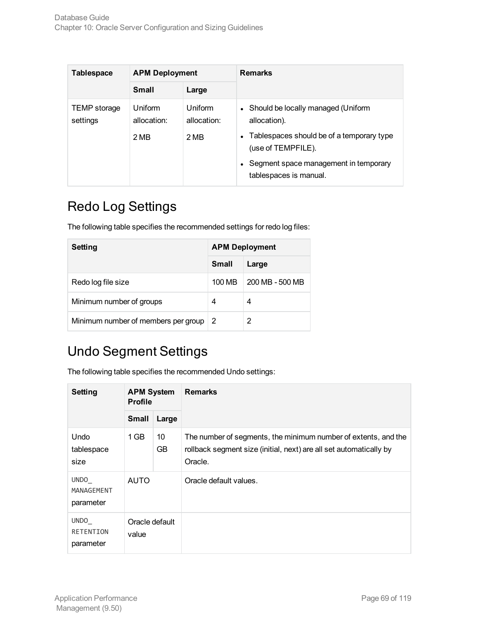| <b>Tablespace</b>        | <b>APM Deployment</b>          |                                | <b>Remarks</b>                                                                                                                                                                           |  |
|--------------------------|--------------------------------|--------------------------------|------------------------------------------------------------------------------------------------------------------------------------------------------------------------------------------|--|
|                          | <b>Small</b>                   | Large                          |                                                                                                                                                                                          |  |
| TEMP storage<br>settings | Uniform<br>allocation:<br>2 MB | Uniform<br>allocation:<br>2 MB | Should be locally managed (Uniform<br>allocation).<br>Tablespaces should be of a temporary type<br>(use of TEMPFILE).<br>Segment space management in temporary<br>tablespaces is manual. |  |

# <span id="page-68-0"></span>Redo Log Settings

The following table specifies the recommended settings for redo log files:

| Setting                             | <b>APM Deployment</b> |                 |  |
|-------------------------------------|-----------------------|-----------------|--|
|                                     | <b>Small</b>          | Large           |  |
| Redo log file size                  | 100 MB                | 200 MB - 500 MB |  |
| Minimum number of groups            | 4                     | 4               |  |
| Minimum number of members per group | 2                     | 2               |  |

# <span id="page-68-1"></span>Undo Segment Settings

The following table specifies the recommended Undo settings:

| <b>Setting</b>                    | <b>APM System</b><br><b>Profile</b> |          | <b>Remarks</b>                                                                                                                                  |
|-----------------------------------|-------------------------------------|----------|-------------------------------------------------------------------------------------------------------------------------------------------------|
|                                   | <b>Small</b>                        | Large    |                                                                                                                                                 |
| <b>Undo</b><br>tablespace<br>size | $1$ GB                              | 10<br>GB | The number of segments, the minimum number of extents, and the<br>rollback segment size (initial, next) are all set automatically by<br>Oracle. |
| UNDO<br>MANAGEMENT<br>parameter   | <b>AUTO</b>                         |          | Oracle default values.                                                                                                                          |
| UNDO<br>RETENTION<br>parameter    | Oracle default<br>value             |          |                                                                                                                                                 |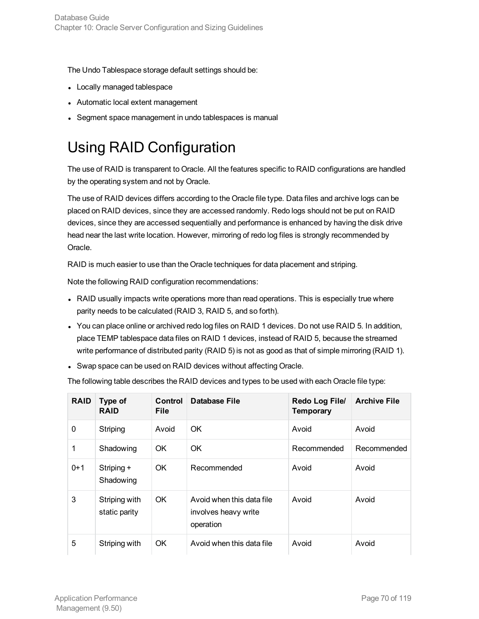The Undo Tablespace storage default settings should be:

- Locally managed tablespace
- Automatic local extent management
- <span id="page-69-0"></span><sup>l</sup> Segment space management in undo tablespaces is manual

# Using RAID Configuration

The use of RAID is transparent to Oracle. All the features specific to RAID configurations are handled by the operating system and not by Oracle.

The use of RAID devices differs according to the Oracle file type. Data files and archive logs can be placed on RAID devices, since they are accessed randomly. Redo logs should not be put on RAID devices, since they are accessed sequentially and performance is enhanced by having the disk drive head near the last write location. However, mirroring of redo log files is strongly recommended by Oracle.

RAID is much easier to use than the Oracle techniques for data placement and striping.

Note the following RAID configuration recommendations:

- RAID usually impacts write operations more than read operations. This is especially true where parity needs to be calculated (RAID 3, RAID 5, and so forth).
- You can place online or archived redo log files on RAID 1 devices. Do not use RAID 5. In addition, place TEMP tablespace data files on RAID 1 devices, instead of RAID 5, because the streamed write performance of distributed parity (RAID 5) is not as good as that of simple mirroring (RAID 1).
- Swap space can be used on RAID devices without affecting Oracle.

The following table describes the RAID devices and types to be used with each Oracle file type:

| <b>RAID</b> | Type of<br><b>RAID</b>         | Control<br><b>File</b> | Database File                                                  | Redo Log File/<br><b>Temporary</b> | <b>Archive File</b> |
|-------------|--------------------------------|------------------------|----------------------------------------------------------------|------------------------------------|---------------------|
| 0           | Striping                       | Avoid                  | OK.                                                            | Avoid                              | Avoid               |
| 1           | Shadowing                      | OK                     | OK                                                             | Recommended                        | Recommended         |
| $0+1$       | Striping +<br>Shadowing        | OK.                    | Recommended                                                    | Avoid                              | Avoid               |
| 3           | Striping with<br>static parity | OK.                    | Avoid when this data file<br>involves heavy write<br>operation | Avoid                              | Avoid               |
| 5           | Striping with                  | OK.                    | Avoid when this data file                                      | Avoid                              | Avoid               |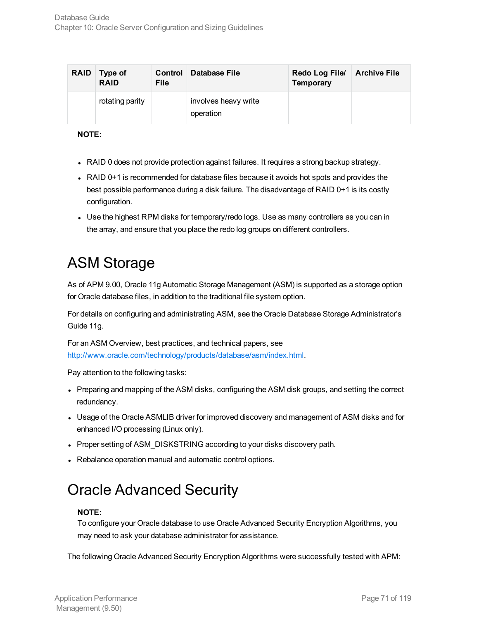| <b>RAID</b> | Type of<br><b>RAID</b> | Control<br><b>File</b> | ∣ Database File                   | Redo Log File/<br><b>Temporary</b> | <b>Archive File</b> |
|-------------|------------------------|------------------------|-----------------------------------|------------------------------------|---------------------|
|             | rotating parity        |                        | involves heavy write<br>operation |                                    |                     |

#### **NOTE:**

- RAID 0 does not provide protection against failures. It requires a strong backup strategy.
- RAID 0+1 is recommended for database files because it avoids hot spots and provides the best possible performance during a disk failure. The disadvantage of RAID 0+1 is its costly configuration.
- Use the highest RPM disks for temporary/redo logs. Use as many controllers as you can in the array, and ensure that you place the redo log groups on different controllers.

# <span id="page-70-0"></span>ASM Storage

As of APM 9.00, Oracle 11g Automatic Storage Management (ASM) is supported as a storage option for Oracle database files, in addition to the traditional file system option.

For details on configuring and administrating ASM, see the Oracle Database Storage Administrator's Guide 11g.

For an ASM Overview, best practices, and technical papers, see <http://www.oracle.com/technology/products/database/asm/index.html>.

Pay attention to the following tasks:

- Preparing and mapping of the ASM disks, configuring the ASM disk groups, and setting the correct redundancy.
- Usage of the Oracle ASMLIB driver for improved discovery and management of ASM disks and for enhanced I/O processing (Linux only).
- Proper setting of ASM\_DISKSTRING according to your disks discovery path.
- Rebalance operation manual and automatic control options.

# Oracle Advanced Security

#### **NOTE:**

To configure your Oracle database to use Oracle Advanced Security Encryption Algorithms, you may need to ask your database administrator for assistance.

The following Oracle Advanced Security Encryption Algorithms were successfully tested with APM: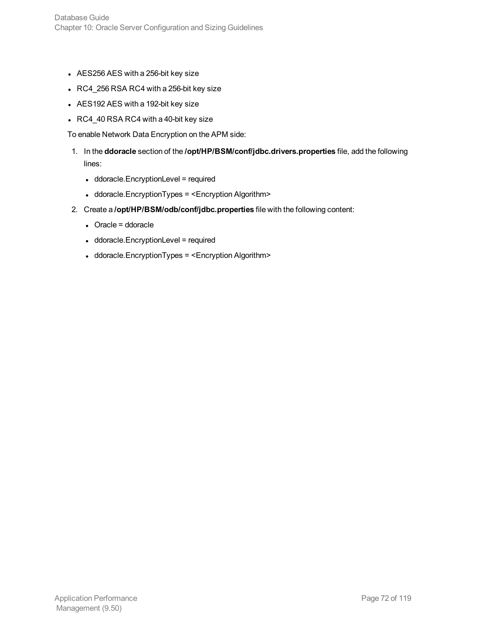- AES256 AES with a 256-bit key size
- $\cdot$  RC4\_256 RSA RC4 with a 256-bit key size
- AES192 AES with a 192-bit key size
- $\cdot$  RC4\_40 RSA RC4 with a 40-bit key size

To enable Network Data Encryption on the APM side:

- 1. In the **ddoracle** section of the **/opt/HP/BSM/conf/jdbc.drivers.properties** file, add the following lines:
	- ddoracle.EncryptionLevel = required
	- ddoracle.EncryptionTypes = <Encryption Algorithm>
- 2. Create a **/opt/HP/BSM/odb/conf/jdbc.properties** file with the following content:
	- $\bullet$  Oracle = ddoracle
	- ddoracle.EncryptionLevel = required
	- ddoracle.EncryptionTypes = <Encryption Algorithm>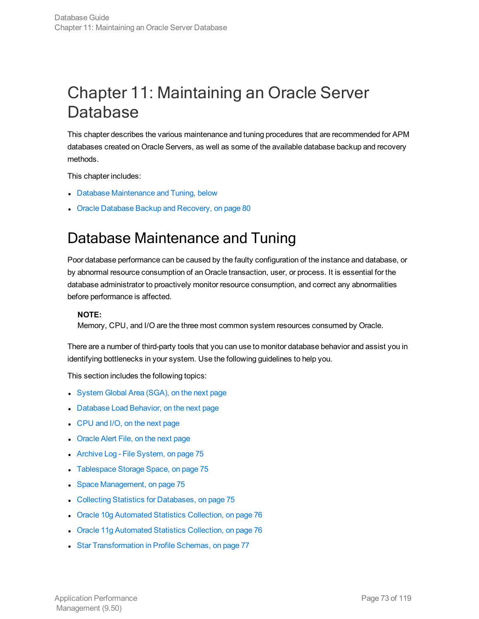# Chapter 11: Maintaining an Oracle Server Database

This chapter describes the various maintenance and tuning procedures that are recommended for APM databases created on Oracle Servers, as well as some of the available database backup and recovery methods.

This chapter includes:

- Database [Maintenance](#page-72-0) and Tuning, below
- <span id="page-72-0"></span>Oracle Database Backup and [Recovery,](#page-79-0) on page 80

## Database Maintenance and Tuning

Poor database performance can be caused by the faulty configuration of the instance and database, or by abnormal resource consumption of an Oracle transaction, user, or process. It is essential for the database administrator to proactively monitor resource consumption, and correct any abnormalities before performance is affected.

#### **NOTE:**

Memory, CPU, and I/O are the three most common system resources consumed by Oracle.

There are a number of third-party tools that you can use to monitor database behavior and assist you in identifying bottlenecks in your system. Use the following guidelines to help you.

This section includes the following topics:

- [System](#page-73-0) Global Area (SGA), on the next page
- [Database](#page-73-1) Load Behavior, on the next page
- [CPU](#page-73-2) and I/O, on the next page
- **[Oracle](#page-73-3) Alert File, on the next page**
- Archive Log File [System,](#page-74-0) on page 75
- [Tablespace](#page-74-1) Storage Space, on page 75
- **Space [Management,](#page-74-2) on page 75**
- Collecting Statistics for [Databases,](#page-74-3) on page 75
- Oracle 10g [Automated](#page-75-0) Statistics Collection, on page 76
- **Oracle 11g [Automated](#page-75-1) Statistics Collection, on page 76**
- **Star [Transformation](#page-76-0) in Profile Schemas, on page 77**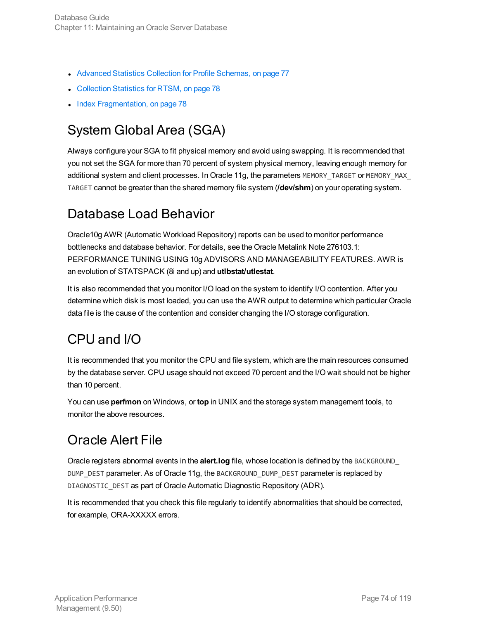- Advanced Statistics Collection for Profile [Schemas,](#page-76-1) on page 77
- [Collection](#page-77-0) Statistics for RTSM, on page 78
- <span id="page-73-0"></span>• Index [Fragmentation,](#page-77-1) on page 78

## System Global Area (SGA)

Always configure your SGA to fit physical memory and avoid using swapping. It is recommended that you not set the SGA for more than 70 percent of system physical memory, leaving enough memory for additional system and client processes. In Oracle 11g, the parameters MEMORY\_TARGET or MEMORY\_MAX\_ TARGET cannot be greater than the shared memory file system (**/dev/shm**) on your operating system.

### <span id="page-73-1"></span>Database Load Behavior

Oracle10g AWR (Automatic Workload Repository) reports can be used to monitor performance bottlenecks and database behavior. For details, see the Oracle Metalink Note 276103.1: PERFORMANCE TUNING USING 10g ADVISORS AND MANAGEABILITY FEATURES. AWR is an evolution of STATSPACK (8i and up) and **utlbstat/utlestat**.

It is also recommended that you monitor I/O load on the system to identify I/O contention. After you determine which disk is most loaded, you can use the AWR output to determine which particular Oracle data file is the cause of the contention and consider changing the I/O storage configuration.

## <span id="page-73-2"></span>CPU and I/O

It is recommended that you monitor the CPU and file system, which are the main resources consumed by the database server. CPU usage should not exceed 70 percent and the I/O wait should not be higher than 10 percent.

You can use **perfmon** on Windows, or **top** in UNIX and the storage system management tools, to monitor the above resources.

## <span id="page-73-3"></span>Oracle Alert File

Oracle registers abnormal events in the **alert.log** file, whose location is defined by the BACKGROUND\_ DUMP\_DEST parameter. As of Oracle 11g, the BACKGROUND\_DUMP\_DEST parameter is replaced by DIAGNOSTIC\_DEST as part of Oracle Automatic Diagnostic Repository (ADR).

It is recommended that you check this file regularly to identify abnormalities that should be corrected, for example, ORA-XXXXX errors.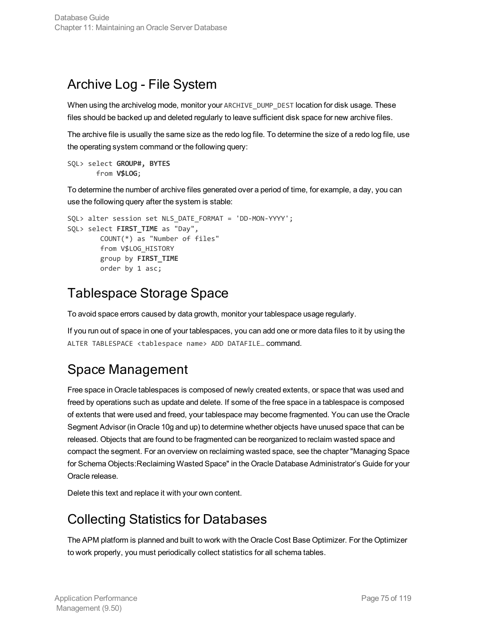### <span id="page-74-0"></span>Archive Log - File System

When using the archivelog mode, monitor your ARCHIVE\_DUMP\_DEST location for disk usage. These files should be backed up and deleted regularly to leave sufficient disk space for new archive files.

The archive file is usually the same size as the redo log file. To determine the size of a redo log file, use the operating system command or the following query:

```
SQL> select GROUP#, BYTES
       from V$LOG;
```
To determine the number of archive files generated over a period of time, for example, a day, you can use the following query after the system is stable:

```
SQL> alter session set NLS_DATE_FORMAT = 'DD-MON-YYYY';
SQL> select FIRST_TIME as "Day",
        COUNT(*) as "Number of files"
        from V$LOG_HISTORY
        group by FIRST_TIME
        order by 1 asc;
```
## <span id="page-74-1"></span>Tablespace Storage Space

To avoid space errors caused by data growth, monitor your tablespace usage regularly.

If you run out of space in one of your tablespaces, you can add one or more data files to it by using the ALTER TABLESPACE <tablespace name> ADD DATAFILE… command.

## <span id="page-74-2"></span>Space Management

Free space in Oracle tablespaces is composed of newly created extents, or space that was used and freed by operations such as update and delete. If some of the free space in a tablespace is composed of extents that were used and freed, your tablespace may become fragmented. You can use the Oracle Segment Advisor (in Oracle 10g and up) to determine whether objects have unused space that can be released. Objects that are found to be fragmented can be reorganized to reclaim wasted space and compact the segment. For an overview on reclaiming wasted space, see the chapter "Managing Space for Schema Objects:Reclaiming Wasted Space" in the Oracle Database Administrator's Guide for your Oracle release.

<span id="page-74-3"></span>Delete this text and replace it with your own content.

## Collecting Statistics for Databases

The APM platform is planned and built to work with the Oracle Cost Base Optimizer. For the Optimizer to work properly, you must periodically collect statistics for all schema tables.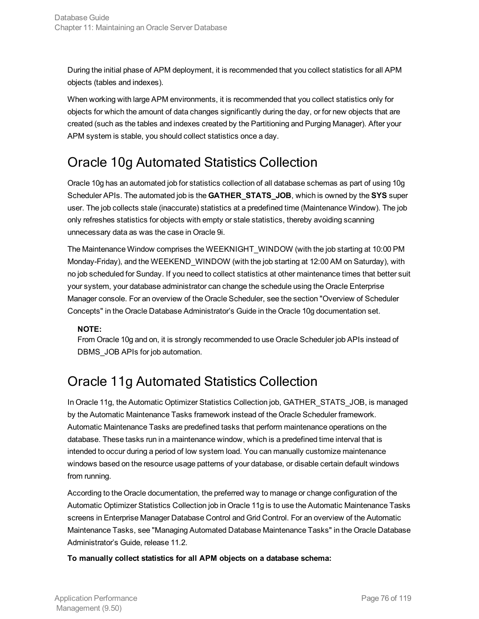During the initial phase of APM deployment, it is recommended that you collect statistics for all APM objects (tables and indexes).

When working with large APM environments, it is recommended that you collect statistics only for objects for which the amount of data changes significantly during the day, or for new objects that are created (such as the tables and indexes created by the Partitioning and Purging Manager). After your APM system is stable, you should collect statistics once a day.

## <span id="page-75-0"></span>Oracle 10g Automated Statistics Collection

Oracle 10g has an automated job for statistics collection of all database schemas as part of using 10g Scheduler APIs. The automated job is the **GATHER\_STATS\_JOB**, which is owned by the **SYS** super user. The job collects stale (inaccurate) statistics at a predefined time (Maintenance Window). The job only refreshes statistics for objects with empty or stale statistics, thereby avoiding scanning unnecessary data as was the case in Oracle 9i.

The Maintenance Window comprises the WEEKNIGHT\_WINDOW (with the job starting at 10:00 PM Monday-Friday), and the WEEKEND\_WINDOW (with the job starting at 12:00 AM on Saturday), with no job scheduled for Sunday. If you need to collect statistics at other maintenance times that better suit your system, your database administrator can change the schedule using the Oracle Enterprise Manager console. For an overview of the Oracle Scheduler, see the section "Overview of Scheduler Concepts" in the Oracle Database Administrator's Guide in the Oracle 10g documentation set.

### **NOTE:**

From Oracle 10g and on, it is strongly recommended to use Oracle Scheduler job APIs instead of DBMS\_JOB APIs for job automation.

## <span id="page-75-1"></span>Oracle 11g Automated Statistics Collection

In Oracle 11g, the Automatic Optimizer Statistics Collection job, GATHER\_STATS\_JOB, is managed by the Automatic Maintenance Tasks framework instead of the Oracle Scheduler framework. Automatic Maintenance Tasks are predefined tasks that perform maintenance operations on the database. These tasks run in a maintenance window, which is a predefined time interval that is intended to occur during a period of low system load. You can manually customize maintenance windows based on the resource usage patterns of your database, or disable certain default windows from running.

According to the Oracle documentation, the preferred way to manage or change configuration of the Automatic Optimizer Statistics Collection job in Oracle 11g is to use the Automatic Maintenance Tasks screens in Enterprise Manager Database Control and Grid Control. For an overview of the Automatic Maintenance Tasks, see "Managing Automated Database Maintenance Tasks" in the Oracle Database Administrator's Guide, release 11.2.

**To manually collect statistics for all APM objects on a database schema:**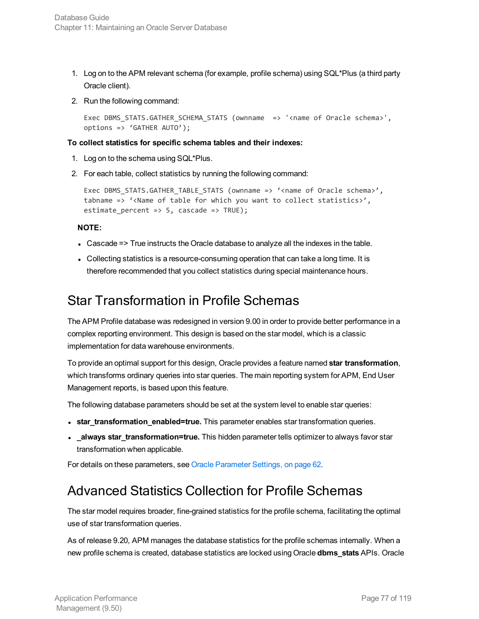- 1. Log on to the APM relevant schema (for example, profile schema) using SQL\*Plus (a third party Oracle client).
- 2. Run the following command:

```
Exec DBMS_STATS.GATHER_SCHEMA_STATS (ownname => '<name of Oracle schema>',
options => 'GATHER AUTO');
```
#### **To collect statistics for specific schema tables and their indexes:**

- 1. Log on to the schema using SQL\*Plus.
- 2. For each table, collect statistics by running the following command:

```
Exec DBMS_STATS.GATHER_TABLE_STATS (ownname => '<name of Oracle schema>',
tabname => '<Name of table for which you want to collect statistics>',
estimate_percent => 5, cascade => TRUE);
```
#### **NOTE:**

- Cascade => True instructs the Oracle database to analyze all the indexes in the table.
- Collecting statistics is a resource-consuming operation that can take a long time. It is therefore recommended that you collect statistics during special maintenance hours.

### <span id="page-76-0"></span>Star Transformation in Profile Schemas

The APM Profile database was redesigned in version 9.00 in order to provide better performance in a complex reporting environment. This design is based on the star model, which is a classic implementation for data warehouse environments.

To provide an optimal support for this design, Oracle provides a feature named **star transformation**, which transforms ordinary queries into star queries. The main reporting system for APM, End User Management reports, is based upon this feature.

The following database parameters should be set at the system level to enable star queries:

- **star\_transformation\_enabled=true.** This parameter enables star transformation queries.
- **\_always star\_transformation=true.** This hidden parameter tells optimizer to always favor star transformation when applicable.

<span id="page-76-1"></span>For details on these parameters, see Oracle [Parameter](#page-61-0) Settings, on page 62.

### Advanced Statistics Collection for Profile Schemas

The star model requires broader, fine-grained statistics for the profile schema, facilitating the optimal use of star transformation queries.

As of release 9.20, APM manages the database statistics for the profile schemas internally. When a new profile schema is created, database statistics are locked using Oracle **dbms\_stats** APIs. Oracle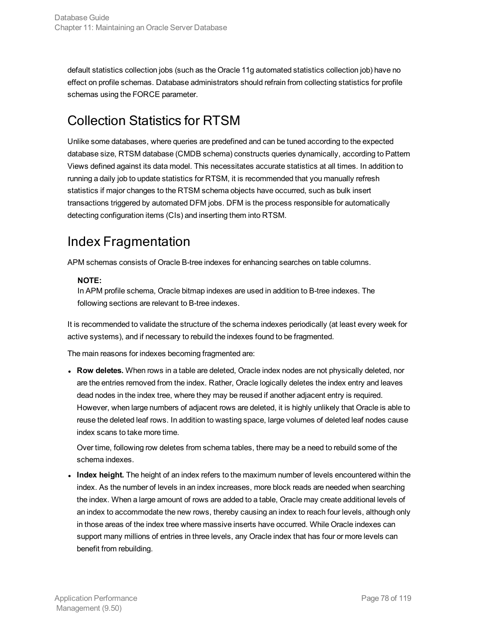default statistics collection jobs (such as the Oracle 11g automated statistics collection job) have no effect on profile schemas. Database administrators should refrain from collecting statistics for profile schemas using the FORCE parameter.

## <span id="page-77-0"></span>Collection Statistics for RTSM

Unlike some databases, where queries are predefined and can be tuned according to the expected database size, RTSM database (CMDB schema) constructs queries dynamically, according to Pattern Views defined against its data model. This necessitates accurate statistics at all times. In addition to running a daily job to update statistics for RTSM, it is recommended that you manually refresh statistics if major changes to the RTSM schema objects have occurred, such as bulk insert transactions triggered by automated DFM jobs. DFM is the process responsible for automatically detecting configuration items (CIs) and inserting them into RTSM.

## <span id="page-77-1"></span>Index Fragmentation

APM schemas consists of Oracle B-tree indexes for enhancing searches on table columns.

### **NOTE:**

In APM profile schema, Oracle bitmap indexes are used in addition to B-tree indexes. The following sections are relevant to B-tree indexes.

It is recommended to validate the structure of the schema indexes periodically (at least every week for active systems), and if necessary to rebuild the indexes found to be fragmented.

The main reasons for indexes becoming fragmented are:

**Row deletes.** When rows in a table are deleted, Oracle index nodes are not physically deleted, nor are the entries removed from the index. Rather, Oracle logically deletes the index entry and leaves dead nodes in the index tree, where they may be reused if another adjacent entry is required. However, when large numbers of adjacent rows are deleted, it is highly unlikely that Oracle is able to reuse the deleted leaf rows. In addition to wasting space, large volumes of deleted leaf nodes cause index scans to take more time.

Over time, following row deletes from schema tables, there may be a need to rebuild some of the schema indexes.

• Index height. The height of an index refers to the maximum number of levels encountered within the index. As the number of levels in an index increases, more block reads are needed when searching the index. When a large amount of rows are added to a table, Oracle may create additional levels of an index to accommodate the new rows, thereby causing an index to reach four levels, although only in those areas of the index tree where massive inserts have occurred. While Oracle indexes can support many millions of entries in three levels, any Oracle index that has four or more levels can benefit from rebuilding.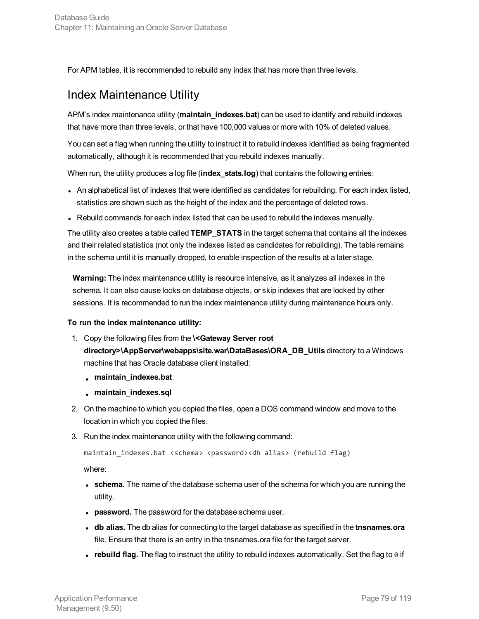For APM tables, it is recommended to rebuild any index that has more than three levels.

### Index Maintenance Utility

APM's index maintenance utility (**maintain\_indexes.bat**) can be used to identify and rebuild indexes that have more than three levels, or that have 100,000 values or more with 10% of deleted values.

You can set a flag when running the utility to instruct it to rebuild indexes identified as being fragmented automatically, although it is recommended that you rebuild indexes manually.

When run, the utility produces a log file (**index stats.log**) that contains the following entries:

- An alphabetical list of indexes that were identified as candidates for rebuilding. For each index listed, statistics are shown such as the height of the index and the percentage of deleted rows.
- Rebuild commands for each index listed that can be used to rebuild the indexes manually.

The utility also creates a table called **TEMP\_STATS** in the target schema that contains all the indexes and their related statistics (not only the indexes listed as candidates for rebuilding). The table remains in the schema until it is manually dropped, to enable inspection of the results at a later stage.

**Warning:** The index maintenance utility is resource intensive, as it analyzes all indexes in the schema. It can also cause locks on database objects, or skip indexes that are locked by other sessions. It is recommended to run the index maintenance utility during maintenance hours only.

#### **To run the index maintenance utility:**

- 1. Copy the following files from the **\<Gateway Server root directory>\AppServer\webapps\site.war\DataBases\ORA\_DB\_Utils** directory to a Windows machine that has Oracle database client installed:
	- <sup>l</sup> **maintain\_indexes.bat**
	- <sup>l</sup> **maintain\_indexes.sql**
- 2. On the machine to which you copied the files, open a DOS command window and move to the location in which you copied the files.
- 3. Run the index maintenance utility with the following command:

maintain\_indexes.bat <schema> <password><db alias> (rebuild flag)

where:

- **schema.** The name of the database schema user of the schema for which you are running the utility.
- **password.** The password for the database schema user.
- <sup>l</sup> **db alias.** The db alias for connecting to the target database as specified in the **tnsnames.ora** file. Ensure that there is an entry in the tnsnames.ora file for the target server.
- rebuild flag. The flag to instruct the utility to rebuild indexes automatically. Set the flag to 0 if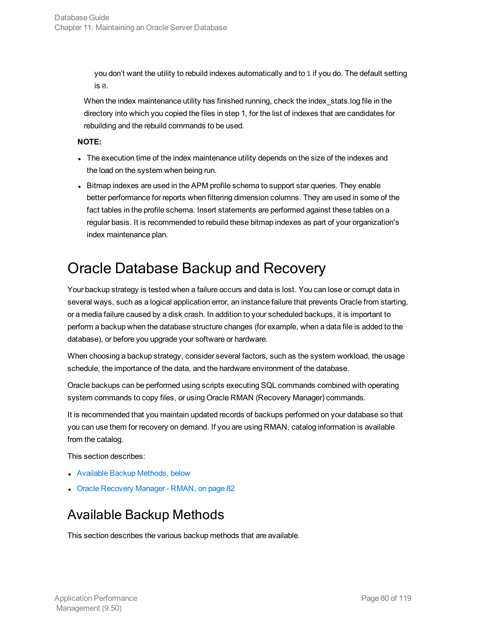you don't want the utility to rebuild indexes automatically and to 1 if you do. The default setting is 0.

When the index maintenance utility has finished running, check the index\_stats.log file in the directory into which you copied the files in step 1, for the list of indexes that are candidates for rebuilding and the rebuild commands to be used.

#### **NOTE:**

- The execution time of the index maintenance utility depends on the size of the indexes and the load on the system when being run.
- Bitmap indexes are used in the APM profile schema to support star queries. They enable better performance for reports when filtering dimension columns. They are used in some of the fact tables in the profile schema. Insert statements are performed against these tables on a regular basis. It is recommended to rebuild these bitmap indexes as part of your organization's index maintenance plan.

## <span id="page-79-0"></span>Oracle Database Backup and Recovery

Your backup strategy is tested when a failure occurs and data is lost. You can lose or corrupt data in several ways, such as a logical application error, an instance failure that prevents Oracle from starting, or a media failure caused by a disk crash. In addition to your scheduled backups, it is important to perform a backup when the database structure changes (for example, when a data file is added to the database), or before you upgrade your software or hardware.

When choosing a backup strategy, consider several factors, such as the system workload, the usage schedule, the importance of the data, and the hardware environment of the database.

Oracle backups can be performed using scripts executing SQL commands combined with operating system commands to copy files, or using Oracle RMAN (Recovery Manager) commands.

It is recommended that you maintain updated records of backups performed on your database so that you can use them for recovery on demand. If you are using RMAN, catalog information is available from the catalog.

This section describes:

- Available Backup [Methods,](#page-79-1) below
- <span id="page-79-1"></span>• Oracle [Recovery](#page-81-0) Manager - RMAN, on page 82

## Available Backup Methods

This section describes the various backup methods that are available.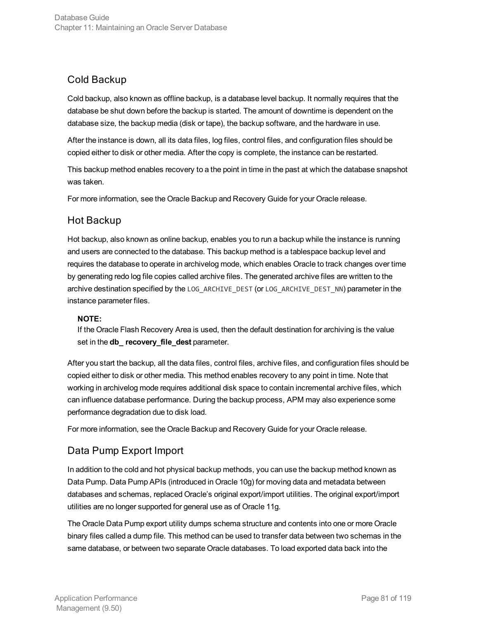### Cold Backup

Cold backup, also known as offline backup, is a database level backup. It normally requires that the database be shut down before the backup is started. The amount of downtime is dependent on the database size, the backup media (disk or tape), the backup software, and the hardware in use.

After the instance is down, all its data files, log files, control files, and configuration files should be copied either to disk or other media. After the copy is complete, the instance can be restarted.

This backup method enables recovery to a the point in time in the past at which the database snapshot was taken.

For more information, see the Oracle Backup and Recovery Guide for your Oracle release.

### Hot Backup

Hot backup, also known as online backup, enables you to run a backup while the instance is running and users are connected to the database. This backup method is a tablespace backup level and requires the database to operate in archivelog mode, which enables Oracle to track changes over time by generating redo log file copies called archive files. The generated archive files are written to the archive destination specified by the LOG\_ARCHIVE\_DEST (or LOG\_ARCHIVE\_DEST\_NN) parameter in the instance parameter files.

#### **NOTE:**

If the Oracle Flash Recovery Area is used, then the default destination for archiving is the value set in the **db\_ recovery\_file\_dest** parameter.

After you start the backup, all the data files, control files, archive files, and configuration files should be copied either to disk or other media. This method enables recovery to any point in time. Note that working in archivelog mode requires additional disk space to contain incremental archive files, which can influence database performance. During the backup process, APM may also experience some performance degradation due to disk load.

For more information, see the Oracle Backup and Recovery Guide for your Oracle release.

### Data Pump Export Import

In addition to the cold and hot physical backup methods, you can use the backup method known as Data Pump. Data Pump APIs (introduced in Oracle 10g) for moving data and metadata between databases and schemas, replaced Oracle's original export/import utilities. The original export/import utilities are no longer supported for general use as of Oracle 11g.

The Oracle Data Pump export utility dumps schema structure and contents into one or more Oracle binary files called a dump file. This method can be used to transfer data between two schemas in the same database, or between two separate Oracle databases. To load exported data back into the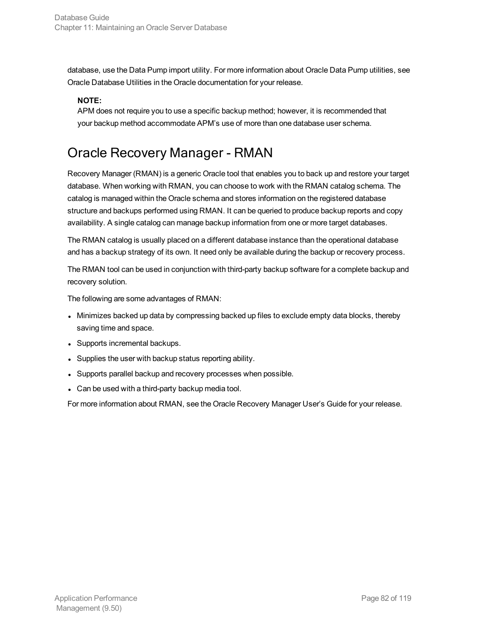database, use the Data Pump import utility. For more information about Oracle Data Pump utilities, see Oracle Database Utilities in the Oracle documentation for your release.

#### **NOTE:**

APM does not require you to use a specific backup method; however, it is recommended that your backup method accommodate APM's use of more than one database user schema.

## <span id="page-81-0"></span>Oracle Recovery Manager - RMAN

Recovery Manager (RMAN) is a generic Oracle tool that enables you to back up and restore your target database. When working with RMAN, you can choose to work with the RMAN catalog schema. The catalog is managed within the Oracle schema and stores information on the registered database structure and backups performed using RMAN. It can be queried to produce backup reports and copy availability. A single catalog can manage backup information from one or more target databases.

The RMAN catalog is usually placed on a different database instance than the operational database and has a backup strategy of its own. It need only be available during the backup or recovery process.

The RMAN tool can be used in conjunction with third-party backup software for a complete backup and recovery solution.

The following are some advantages of RMAN:

- Minimizes backed up data by compressing backed up files to exclude empty data blocks, thereby saving time and space.
- Supports incremental backups.
- Supplies the user with backup status reporting ability.
- Supports parallel backup and recovery processes when possible.
- Can be used with a third-party backup media tool.

For more information about RMAN, see the Oracle Recovery Manager User's Guide for your release.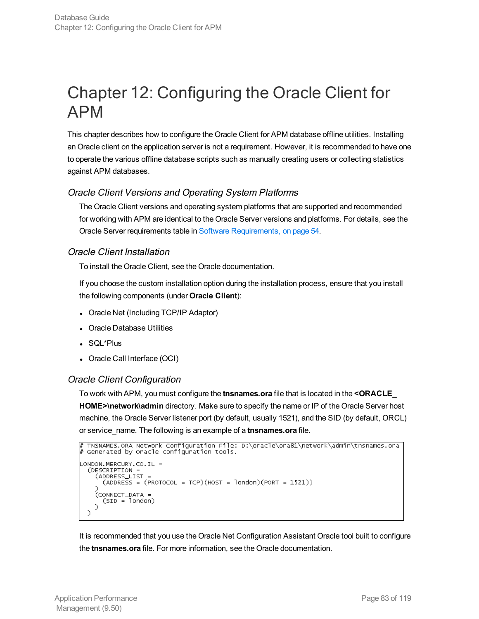# Chapter 12: Configuring the Oracle Client for APM

This chapter describes how to configure the Oracle Client for APM database offline utilities. Installing an Oracle client on the application server is not a requirement. However, it is recommended to have one to operate the various offline database scripts such as manually creating users or collecting statistics against APM databases.

### Oracle Client Versions and Operating System Platforms

The Oracle Client versions and operating system platforms that are supported and recommended for working with APM are identical to the Oracle Server versions and platforms. For details, see the Oracle Server requirements table in Software [Requirements,](#page-53-0) on page 54.

### Oracle Client Installation

To install the Oracle Client, see the Oracle documentation.

If you choose the custom installation option during the installation process, ensure that you install the following components (under **Oracle Client**):

- Oracle Net (Including TCP/IP Adaptor)
- Oracle Database Utilities
- SQL\*Plus
- Oracle Call Interface (OCI)

### Oracle Client Configuration

To work with APM, you must configure the **tnsnames.ora** file that is located in the **<ORACLE\_ HOME>\network\admin** directory. Make sure to specify the name or IP of the Oracle Server host machine, the Oracle Server listener port (by default, usually 1521), and the SID (by default, ORCL) or service\_name. The following is an example of a **tnsnames.ora** file.

```
TNSNAMES.ORA Network Configuration File: D:\oracle\ora81\network\admin\tnsnames.ora
# Generated by Oracle configuration tools.
LONDON.MERCURY.CO.IL =
  (DESCRIPTION =
    (ADDRESS_LIST =
      (ADDRESS = (PROTOCOL = TCP)(HOST = London)(PORT = 1521))(CONNECT_DATA +
      (SID = Iondon)\mathcal{L}\overline{\phantom{0}}
```
It is recommended that you use the Oracle Net Configuration Assistant Oracle tool built to configure the **tnsnames.ora** file. For more information, see the Oracle documentation.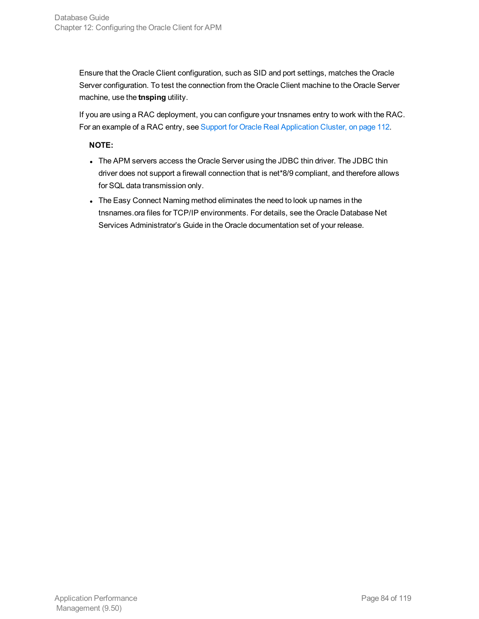Ensure that the Oracle Client configuration, such as SID and port settings, matches the Oracle Server configuration. To test the connection from the Oracle Client machine to the Oracle Server machine, use the **tnsping** utility.

If you are using a RAC deployment, you can configure your tnsnames entry to work with the RAC. For an example of a RAC entry, see Support for Oracle Real [Application](#page-111-0) Cluster, on page 112.

#### **NOTE:**

- The APM servers access the Oracle Server using the JDBC thin driver. The JDBC thin driver does not support a firewall connection that is net\*8/9 compliant, and therefore allows for SQL data transmission only.
- The Easy Connect Naming method eliminates the need to look up names in the tnsnames.ora files for TCP/IP environments. For details, see the Oracle Database Net Services Administrator's Guide in the Oracle documentation set of your release.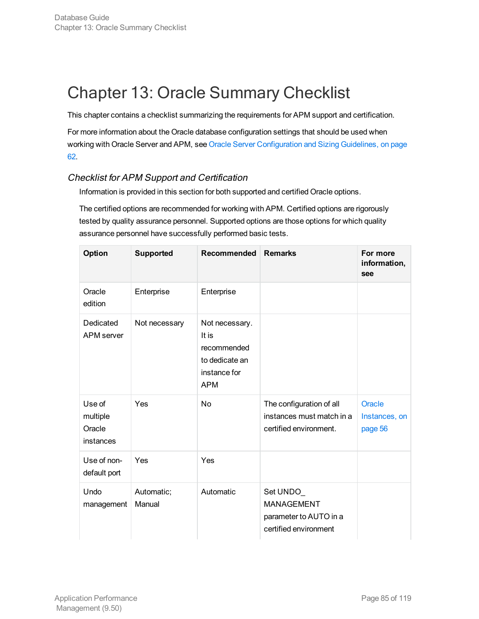# Chapter 13: Oracle Summary Checklist

This chapter contains a checklist summarizing the requirements for APM support and certification.

For more information about the Oracle database configuration settings that should be used when working with Oracle Server and APM, see Oracle Server [Configuration](#page-61-1) and Sizing Guidelines, on page [62.](#page-61-1)

### Checklist for APM Support and Certification

Information is provided in this section for both supported and certified Oracle options.

The certified options are recommended for working with APM. Certified options are rigorously tested by quality assurance personnel. Supported options are those options for which quality assurance personnel have successfully performed basic tests.

| Option                                    | <b>Supported</b>     | Recommended                                                                            | <b>Remarks</b>                                                                   | For more<br>information,<br>see           |
|-------------------------------------------|----------------------|----------------------------------------------------------------------------------------|----------------------------------------------------------------------------------|-------------------------------------------|
| Oracle<br>edition                         | Enterprise           | Enterprise                                                                             |                                                                                  |                                           |
| Dedicated<br>APM server                   | Not necessary        | Not necessary.<br>It is<br>recommended<br>to dedicate an<br>instance for<br><b>APM</b> |                                                                                  |                                           |
| Use of<br>multiple<br>Oracle<br>instances | Yes                  | No                                                                                     | The configuration of all<br>instances must match in a<br>certified environment.  | <b>Oracle</b><br>Instances, on<br>page 56 |
| Use of non-<br>default port               | Yes                  | Yes                                                                                    |                                                                                  |                                           |
| Undo<br>management                        | Automatic;<br>Manual | Automatic                                                                              | Set UNDO<br><b>MANAGEMENT</b><br>parameter to AUTO in a<br>certified environment |                                           |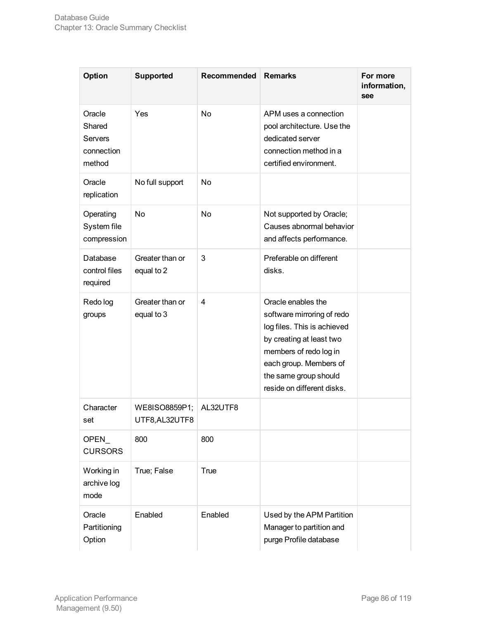| Option                                              | <b>Supported</b>                | Recommended | <b>Remarks</b>                                                                                                                                                                                                         | For more<br>information,<br>see |
|-----------------------------------------------------|---------------------------------|-------------|------------------------------------------------------------------------------------------------------------------------------------------------------------------------------------------------------------------------|---------------------------------|
| Oracle<br>Shared<br>Servers<br>connection<br>method | Yes                             | No          | APM uses a connection<br>pool architecture. Use the<br>dedicated server<br>connection method in a<br>certified environment.                                                                                            |                                 |
| Oracle<br>replication                               | No full support                 | No          |                                                                                                                                                                                                                        |                                 |
| Operating<br>System file<br>compression             | No                              | <b>No</b>   | Not supported by Oracle;<br>Causes abnormal behavior<br>and affects performance.                                                                                                                                       |                                 |
| Database<br>control files<br>required               | Greater than or<br>equal to 2   | 3           | Preferable on different<br>disks.                                                                                                                                                                                      |                                 |
| Redo log<br>groups                                  | Greater than or<br>equal to 3   | 4           | Oracle enables the<br>software mirroring of redo<br>log files. This is achieved<br>by creating at least two<br>members of redo log in<br>each group. Members of<br>the same group should<br>reside on different disks. |                                 |
| Character<br>set                                    | WE8ISO8859P1;<br>UTF8, AL32UTF8 | AL32UTF8    |                                                                                                                                                                                                                        |                                 |
| OPEN_<br><b>CURSORS</b>                             | 800                             | 800         |                                                                                                                                                                                                                        |                                 |
| Working in<br>archive log<br>mode                   | True; False                     | <b>True</b> |                                                                                                                                                                                                                        |                                 |
| Oracle<br>Partitioning<br>Option                    | Enabled                         | Enabled     | Used by the APM Partition<br>Manager to partition and<br>purge Profile database                                                                                                                                        |                                 |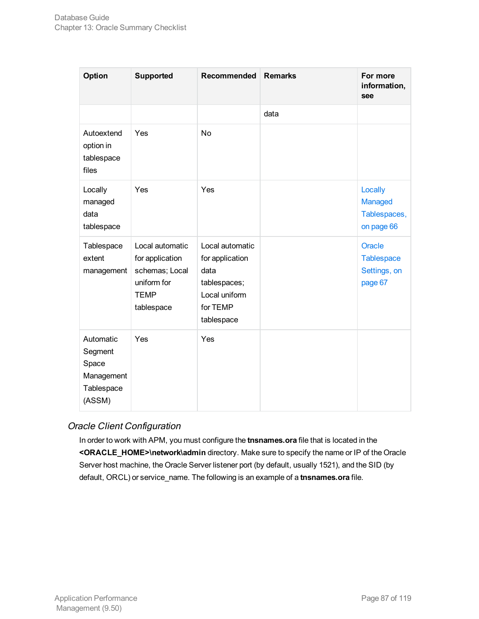| Option                                                              | <b>Supported</b>                                                                                 | Recommended                                                                                           | <b>Remarks</b> | For more<br>information,<br>see                        |
|---------------------------------------------------------------------|--------------------------------------------------------------------------------------------------|-------------------------------------------------------------------------------------------------------|----------------|--------------------------------------------------------|
|                                                                     |                                                                                                  |                                                                                                       | data           |                                                        |
| Autoextend<br>option in<br>tablespace<br>files                      | Yes                                                                                              | <b>No</b>                                                                                             |                |                                                        |
| Locally<br>managed<br>data<br>tablespace                            | Yes                                                                                              | Yes                                                                                                   |                | Locally<br>Managed<br>Tablespaces,<br>on page 66       |
| Tablespace<br>extent<br>management                                  | Local automatic<br>for application<br>schemas; Local<br>uniform for<br><b>TEMP</b><br>tablespace | Local automatic<br>for application<br>data<br>tablespaces;<br>Local uniform<br>for TEMP<br>tablespace |                | Oracle<br><b>Tablespace</b><br>Settings, on<br>page 67 |
| Automatic<br>Segment<br>Space<br>Management<br>Tablespace<br>(ASSM) | Yes                                                                                              | Yes                                                                                                   |                |                                                        |

### Oracle Client Configuration

In order to work with APM, you must configure the **tnsnames.ora** file that is located in the **<ORACLE\_HOME>\network\admin** directory. Make sure to specify the name or IP of the Oracle Server host machine, the Oracle Server listener port (by default, usually 1521), and the SID (by default, ORCL) or service\_name. The following is an example of a **tnsnames.ora** file.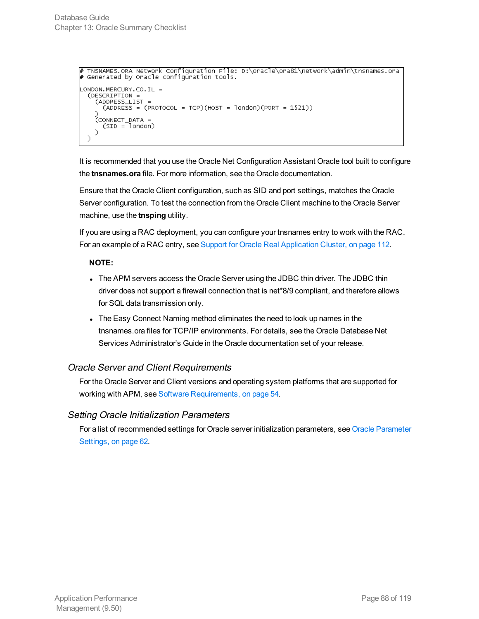```
# TNSNAMES.ORA Network Configuration File: D:\oracle\ora81\network\admin\tnsnames.ora<br># Generated by Oracle configuration tools.
LONDON.MERCURY.CO.IL =
   (DESCRIPTION =
     (ADDRESS_LIST
        (ADDRESS = (PROTOCOL = TCP)(HOST = London)(PORT = 1521))(CONNECT_DATA =<br>(SID = london)
     \mathcal{D}\mathcal{L}
```
It is recommended that you use the Oracle Net Configuration Assistant Oracle tool built to configure the **tnsnames.ora** file. For more information, see the Oracle documentation.

Ensure that the Oracle Client configuration, such as SID and port settings, matches the Oracle Server configuration. To test the connection from the Oracle Client machine to the Oracle Server machine, use the **tnsping** utility.

If you are using a RAC deployment, you can configure your tnsnames entry to work with the RAC. For an example of a RAC entry, see Support for Oracle Real [Application](#page-111-0) Cluster, on page 112.

#### **NOTE:**

- The APM servers access the Oracle Server using the JDBC thin driver. The JDBC thin driver does not support a firewall connection that is net\*8/9 compliant, and therefore allows for SQL data transmission only.
- The Easy Connect Naming method eliminates the need to look up names in the tnsnames.ora files for TCP/IP environments. For details, see the Oracle Database Net Services Administrator's Guide in the Oracle documentation set of your release.

### Oracle Server and Client Requirements

For the Oracle Server and Client versions and operating system platforms that are supported for working with APM, see Software [Requirements,](#page-53-0) on page 54.

#### Setting Oracle Initialization Parameters

For a list of recommended settings for Oracle server initialization parameters, see Oracle [Parameter](#page-61-0) [Settings,](#page-61-0) on page 62.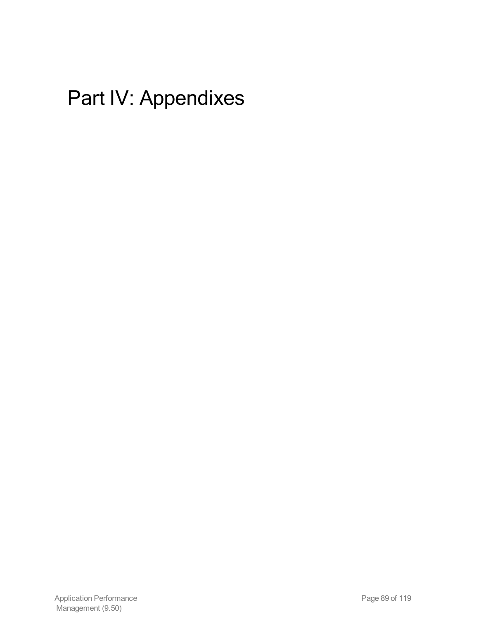# Part IV: Appendixes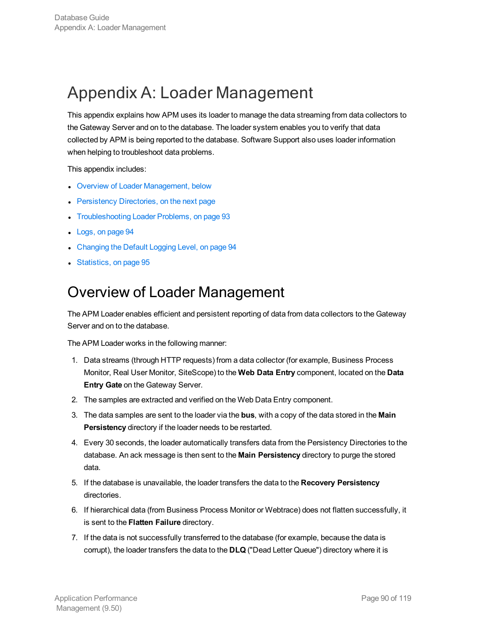# Appendix A: Loader Management

This appendix explains how APM uses its loader to manage the data streaming from data collectors to the Gateway Server and on to the database. The loader system enables you to verify that data collected by APM is being reported to the database. Software Support also uses loader information when helping to troubleshoot data problems.

This appendix includes:

- Overview of Loader [Management,](#page-89-0) below
- [Persistency](#page-90-0) Directories, on the next page
- <sup>l</sup> [Troubleshooting](#page-92-0) Loader Problems, on page 93
- [Logs,](#page-93-0) on page 94
- [Changing](#page-93-1) the Default Logging Level, on page 94
- <span id="page-89-0"></span>**[Statistics,](#page-94-0) on page 95**

## Overview of Loader Management

The APM Loader enables efficient and persistent reporting of data from data collectors to the Gateway Server and on to the database.

The APM Loader works in the following manner:

- 1. Data streams (through HTTP requests) from a data collector (for example, Business Process Monitor, Real User Monitor, SiteScope) to the **Web Data Entry** component, located on the **Data Entry Gate** on the Gateway Server.
- 2. The samples are extracted and verified on the Web Data Entry component.
- 3. The data samples are sent to the loader via the **bus**, with a copy of the data stored in the **Main Persistency** directory if the loader needs to be restarted.
- 4. Every 30 seconds, the loader automatically transfers data from the Persistency Directories to the database. An ack message is then sent to the **Main Persistency** directory to purge the stored data.
- 5. If the database is unavailable, the loader transfers the data to the **Recovery Persistency** directories.
- 6. If hierarchical data (from Business Process Monitor or Webtrace) does not flatten successfully, it is sent to the **Flatten Failure** directory.
- 7. If the data is not successfully transferred to the database (for example, because the data is corrupt), the loader transfers the data to the **DLQ** ("Dead Letter Queue") directory where it is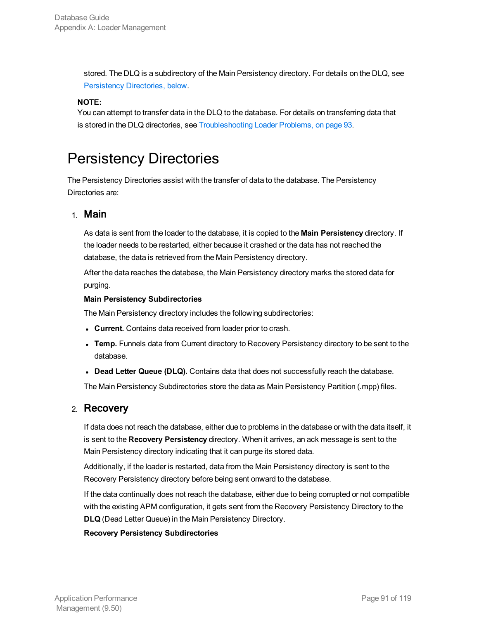stored. The DLQ is a subdirectory of the Main Persistency directory. For details on the DLQ, see [Persistency](#page-90-0) Directories, below.

#### **NOTE:**

You can attempt to transfer data in the DLQ to the database. For details on transferring data that is stored in the DLQ directories, see [Troubleshooting](#page-92-0) Loader Problems, on page 93.

## <span id="page-90-0"></span>Persistency Directories

The Persistency Directories assist with the transfer of data to the database. The Persistency Directories are:

### 1. Main

As data is sent from the loader to the database, it is copied to the **Main Persistency** directory. If the loader needs to be restarted, either because it crashed or the data has not reached the database, the data is retrieved from the Main Persistency directory.

After the data reaches the database, the Main Persistency directory marks the stored data for purging.

#### **Main Persistency Subdirectories**

The Main Persistency directory includes the following subdirectories:

- **Current.** Contains data received from loader prior to crash.
- <sup>l</sup> **Temp.** Funnels data from Current directory to Recovery Persistency directory to be sent to the database.
- <sup>l</sup> **Dead Letter Queue (DLQ).** Contains data that does not successfully reach the database.

The Main Persistency Subdirectories store the data as Main Persistency Partition (.mpp) files.

### 2. Recovery

If data does not reach the database, either due to problems in the database or with the data itself, it is sent to the **Recovery Persistency** directory. When it arrives, an ack message is sent to the Main Persistency directory indicating that it can purge its stored data.

Additionally, if the loader is restarted, data from the Main Persistency directory is sent to the Recovery Persistency directory before being sent onward to the database.

If the data continually does not reach the database, either due to being corrupted or not compatible with the existing APM configuration, it gets sent from the Recovery Persistency Directory to the **DLQ** (Dead Letter Queue) in the Main Persistency Directory.

#### **Recovery Persistency Subdirectories**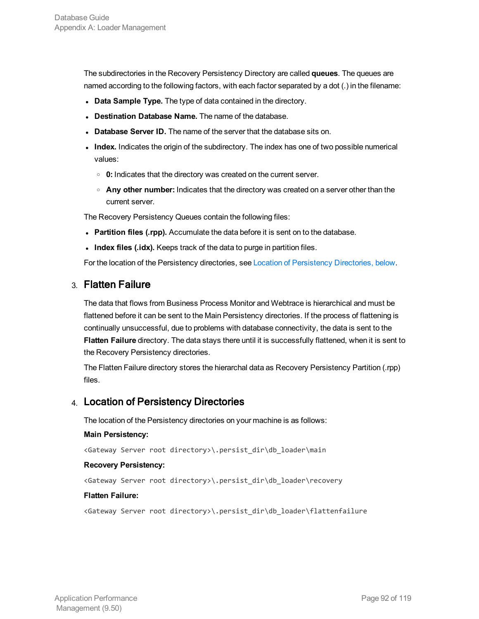The subdirectories in the Recovery Persistency Directory are called **queues**. The queues are named according to the following factors, with each factor separated by a dot (.) in the filename:

- **.** Data Sample Type. The type of data contained in the directory.
- **.** Destination Database Name. The name of the database.
- **Database Server ID.** The name of the server that the database sits on.
- Index. Indicates the origin of the subdirectory. The index has one of two possible numerical values:
	- **0:** Indicates that the directory was created on the current server.
	- <sup>o</sup> **Any other number:** Indicates that the directory was created on a server other than the current server.

The Recovery Persistency Queues contain the following files:

- **Partition files (.rpp).** Accumulate the data before it is sent on to the database.
- **Index files (.idx).** Keeps track of the data to purge in partition files.

For the location of the Persistency directories, see Location of [Persistency](#page-91-0) Directories, below.

### 3. Flatten Failure

The data that flows from Business Process Monitor and Webtrace is hierarchical and must be flattened before it can be sent to the Main Persistency directories. If the process of flattening is continually unsuccessful, due to problems with database connectivity, the data is sent to the **Flatten Failure** directory. The data stays there until it is successfully flattened, when it is sent to the Recovery Persistency directories.

The Flatten Failure directory stores the hierarchal data as Recovery Persistency Partition (.rpp) files.

### <span id="page-91-0"></span>4. Location of Persistency Directories

The location of the Persistency directories on your machine is as follows:

#### **Main Persistency:**

<Gateway Server root directory>\.persist\_dir\db\_loader\main

#### **Recovery Persistency:**

<Gateway Server root directory>\.persist\_dir\db\_loader\recovery

#### **Flatten Failure:**

<Gateway Server root directory>\.persist\_dir\db\_loader\flattenfailure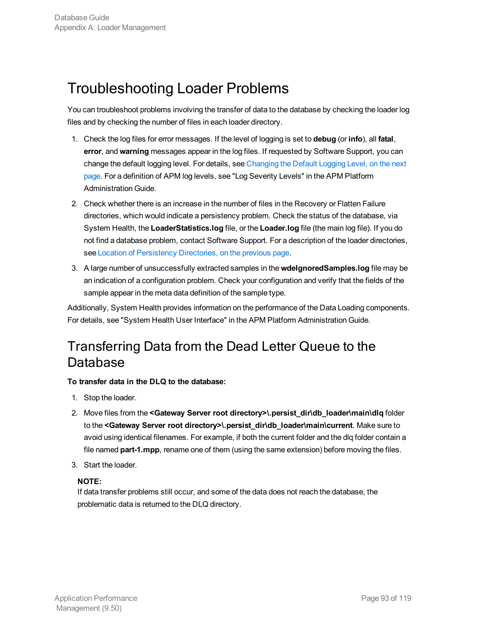## <span id="page-92-0"></span>Troubleshooting Loader Problems

You can troubleshoot problems involving the transfer of data to the database by checking the loader log files and by checking the number of files in each loader directory.

- 1. Check the log files for error messages. If the level of logging is set to **debug** (or **info**), all **fatal**, **error**, and **warning** messages appear in the log files. If requested by Software Support, you can change the default logging level. For details, see [Changing](#page-93-1) the Default Logging Level, on the next [page](#page-93-1). For a definition of APM log levels, see "Log Severity Levels" in the APM Platform Administration Guide.
- 2. Check whether there is an increase in the number of files in the Recovery or Flatten Failure directories, which would indicate a persistency problem. Check the status of the database, via System Health, the **LoaderStatistics.log** file, or the **Loader.log** file (the main log file). If you do not find a database problem, contact Software Support. For a description of the loader directories, see Location of [Persistency](#page-91-0) Directories, on the previous page.
- 3. A large number of unsuccessfully extracted samples in the **wdeIgnoredSamples.log** file may be an indication of a configuration problem. Check your configuration and verify that the fields of the sample appear in the meta data definition of the sample type.

Additionally, System Health provides information on the performance of the Data Loading components. For details, see "System Health User Interface" in the APM Platform Administration Guide.

### Transferring Data from the Dead Letter Queue to the Database

#### **To transfer data in the DLQ to the database:**

- 1. Stop the loader.
- 2. Move files from the **<Gateway Server root directory>\.persist\_dir\db\_loader\main\dlq** folder to the **<Gateway Server root directory>\.persist\_dir\db\_loader\main\current**. Make sure to avoid using identical filenames. For example, if both the current folder and the dlq folder contain a file named **part-1.mpp**, rename one of them (using the same extension) before moving the files.
- 3. Start the loader.

#### **NOTE:**

If data transfer problems still occur, and some of the data does not reach the database, the problematic data is returned to the DLQ directory.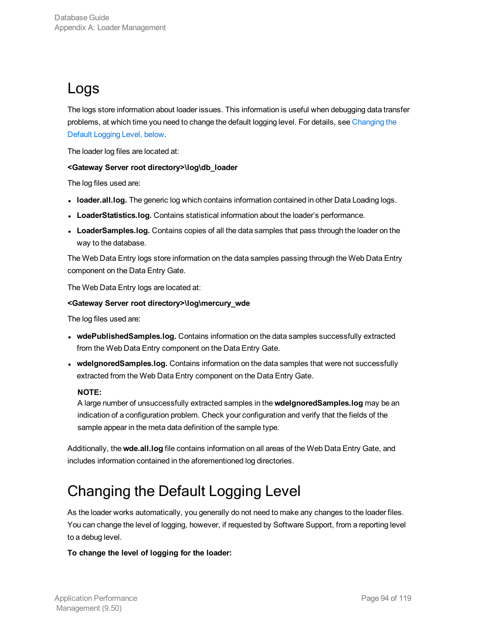## <span id="page-93-0"></span>Logs

The logs store information about loader issues. This information is useful when debugging data transfer problems, at which time you need to change the default logging level. For details, see [Changing](#page-93-1) the Default [Logging](#page-93-1) Level, below.

The loader log files are located at:

#### **<Gateway Server root directory>\log\db\_loader**

The log files used are:

- **loader.all.log.** The generic log which contains information contained in other Data Loading logs.
- **LoaderStatistics.log.** Contains statistical information about the loader's performance.
- **LoaderSamples.log.** Contains copies of all the data samples that pass through the loader on the way to the database.

The Web Data Entry logs store information on the data samples passing through the Web Data Entry component on the Data Entry Gate.

The Web Data Entry logs are located at:

#### **<Gateway Server root directory>\log\mercury\_wde**

The log files used are:

- **wdePublishedSamples.log.** Contains information on the data samples successfully extracted from the Web Data Entry component on the Data Entry Gate.
- **wdeIgnoredSamples.log.** Contains information on the data samples that were not successfully extracted from the Web Data Entry component on the Data Entry Gate.

#### **NOTE:**

A large number of unsuccessfully extracted samples in the **wdeIgnoredSamples.log** may be an indication of a configuration problem. Check your configuration and verify that the fields of the sample appear in the meta data definition of the sample type.

Additionally, the **wde.all.log** file contains information on all areas of the Web Data Entry Gate, and includes information contained in the aforementioned log directories.

## <span id="page-93-1"></span>Changing the Default Logging Level

As the loader works automatically, you generally do not need to make any changes to the loader files. You can change the level of logging, however, if requested by Software Support, from a reporting level to a debug level.

#### **To change the level of logging for the loader:**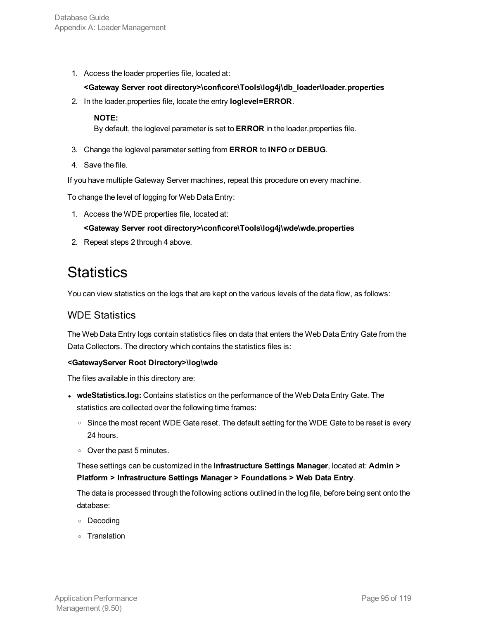1. Access the loader properties file, located at:

#### **<Gateway Server root directory>\conf\core\Tools\log4j\db\_loader\loader.properties**

2. In the loader.properties file, locate the entry **loglevel=ERROR**.

#### **NOTE:**

By default, the loglevel parameter is set to **ERROR** in the loader.properties file.

- 3. Change the loglevel parameter setting from **ERROR** to **INFO** or **DEBUG**.
- 4. Save the file.

If you have multiple Gateway Server machines, repeat this procedure on every machine.

To change the level of logging for Web Data Entry:

1. Access the WDE properties file, located at:

#### **<Gateway Server root directory>\conf\core\Tools\log4j\wde\wde.properties**

<span id="page-94-0"></span>2. Repeat steps 2 through 4 above.

## **Statistics**

You can view statistics on the logs that are kept on the various levels of the data flow, as follows:

### WDE Statistics

The Web Data Entry logs contain statistics files on data that enters the Web Data Entry Gate from the Data Collectors. The directory which contains the statistics files is:

#### **<GatewayServer Root Directory>\log\wde**

The files available in this directory are:

- **wdeStatistics.log:** Contains statistics on the performance of the Web Data Entry Gate. The statistics are collected over the following time frames:
	- o Since the most recent WDE Gate reset. The default setting for the WDE Gate to be reset is every 24 hours.
	- <sup>o</sup> Over the past 5 minutes.

### These settings can be customized in the **Infrastructure Settings Manager**, located at: **Admin > Platform > Infrastructure Settings Manager > Foundations > Web Data Entry**.

The data is processed through the following actions outlined in the log file, before being sent onto the database:

- <sup>o</sup> Decoding
- <sup>o</sup> Translation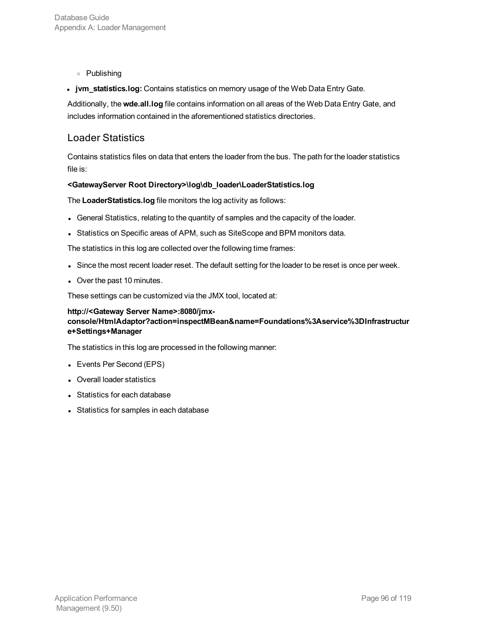- <sup>o</sup> Publishing
- **jvm\_statistics.log:** Contains statistics on memory usage of the Web Data Entry Gate.

Additionally, the **wde.all.log** file contains information on all areas of the Web Data Entry Gate, and includes information contained in the aforementioned statistics directories.

### Loader Statistics

Contains statistics files on data that enters the loader from the bus. The path for the loader statistics file is:

#### **<GatewayServer Root Directory>\log\db\_loader\LoaderStatistics.log**

The **LoaderStatistics.log** file monitors the log activity as follows:

- General Statistics, relating to the quantity of samples and the capacity of the loader.
- Statistics on Specific areas of APM, such as SiteScope and BPM monitors data.

The statistics in this log are collected over the following time frames:

- Since the most recent loader reset. The default setting for the loader to be reset is once per week.
- Over the past 10 minutes.

These settings can be customized via the JMX tool, located at:

#### **http://<Gateway Server Name>:8080/jmxconsole/HtmlAdaptor?action=inspectMBean&name=Foundations%3Aservice%3DInfrastructur e+Settings+Manager**

The statistics in this log are processed in the following manner:

- Events Per Second (EPS)
- Overall loader statistics
- Statistics for each database
- Statistics for samples in each database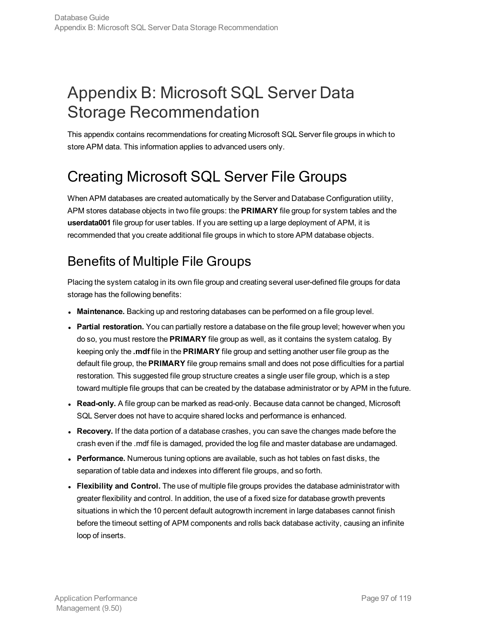# Appendix B: Microsoft SQL Server Data Storage Recommendation

This appendix contains recommendations for creating Microsoft SQL Server file groups in which to store APM data. This information applies to advanced users only.

# Creating Microsoft SQL Server File Groups

When APM databases are created automatically by the Server and Database Configuration utility, APM stores database objects in two file groups: the **PRIMARY** file group for system tables and the **userdata001** file group for user tables. If you are setting up a large deployment of APM, it is recommended that you create additional file groups in which to store APM database objects.

## Benefits of Multiple File Groups

Placing the system catalog in its own file group and creating several user-defined file groups for data storage has the following benefits:

- **Maintenance.** Backing up and restoring databases can be performed on a file group level.
- **Partial restoration.** You can partially restore a database on the file group level; however when you do so, you must restore the **PRIMARY** file group as well, as it contains the system catalog. By keeping only the **.mdf** file in the **PRIMARY** file group and setting another user file group as the default file group, the **PRIMARY** file group remains small and does not pose difficulties for a partial restoration. This suggested file group structure creates a single user file group, which is a step toward multiple file groups that can be created by the database administrator or by APM in the future.
- <sup>l</sup> **Read-only.** A file group can be marked as read-only. Because data cannot be changed, Microsoft SQL Server does not have to acquire shared locks and performance is enhanced.
- **Recovery.** If the data portion of a database crashes, you can save the changes made before the crash even if the .mdf file is damaged, provided the log file and master database are undamaged.
- **Performance.** Numerous tuning options are available, such as hot tables on fast disks, the separation of table data and indexes into different file groups, and so forth.
- <sup>l</sup> **Flexibility and Control.** The use of multiple file groups provides the database administrator with greater flexibility and control. In addition, the use of a fixed size for database growth prevents situations in which the 10 percent default autogrowth increment in large databases cannot finish before the timeout setting of APM components and rolls back database activity, causing an infinite loop of inserts.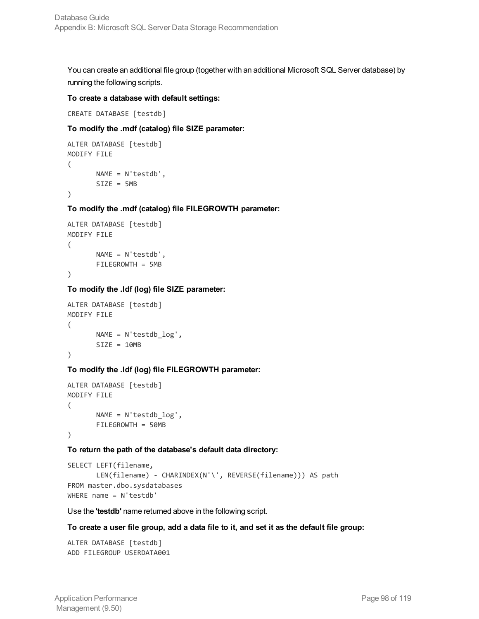You can create an additional file group (together with an additional Microsoft SQL Server database) by running the following scripts.

#### **To create a database with default settings:**

CREATE DATABASE [testdb]

#### **To modify the .mdf (catalog) file SIZE parameter:**

```
ALTER DATABASE [testdb]
MODIFY FILE
(
      NAME = N'testdb',SIZE = 5MB)
```
**To modify the .mdf (catalog) file FILEGROWTH parameter:**

```
ALTER DATABASE [testdb]
MODIFY FILE
(
       NAME = N'testdb',
       FILEGROWTH = 5MB
)
```
**To modify the .ldf (log) file SIZE parameter:**

```
ALTER DATABASE [testdb]
MODIFY FILE
(
      NAME = N'testdb_log',
      SIZE = 10MB
)
```
**To modify the .ldf (log) file FILEGROWTH parameter:**

```
ALTER DATABASE [testdb]
MODIFY FILE
(
       NAME = N'testdb_log',
       FILEGROWTH = 50MB
)
```
**To return the path of the database's default data directory:**

```
SELECT LEFT(filename,
      LEN(filename) - CHARINDEX(N'\', REVERSE(filename))) AS path
FROM master.dbo.sysdatabases
WHERE name = N'testdb'
```
Use the **'testdb'** name returned above in the following script.

#### To create a user file group, add a data file to it, and set it as the default file group:

```
ALTER DATABASE [testdb]
ADD FILEGROUP USERDATA001
```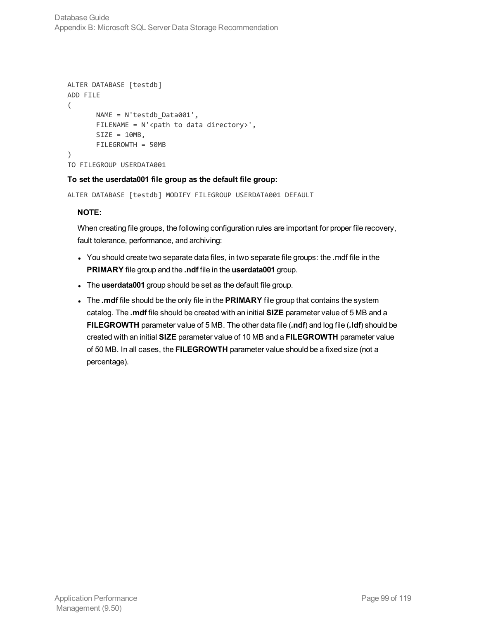```
ALTER DATABASE [testdb]
ADD FILE
(
       NAME = N'testdb_Data001',
       FILENAME = N'<path to data directory>',
      SIZE = 10MB,
       FILEGROWTH = 50MB
)
TO FILEGROUP USERDATA001
```
#### **To set the userdata001 file group as the default file group:**

```
ALTER DATABASE [testdb] MODIFY FILEGROUP USERDATA001 DEFAULT
```
#### **NOTE:**

When creating file groups, the following configuration rules are important for proper file recovery, fault tolerance, performance, and archiving:

- You should create two separate data files, in two separate file groups: the .mdf file in the **PRIMARY** file group and the **.ndf** file in the **userdata001** group.
- . The **userdata001** group should be set as the default file group.
- **.** The **.mdf** file should be the only file in the PRIMARY file group that contains the system catalog. The **.mdf** file should be created with an initial **SIZE** parameter value of 5 MB and a **FILEGROWTH** parameter value of 5 MB. The other data file (**.ndf**) and log file (**.ldf**) should be created with an initial **SIZE** parameter value of 10 MB and a **FILEGROWTH** parameter value of 50 MB. In all cases, the **FILEGROWTH** parameter value should be a fixed size (not a percentage).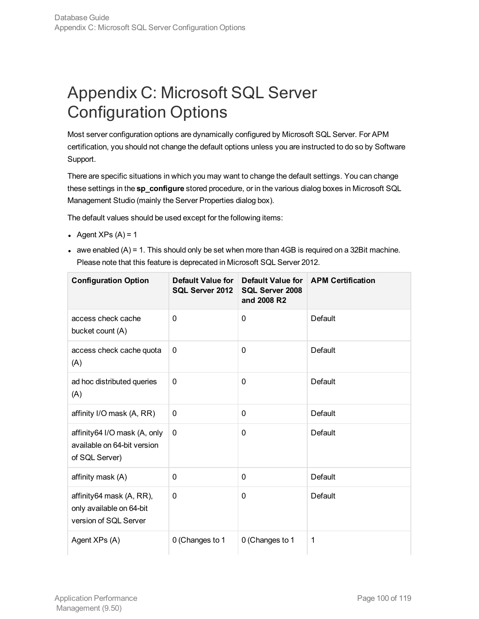# Appendix C: Microsoft SQL Server Configuration Options

Most server configuration options are dynamically configured by Microsoft SQL Server. For APM certification, you should not change the default options unless you are instructed to do so by Software Support.

There are specific situations in which you may want to change the default settings. You can change these settings in the **sp\_configure** stored procedure, or in the various dialog boxes in Microsoft SQL Management Studio (mainly the Server Properties dialog box).

The default values should be used except for the following items:

- Agent  $XPs(A) = 1$
- awe enabled  $(A) = 1$ . This should only be set when more than 4GB is required on a 32Bit machine. Please note that this feature is deprecated in Microsoft SQL Server 2012.

| <b>Configuration Option</b>                                                   | Default Value for<br>SQL Server 2012 | Default Value for<br>SQL Server 2008<br>and 2008 R2 | <b>APM Certification</b> |
|-------------------------------------------------------------------------------|--------------------------------------|-----------------------------------------------------|--------------------------|
| access check cache<br>bucket count (A)                                        | 0                                    | 0                                                   | Default                  |
| access check cache quota<br>(A)                                               | 0                                    | $\mathbf 0$                                         | Default                  |
| ad hoc distributed queries<br>(A)                                             | 0                                    | $\mathbf{0}$                                        | Default                  |
| affinity I/O mask (A, RR)                                                     | 0                                    | $\mathbf{0}$                                        | Default                  |
| affinity64 I/O mask (A, only<br>available on 64-bit version<br>of SQL Server) | $\mathbf{0}$                         | $\mathbf{0}$                                        | Default                  |
| affinity mask (A)                                                             | 0                                    | $\mathbf{0}$                                        | Default                  |
| affinity64 mask (A, RR),<br>only available on 64-bit<br>version of SQL Server | $\mathbf{0}$                         | $\mathbf{0}$                                        | Default                  |
| Agent XPs (A)                                                                 | 0 (Changes to 1                      | 0 (Changes to 1                                     | 1                        |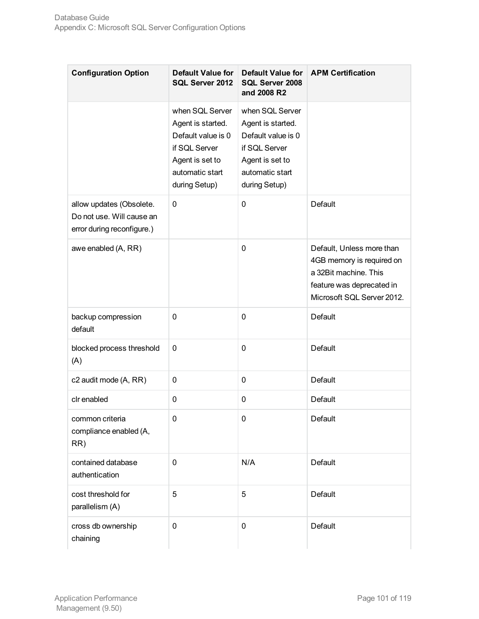| <b>Configuration Option</b>                                                         | Default Value for<br>SQL Server 2012                                                                                               | <b>Default Value for</b><br>SQL Server 2008<br>and 2008 R2                                                                         | <b>APM Certification</b>                                                                                                                   |
|-------------------------------------------------------------------------------------|------------------------------------------------------------------------------------------------------------------------------------|------------------------------------------------------------------------------------------------------------------------------------|--------------------------------------------------------------------------------------------------------------------------------------------|
|                                                                                     | when SQL Server<br>Agent is started.<br>Default value is 0<br>if SQL Server<br>Agent is set to<br>automatic start<br>during Setup) | when SQL Server<br>Agent is started.<br>Default value is 0<br>if SQL Server<br>Agent is set to<br>automatic start<br>during Setup) |                                                                                                                                            |
| allow updates (Obsolete.<br>Do not use. Will cause an<br>error during reconfigure.) | 0                                                                                                                                  | 0                                                                                                                                  | Default                                                                                                                                    |
| awe enabled (A, RR)                                                                 |                                                                                                                                    | 0                                                                                                                                  | Default, Unless more than<br>4GB memory is required on<br>a 32Bit machine. This<br>feature was deprecated in<br>Microsoft SQL Server 2012. |
| backup compression<br>default                                                       | $\mathbf{0}$                                                                                                                       | 0                                                                                                                                  | Default                                                                                                                                    |
| blocked process threshold<br>(A)                                                    | 0                                                                                                                                  | 0                                                                                                                                  | Default                                                                                                                                    |
| c2 audit mode (A, RR)                                                               | 0                                                                                                                                  | 0                                                                                                                                  | Default                                                                                                                                    |
| clr enabled                                                                         | 0                                                                                                                                  | 0                                                                                                                                  | <b>Default</b>                                                                                                                             |
| common criteria<br>compliance enabled (A,<br>RR)                                    | 0                                                                                                                                  | 0                                                                                                                                  | Default                                                                                                                                    |
| contained database<br>authentication                                                | 0                                                                                                                                  | N/A                                                                                                                                | Default                                                                                                                                    |
| cost threshold for<br>parallelism (A)                                               | 5                                                                                                                                  | 5                                                                                                                                  | Default                                                                                                                                    |
| cross db ownership<br>chaining                                                      | 0                                                                                                                                  | 0                                                                                                                                  | Default                                                                                                                                    |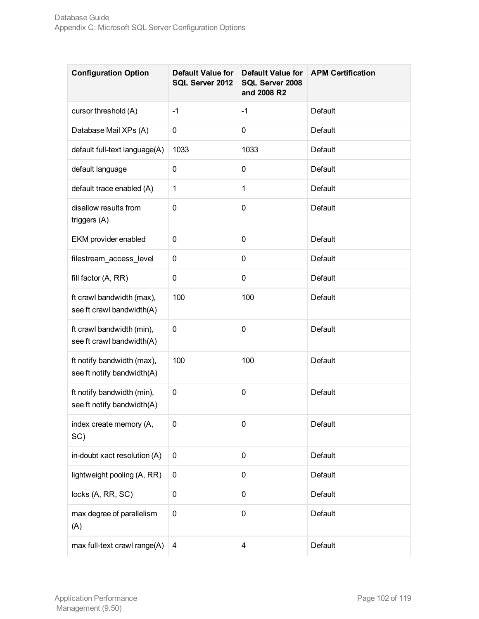| <b>Configuration Option</b>                              | <b>Default Value for</b><br>SQL Server 2012 | <b>Default Value for</b><br>SQL Server 2008<br>and 2008 R2 | <b>APM Certification</b> |
|----------------------------------------------------------|---------------------------------------------|------------------------------------------------------------|--------------------------|
| cursor threshold (A)                                     | $-1$                                        | $-1$                                                       | Default                  |
| Database Mail XPs (A)                                    | 0                                           | 0                                                          | Default                  |
| default full-text language(A)                            | 1033                                        | 1033                                                       | Default                  |
| default language                                         | 0                                           | 0                                                          | Default                  |
| default trace enabled (A)                                | $\mathbf{1}$                                | $\mathbf{1}$                                               | Default                  |
| disallow results from<br>triggers (A)                    | 0                                           | $\mathbf 0$                                                | Default                  |
| EKM provider enabled                                     | 0                                           | 0                                                          | <b>Default</b>           |
| filestream_access_level                                  | 0                                           | 0                                                          | Default                  |
| fill factor (A, RR)                                      | 0                                           | 0                                                          | Default                  |
| ft crawl bandwidth (max),<br>see ft crawl bandwidth(A)   | 100                                         | 100                                                        | Default                  |
| ft crawl bandwidth (min),<br>see ft crawl bandwidth(A)   | 0                                           | 0                                                          | Default                  |
| ft notify bandwidth (max),<br>see ft notify bandwidth(A) | 100                                         | 100                                                        | Default                  |
| ft notify bandwidth (min),<br>see ft notify bandwidth(A) | 0                                           | 0                                                          | Default                  |
| index create memory (A,<br>SC)                           | 0                                           | $\pmb{0}$                                                  | Default                  |
| in-doubt xact resolution (A)                             | $\mathbf 0$                                 | $\mathbf 0$                                                | Default                  |
| lightweight pooling (A, RR)                              | 0                                           | 0                                                          | <b>Default</b>           |
| locks (A, RR, SC)                                        | 0                                           | $\mathbf 0$                                                | Default                  |
| max degree of parallelism<br>(A)                         | 0                                           | $\pmb{0}$                                                  | Default                  |
| max full-text crawl range(A)                             | 4                                           | 4                                                          | Default                  |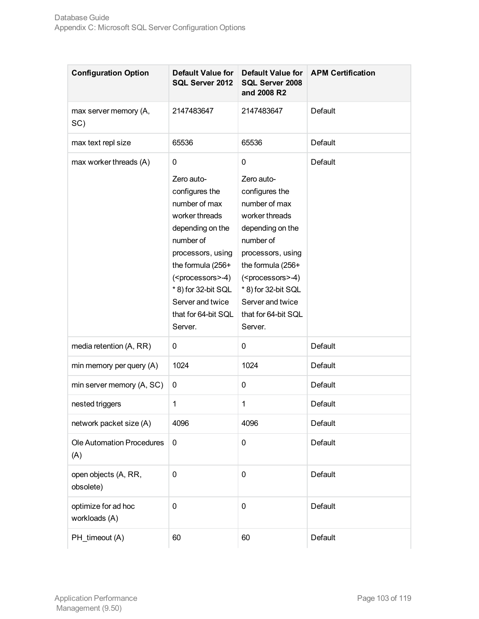| <b>Configuration Option</b>          | <b>Default Value for</b><br>SQL Server 2012                                                                                                                                                                                                                       | Default Value for<br>SQL Server 2008<br>and 2008 R2                                                                                                                                                                                                               | <b>APM Certification</b> |
|--------------------------------------|-------------------------------------------------------------------------------------------------------------------------------------------------------------------------------------------------------------------------------------------------------------------|-------------------------------------------------------------------------------------------------------------------------------------------------------------------------------------------------------------------------------------------------------------------|--------------------------|
| max server memory (A,<br>SC)         | 2147483647                                                                                                                                                                                                                                                        | 2147483647                                                                                                                                                                                                                                                        | Default                  |
| max text repl size                   | 65536                                                                                                                                                                                                                                                             | 65536                                                                                                                                                                                                                                                             | Default                  |
| max worker threads (A)               | 0<br>Zero auto-<br>configures the<br>number of max<br>worker threads<br>depending on the<br>number of<br>processors, using<br>the formula (256+<br>( <processors>-4)<br/>*8) for 32-bit SQL<br/>Server and twice<br/>that for 64-bit SQL<br/>Server.</processors> | 0<br>Zero auto-<br>configures the<br>number of max<br>worker threads<br>depending on the<br>number of<br>processors, using<br>the formula (256+<br>( <processors>-4)<br/>*8) for 32-bit SQL<br/>Server and twice<br/>that for 64-bit SQL<br/>Server.</processors> | Default                  |
| media retention (A, RR)              | 0                                                                                                                                                                                                                                                                 | 0                                                                                                                                                                                                                                                                 | Default                  |
| min memory per query (A)             | 1024                                                                                                                                                                                                                                                              | 1024                                                                                                                                                                                                                                                              | Default                  |
| min server memory (A, SC)            | 0                                                                                                                                                                                                                                                                 | 0                                                                                                                                                                                                                                                                 | Default                  |
| nested triggers                      | 1                                                                                                                                                                                                                                                                 | $\mathbf 1$                                                                                                                                                                                                                                                       | Default                  |
| network packet size (A)              | 4096                                                                                                                                                                                                                                                              | 4096                                                                                                                                                                                                                                                              | Default                  |
| Ole Automation Procedures<br>(A)     | 0                                                                                                                                                                                                                                                                 | 0                                                                                                                                                                                                                                                                 | Default                  |
| open objects (A, RR,<br>obsolete)    | 0                                                                                                                                                                                                                                                                 | 0                                                                                                                                                                                                                                                                 | Default                  |
| optimize for ad hoc<br>workloads (A) | 0                                                                                                                                                                                                                                                                 | 0                                                                                                                                                                                                                                                                 | Default                  |
| PH_timeout (A)                       | 60                                                                                                                                                                                                                                                                | 60                                                                                                                                                                                                                                                                | Default                  |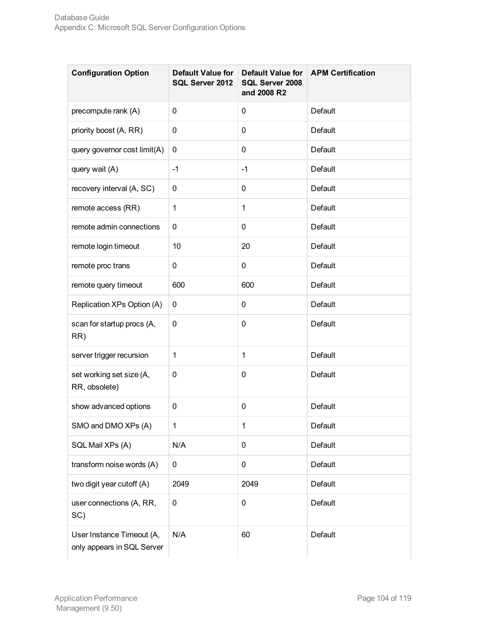| <b>Configuration Option</b>                             | Default Value for<br>SQL Server 2012 | <b>Default Value for</b><br>SQL Server 2008<br>and 2008 R2 | <b>APM Certification</b> |
|---------------------------------------------------------|--------------------------------------|------------------------------------------------------------|--------------------------|
| precompute rank (A)                                     | 0                                    | 0                                                          | Default                  |
| priority boost (A, RR)                                  | 0                                    | 0                                                          | Default                  |
| query governor cost limit(A)                            | 0                                    | 0                                                          | Default                  |
| query wait (A)                                          | $-1$                                 | $-1$                                                       | Default                  |
| recovery interval (A, SC)                               | 0                                    | 0                                                          | Default                  |
| remote access (RR)                                      | $\mathbf{1}$                         | $\mathbf 1$                                                | Default                  |
| remote admin connections                                | 0                                    | 0                                                          | Default                  |
| remote login timeout                                    | 10                                   | 20                                                         | Default                  |
| remote proc trans                                       | 0                                    | 0                                                          | Default                  |
| remote query timeout                                    | 600                                  | 600                                                        | Default                  |
| Replication XPs Option (A)                              | 0                                    | 0                                                          | Default                  |
| scan for startup procs (A,<br>RR)                       | 0                                    | 0                                                          | Default                  |
| server trigger recursion                                | 1                                    | $\mathbf 1$                                                | Default                  |
| set working set size (A,<br>RR, obsolete)               | 0                                    | 0                                                          | Default                  |
| show advanced options                                   | 0                                    | 0                                                          | Default                  |
| SMO and DMO XPs (A)                                     | 1                                    | $\mathbf 1$                                                | Default                  |
| SQL Mail XPs (A)                                        | N/A                                  | 0                                                          | Default                  |
| transform noise words (A)                               | 0                                    | 0                                                          | Default                  |
| two digit year cutoff (A)                               | 2049                                 | 2049                                                       | Default                  |
| user connections (A, RR,<br>SC)                         | 0                                    | 0                                                          | Default                  |
| User Instance Timeout (A,<br>only appears in SQL Server | N/A                                  | 60                                                         | Default                  |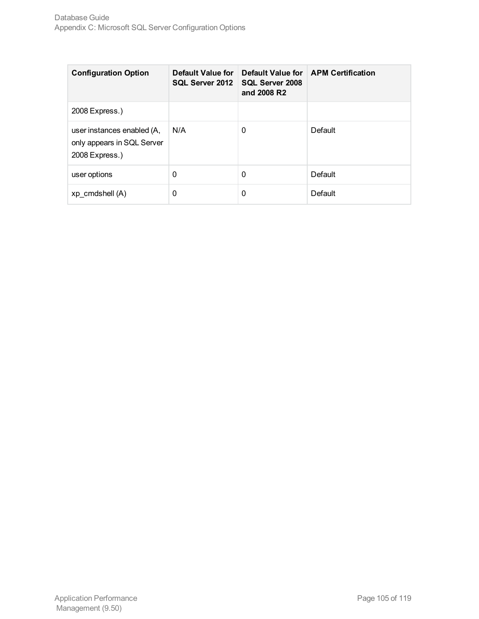| <b>Configuration Option</b>                                                | Default Value for<br>SQL Server 2012 | Default Value for<br><b>SQL Server 2008</b><br>and 2008 R2 | <b>APM Certification</b> |
|----------------------------------------------------------------------------|--------------------------------------|------------------------------------------------------------|--------------------------|
| 2008 Express.)                                                             |                                      |                                                            |                          |
| user instances enabled (A,<br>only appears in SQL Server<br>2008 Express.) | N/A                                  | 0                                                          | Default                  |
| user options                                                               | 0                                    | 0                                                          | Default                  |
| xp cmdshell (A)                                                            | 0                                    | 0                                                          | Default                  |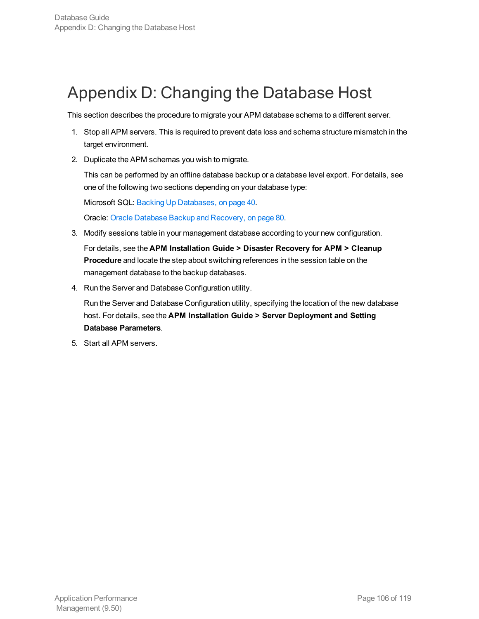# Appendix D: Changing the Database Host

This section describes the procedure to migrate your APM database schema to a different server.

- 1. Stop all APM servers. This is required to prevent data loss and schema structure mismatch in the target environment.
- 2. Duplicate the APM schemas you wish to migrate.

This can be performed by an offline database backup or a database level export. For details, see one of the following two sections depending on your database type:

Microsoft SQL: Backing Up [Databases,](#page-39-0) on page 40.

Oracle: Oracle Database Backup and [Recovery,](#page-79-0) on page 80.

3. Modify sessions table in your management database according to your new configuration.

For details, see the **APM Installation Guide > Disaster Recovery for APM > Cleanup Procedure** and locate the step about switching references in the session table on the management database to the backup databases.

4. Run the Server and Database Configuration utility.

Run the Server and Database Configuration utility, specifying the location of the new database host. For details, see the **APM Installation Guide > Server Deployment and Setting Database Parameters**.

5. Start all APM servers.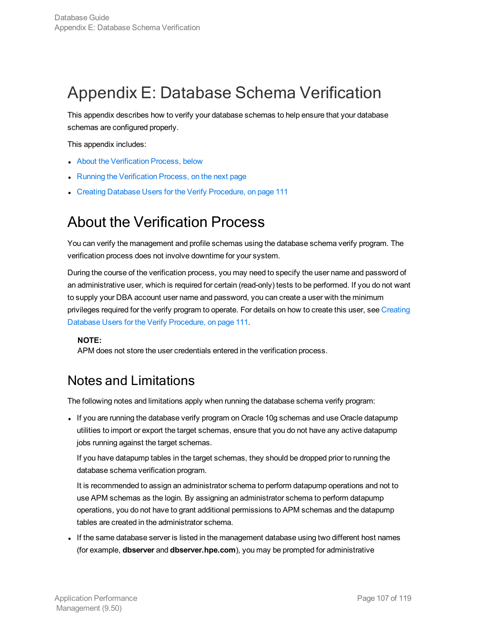# Appendix E: Database Schema Verification

This appendix describes how to verify your database schemas to help ensure that your database schemas are configured properly.

This appendix includes:

- About the [Verification](#page-106-0) Process, below
- Running the [Verification](#page-107-0) Process, on the next page
- <span id="page-106-0"></span>• Creating Database Users for the Verify [Procedure,](#page-110-0) on page 111

## About the Verification Process

You can verify the management and profile schemas using the database schema verify program. The verification process does not involve downtime for your system.

During the course of the verification process, you may need to specify the user name and password of an administrative user, which is required for certain (read-only) tests to be performed. If you do not want to supply your DBA account user name and password, you can create a user with the minimum privileges required for the verify program to operate. For details on how to create this user, see [Creating](#page-110-0) Database Users for the Verify [Procedure,](#page-110-0) on page 111.

#### **NOTE:**

APM does not store the user credentials entered in the verification process.

### Notes and Limitations

The following notes and limitations apply when running the database schema verify program:

• If you are running the database verify program on Oracle 10g schemas and use Oracle datapump utilities to import or export the target schemas, ensure that you do not have any active datapump jobs running against the target schemas.

If you have datapump tables in the target schemas, they should be dropped prior to running the database schema verification program.

It is recommended to assign an administrator schema to perform datapump operations and not to use APM schemas as the login. By assigning an administrator schema to perform datapump operations, you do not have to grant additional permissions to APM schemas and the datapump tables are created in the administrator schema.

If the same database server is listed in the management database using two different host names (for example, **dbserver** and **dbserver.hpe.com**), you may be prompted for administrative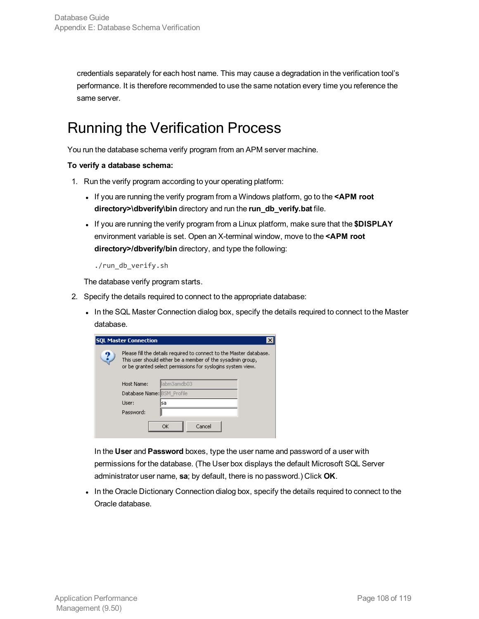credentials separately for each host name. This may cause a degradation in the verification tool's performance. It is therefore recommended to use the same notation every time you reference the same server.

## <span id="page-107-0"></span>Running the Verification Process

You run the database schema verify program from an APM server machine.

#### **To verify a database schema:**

- 1. Run the verify program according to your operating platform:
	- . If you are running the verify program from a Windows platform, go to the <APM root **directory>\dbverify\bin** directory and run the **run\_db\_verify.bat** file.
	- If you are running the verify program from a Linux platform, make sure that the **\$DISPLAY** environment variable is set. Open an X-terminal window, move to the **<APM root directory>/dbverify/bin** directory, and type the following:

./run\_db\_verify.sh

The database verify program starts.

- 2. Specify the details required to connect to the appropriate database:
	- In the SQL Master Connection dialog box, specify the details required to connect to the Master database.

| <b>SQL Master Connection</b> |                                                                                                                                                                                                  |              |  |  |
|------------------------------|--------------------------------------------------------------------------------------------------------------------------------------------------------------------------------------------------|--------------|--|--|
| ?                            | Please fill the details required to connect to the Master database.<br>This user should either be a member of the sysadmin group,<br>or be granted select permissions for syslogins system view. |              |  |  |
|                              | Host Name:                                                                                                                                                                                       | llabm3amdb03 |  |  |
|                              | Database Name: BSM Profile                                                                                                                                                                       |              |  |  |
|                              | User:                                                                                                                                                                                            | lsa          |  |  |
|                              | Password:                                                                                                                                                                                        |              |  |  |
|                              |                                                                                                                                                                                                  | Cancel<br>ОK |  |  |

In the **User** and **Password** boxes, type the user name and password of a user with permissions for the database. (The User box displays the default Microsoft SQL Server administrator user name, **sa**; by default, there is no password.) Click **OK**.

In the Oracle Dictionary Connection dialog box, specify the details required to connect to the Oracle database.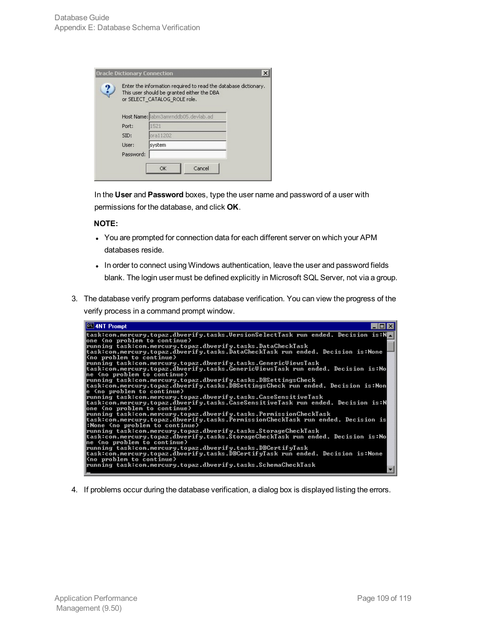|  |           | Enter the information required to read the database dictionary.<br>This user should be granted either the DBA<br>or SELECT CATALOG ROLE role. |  |
|--|-----------|-----------------------------------------------------------------------------------------------------------------------------------------------|--|
|  |           | Host Name: labm3amrnddb05.devlab.ad                                                                                                           |  |
|  | Port:     | 1521                                                                                                                                          |  |
|  | SID:      | ora11202                                                                                                                                      |  |
|  | User:     | system                                                                                                                                        |  |
|  | Password: |                                                                                                                                               |  |
|  |           | Cancel<br>OK                                                                                                                                  |  |

In the **User** and **Password** boxes, type the user name and password of a user with permissions for the database, and click **OK**.

#### **NOTE:**

- You are prompted for connection data for each different server on which your APM databases reside.
- In order to connect using Windows authentication, leave the user and password fields blank. The login user must be defined explicitly in Microsoft SQL Server, not via a group.
- 3. The database verify program performs database verification. You can view the progress of the verify process in a command prompt window.



4. If problems occur during the database verification, a dialog box is displayed listing the errors.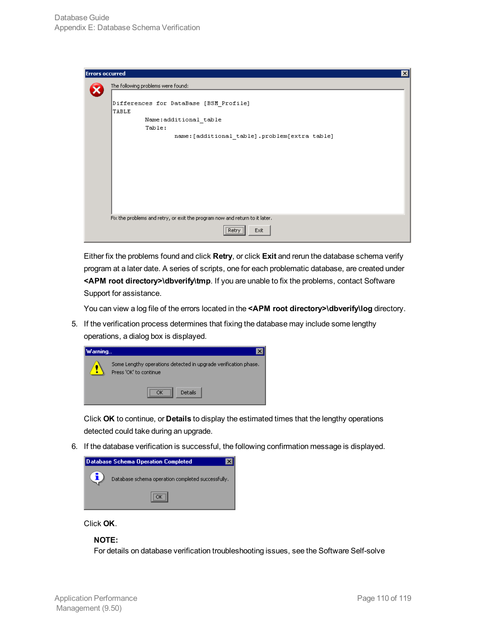| <b>Errors occurred</b>             | ×                                                                           |  |  |  |
|------------------------------------|-----------------------------------------------------------------------------|--|--|--|
| The following problems were found: |                                                                             |  |  |  |
|                                    | Differences for DataBase [BSM Profile]                                      |  |  |  |
| <b>TABLE</b>                       |                                                                             |  |  |  |
|                                    | Name:additional table                                                       |  |  |  |
|                                    | Table:                                                                      |  |  |  |
|                                    | name: [additional table].problem[extra table]                               |  |  |  |
|                                    |                                                                             |  |  |  |
|                                    |                                                                             |  |  |  |
|                                    |                                                                             |  |  |  |
|                                    |                                                                             |  |  |  |
|                                    |                                                                             |  |  |  |
|                                    |                                                                             |  |  |  |
|                                    |                                                                             |  |  |  |
|                                    |                                                                             |  |  |  |
|                                    | Fix the problems and retry, or exit the program now and return to it later. |  |  |  |
|                                    | <br>Exit<br>Retry                                                           |  |  |  |

Either fix the problems found and click **Retry**, or click **Exit** and rerun the database schema verify program at a later date. A series of scripts, one for each problematic database, are created under **<APM root directory>\dbverify\tmp**. If you are unable to fix the problems, contact Software Support for assistance.

You can view a log file of the errors located in the **<APM root directory>\dbverify\log** directory.

5. If the verification process determines that fixing the database may include some lengthy operations, a dialog box is displayed.

| Warning |                                                                                           |  |
|---------|-------------------------------------------------------------------------------------------|--|
|         | Some Lengthy operations detected in upgrade verification phase.<br>Press 'OK' to continue |  |
|         | Details                                                                                   |  |

Click **OK** to continue, or **Details** to display the estimated times that the lengthy operations detected could take during an upgrade.

6. If the database verification is successful, the following confirmation message is displayed.



Click **OK**.

#### **NOTE:**

For details on database verification troubleshooting issues, see the Software Self-solve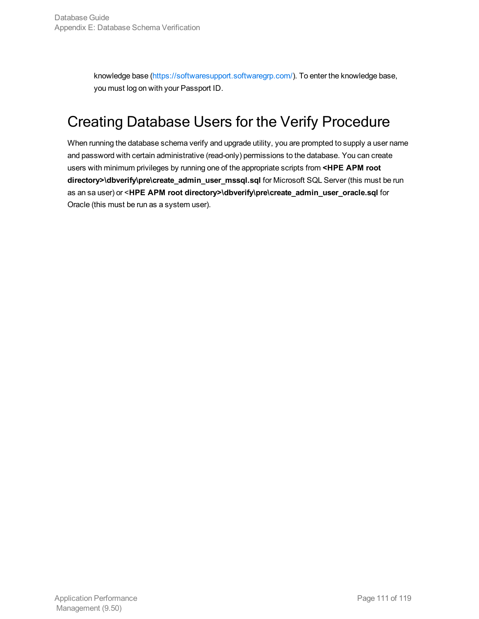knowledge base [\(https://softwaresupport.softwaregrp.com/](http://support.openview.hp.com/selfsolve/documents)). To enter the knowledge base, you must log on with your Passport ID.

### Creating Database Users for the Verify Procedure

When running the database schema verify and upgrade utility, you are prompted to supply a user name and password with certain administrative (read-only) permissions to the database. You can create users with minimum privileges by running one of the appropriate scripts from **<HPE APM root directory>\dbverify\pre\create\_admin\_user\_mssql.sql** for Microsoft SQL Server (this must be run as an sa user) or <**HPE APM root directory>\dbverify\pre\create\_admin\_user\_oracle.sql** for Oracle (this must be run as a system user).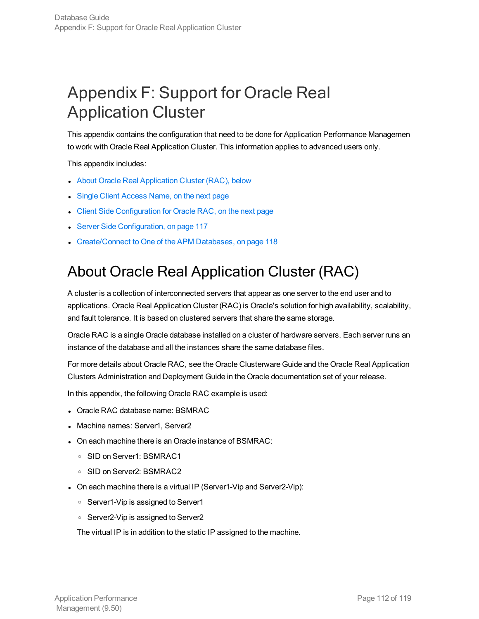# Appendix F: Support for Oracle Real Application Cluster

This appendix contains the configuration that need to be done for Application Performance Managemen to work with Oracle Real Application Cluster. This information applies to advanced users only.

This appendix includes:

- About Oracle Real [Application](#page-111-0) Cluster (RAC), below
- Single Client [Access](#page-112-0) Name, on the next page
- Client Side [Configuration](#page-112-1) for Oracle RAC, on the next page
- **.** Server Side [Configuration,](#page-116-0) on page 117
- <span id="page-111-0"></span>• [Create/Connect](#page-117-0) to One of the APM Databases, on page 118

### About Oracle Real Application Cluster (RAC)

A cluster is a collection of interconnected servers that appear as one server to the end user and to applications. Oracle Real Application Cluster (RAC) is Oracle's solution for high availability, scalability, and fault tolerance. It is based on clustered servers that share the same storage.

Oracle RAC is a single Oracle database installed on a cluster of hardware servers. Each server runs an instance of the database and all the instances share the same database files.

For more details about Oracle RAC, see the Oracle Clusterware Guide and the Oracle Real Application Clusters Administration and Deployment Guide in the Oracle documentation set of your release.

In this appendix, the following Oracle RAC example is used:

- Oracle RAC database name: BSMRAC
- Machine names: Server1, Server2
- On each machine there is an Oracle instance of BSMRAC:
	- <sup>o</sup> SID on Server1: BSMRAC1
	- <sup>o</sup> SID on Server2: BSMRAC2
- On each machine there is a virtual IP (Server1-Vip and Server2-Vip):
	- <sup>o</sup> Server1-Vip is assigned to Server1
	- <sup>o</sup> Server2-Vip is assigned to Server2

The virtual IP is in addition to the static IP assigned to the machine.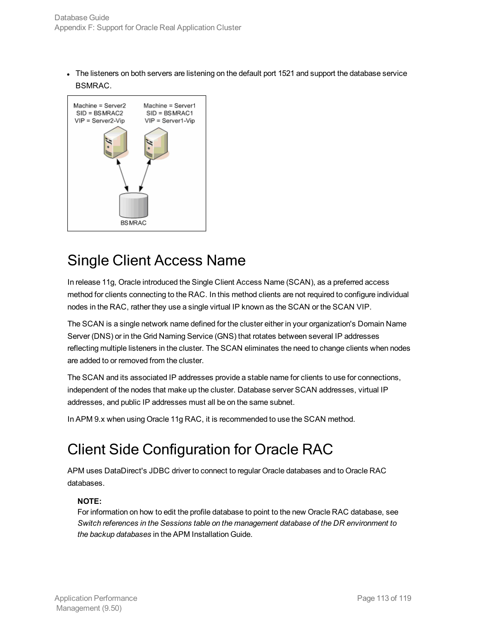The listeners on both servers are listening on the default port 1521 and support the database service BSMRAC.



### <span id="page-112-0"></span>Single Client Access Name

In release 11g, Oracle introduced the Single Client Access Name (SCAN), as a preferred access method for clients connecting to the RAC. In this method clients are not required to configure individual nodes in the RAC, rather they use a single virtual IP known as the SCAN or the SCAN VIP.

The SCAN is a single network name defined for the cluster either in your organization's Domain Name Server (DNS) or in the Grid Naming Service (GNS) that rotates between several IP addresses reflecting multiple listeners in the cluster. The SCAN eliminates the need to change clients when nodes are added to or removed from the cluster.

The SCAN and its associated IP addresses provide a stable name for clients to use for connections, independent of the nodes that make up the cluster. Database server SCAN addresses, virtual IP addresses, and public IP addresses must all be on the same subnet.

<span id="page-112-1"></span>In APM 9.x when using Oracle 11g RAC, it is recommended to use the SCAN method.

## Client Side Configuration for Oracle RAC

APM uses DataDirect's JDBC driver to connect to regular Oracle databases and to Oracle RAC databases.

#### **NOTE:**

For information on how to edit the profile database to point to the new Oracle RAC database, see *Switch references in the Sessions table on the management database of the DR environment to the backup databases* in the APM Installation Guide.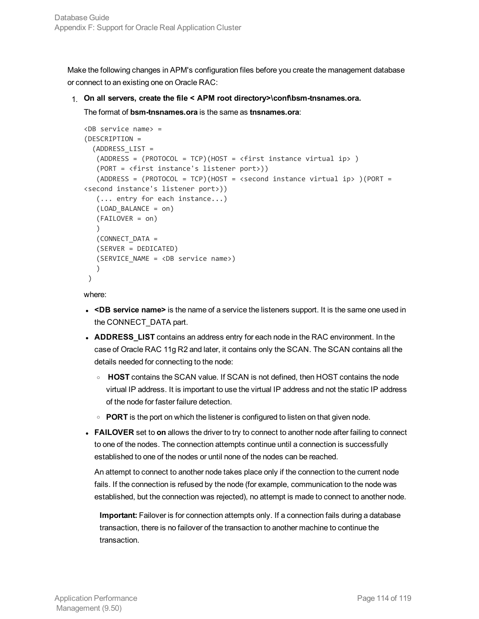Make the following changes in APM's configuration files before you create the management database or connect to an existing one on Oracle RAC:

#### 1. **On all servers, create the file < APM root directory>\conf\bsm-tnsnames.ora.**

The format of **bsm-tnsnames.ora** is the same as **tnsnames.ora**:

```
<DB service name> =
(DESCRIPTION =
  (ADDRESS_LIST =
   (ADDRESS = (PROTOCOL = TCP)(HOST = <first instance virtual ip> )
   (PORT = <first instance's listener port>))
   (ADDRESS = (PROTOCOL = TCP)(HOST = <i>&lt;</i>second instance virtual ip<math>)</math> (PORT =<second instance's listener port>))
   (... entry for each instance...)
   (LOAD_BALANCE = on)
   (FAILOVER = on)
   \lambda(CONNECT_DATA =
   (SERVER = DEDICATED)
   (SERVICE_NAME = <DB service name>)
   )
)
```
where:

- <sup>l</sup> **<DB service name>** is the name of a service the listeners support. It is the same one used in the CONNECT\_DATA part.
- **ADDRESS\_LIST** contains an address entry for each node in the RAC environment. In the case of Oracle RAC 11g R2 and later, it contains only the SCAN. The SCAN contains all the details needed for connecting to the node:
	- <sup>o</sup> **HOST** contains the SCAN value. If SCAN is not defined, then HOST contains the node virtual IP address. It is important to use the virtual IP address and not the static IP address of the node for faster failure detection.
	- **PORT** is the port on which the listener is configured to listen on that given node.
- **FAILOVER** set to on allows the driver to try to connect to another node after failing to connect to one of the nodes. The connection attempts continue until a connection is successfully established to one of the nodes or until none of the nodes can be reached.

An attempt to connect to another node takes place only if the connection to the current node fails. If the connection is refused by the node (for example, communication to the node was established, but the connection was rejected), no attempt is made to connect to another node.

**Important:** Failover is for connection attempts only. If a connection fails during a database transaction, there is no failover of the transaction to another machine to continue the transaction.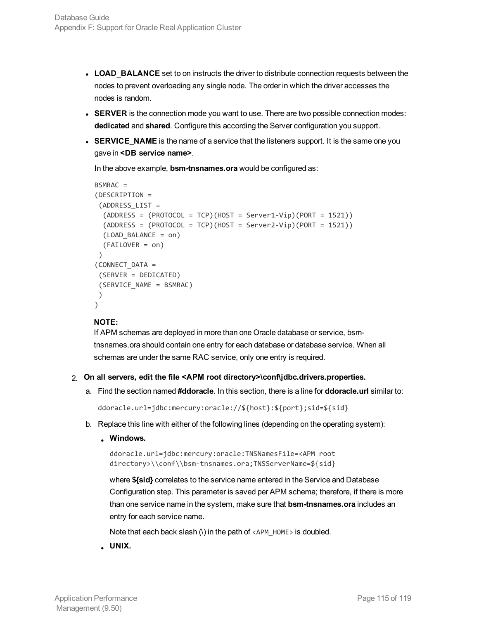- **LOAD\_BALANCE** set to on instructs the driver to distribute connection requests between the nodes to prevent overloading any single node. The order in which the driver accesses the nodes is random.
- **SERVER** is the connection mode you want to use. There are two possible connection modes: **dedicated** and **shared**. Configure this according the Server configuration you support.
- **SERVICE\_NAME** is the name of a service that the listeners support. It is the same one you gave in **<DB service name>**.

In the above example, **bsm-tnsnames.ora** would be configured as:

```
BSMRAC =
(DESCRIPTION =
 (ADDRESS_LIST =
  (ADDRESS = (PROTOCOL = TCP)(HOST = Server1-Vip)(PORT = 1521))(ADDRESS = (PROTOCOL = TCP)(HOST = Server2-Vip)(PORT = 1521))(LOAD_BALANCE = on)
  (FAILOVER = on)
 )
(CONNECT_DATA =
 (SERVER = DEDICATED)
 (SERVICE_NAME = BSMRAC)
 )
)
```
#### **NOTE:**

If APM schemas are deployed in more than one Oracle database or service, bsmtnsnames.ora should contain one entry for each database or database service. When all schemas are under the same RAC service, only one entry is required.

#### 2. **On all servers, edit the file <APM root directory>\conf\jdbc.drivers.properties.**

a. Find the section named **#ddoracle**. In this section, there is a line for **ddoracle.url** similar to:

```
ddoracle.url=jdbc:mercury:oracle://${host}:${port};sid=${sid}
```
- b. Replace this line with either of the following lines (depending on the operating system):
	- <sup>l</sup> **Windows.**

```
ddoracle.url=jdbc:mercury:oracle:TNSNamesFile=<APM root
directory>\\conf\\bsm-tnsnames.ora;TNSServerName=${sid}
```
where **\${sid}** correlates to the service name entered in the Service and Database Configuration step. This parameter is saved per APM schema; therefore, if there is more than one service name in the system, make sure that **bsm-tnsnames.ora** includes an entry for each service name.

Note that each back slash (\) in the path of <APM\_HOME> is doubled.

<sup>l</sup> **UNIX.**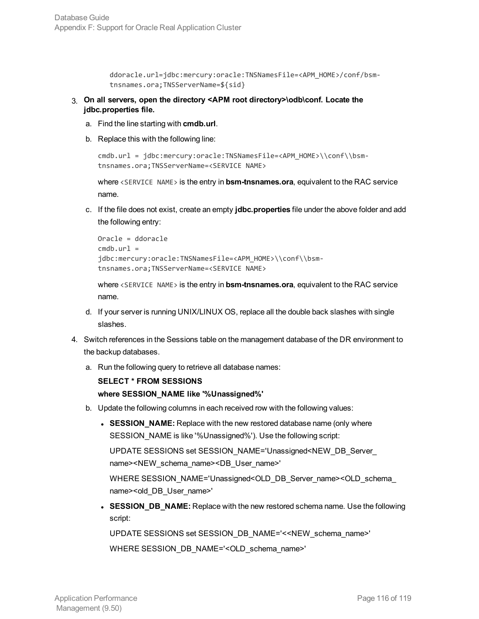```
ddoracle.url=jdbc:mercury:oracle:TNSNamesFile=<APM_HOME>/conf/bsm-
tnsnames.ora;TNSServerName=${sid}
```
- 3. **On all servers, open the directory <APM root directory>\odb\conf. Locate the jdbc.properties file.**
	- a. Find the line starting with **cmdb.url**.
	- b. Replace this with the following line:

```
cmdb.url = jdbc:mercury:oracle:TNSNamesFile=<APM_HOME>\\conf\\bsm-
tnsnames.ora;TNSServerName=<SERVICE NAME>
```
where <SERVICE NAME> is the entry in **bsm-tnsnames.ora**, equivalent to the RAC service name.

c. If the file does not exist, create an empty **jdbc.properties** file under the above folder and add the following entry:

```
Oracle = ddoracle
cmdb.url =jdbc:mercury:oracle:TNSNamesFile=<APM_HOME>\\conf\\bsm-
tnsnames.ora;TNSServerName=<SERVICE NAME>
```
where <SERVICE NAME> is the entry in **bsm-tnsnames.ora**, equivalent to the RAC service name.

- d. If your server is running UNIX/LINUX OS, replace all the double back slashes with single slashes.
- 4. Switch references in the Sessions table on the management database of the DR environment to the backup databases.
	- a. Run the following query to retrieve all database names:

```
SELECT * FROM SESSIONS
where SESSION_NAME like '%Unassigned%'
```
- b. Update the following columns in each received row with the following values:
	- **SESSION\_NAME:** Replace with the new restored database name (only where SESSION\_NAME is like '%Unassigned%'). Use the following script:

UPDATE SESSIONS set SESSION\_NAME='Unassigned<NEW\_DB\_Server\_ name><NEW\_schema\_name><DB\_User\_name>'

WHERE SESSION\_NAME='Unassigned<OLD\_DB\_Server\_name><OLD\_schema name><old\_DB\_User\_name>'

**SESSION\_DB\_NAME:** Replace with the new restored schema name. Use the following script:

UPDATE SESSIONS set SESSION\_DB\_NAME='<<NEW\_schema\_name>'

WHERE SESSION\_DB\_NAME='<OLD\_schema\_name>'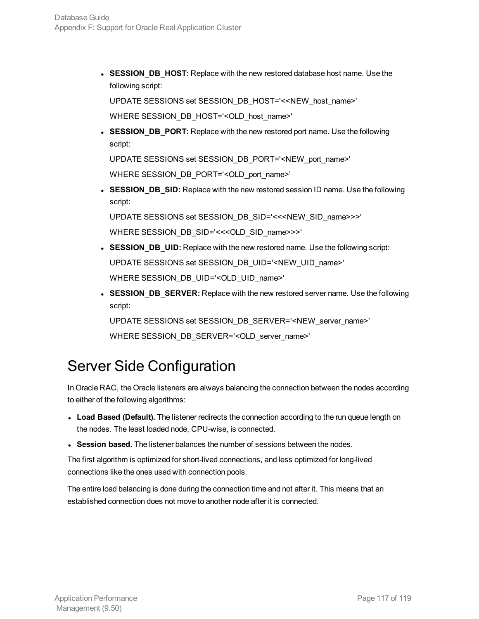**SESSION\_DB\_HOST:** Replace with the new restored database host name. Use the following script:

UPDATE SESSIONS set SESSION\_DB\_HOST='<<NEW\_host\_name>'

WHERE SESSION\_DB\_HOST='<OLD\_host\_name>'

**SESSION\_DB\_PORT:** Replace with the new restored port name. Use the following script:

UPDATE SESSIONS set SESSION\_DB\_PORT='<NEW\_port\_name>'

WHERE SESSION\_DB\_PORT='<OLD\_port\_name>'

**SESSION\_DB\_SID:** Replace with the new restored session ID name. Use the following script:

UPDATE SESSIONS set SESSION\_DB\_SID='<<<NEW\_SID\_name>>>' WHERE SESSION\_DB\_SID='<<<OLD\_SID\_name>>>'

- **SESSION\_DB\_UID:** Replace with the new restored name. Use the following script: UPDATE SESSIONS set SESSION\_DB\_UID='<NEW\_UID\_name>' WHERE SESSION\_DB\_UID='<OLD\_UID\_name>'
- **SESSION\_DB\_SERVER:** Replace with the new restored server name. Use the following script:

UPDATE SESSIONS set SESSION\_DB\_SERVER='<NEW\_server\_name>' WHERE SESSION\_DB\_SERVER='<OLD\_server\_name>'

### <span id="page-116-0"></span>Server Side Configuration

In Oracle RAC, the Oracle listeners are always balancing the connection between the nodes according to either of the following algorithms:

- **Load Based (Default).** The listener redirects the connection according to the run queue length on the nodes. The least loaded node, CPU-wise, is connected.
- **Session based.** The listener balances the number of sessions between the nodes.

The first algorithm is optimized for short-lived connections, and less optimized for long-lived connections like the ones used with connection pools.

The entire load balancing is done during the connection time and not after it. This means that an established connection does not move to another node after it is connected.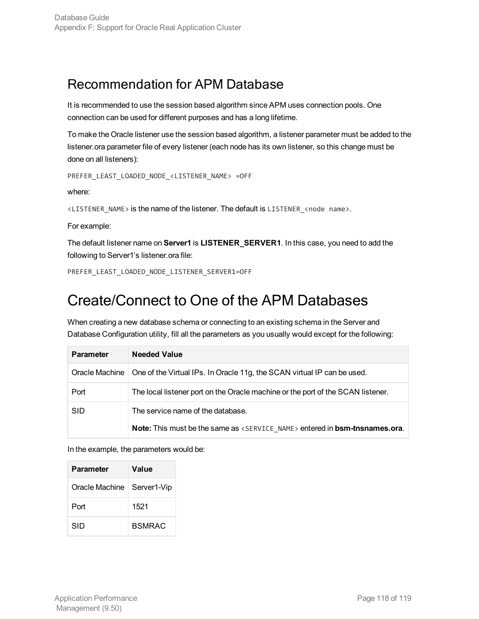### Recommendation for APM Database

It is recommended to use the session based algorithm since APM uses connection pools. One connection can be used for different purposes and has a long lifetime.

To make the Oracle listener use the session based algorithm, a listener parameter must be added to the listener.ora parameter file of every listener (each node has its own listener, so this change must be done on all listeners):

```
PREFER_LEAST_LOADED_NODE_<LISTENER_NAME> =OFF
```
where:

<LISTENER\_NAME> is the name of the listener. The default is LISTENER\_<node name>.

For example:

The default listener name on **Server1** is **LISTENER\_SERVER1**. In this case, you need to add the following to Server1's listener.ora file:

<span id="page-117-0"></span>PREFER\_LEAST\_LOADED\_NODE\_LISTENER\_SERVER1=OFF

### Create/Connect to One of the APM Databases

When creating a new database schema or connecting to an existing schema in the Server and Database Configuration utility, fill all the parameters as you usually would except for the following:

| <b>Parameter</b> | <b>Needed Value</b>                                                                     |
|------------------|-----------------------------------------------------------------------------------------|
| Oracle Machine   | One of the Virtual IPs. In Oracle 11g, the SCAN virtual IP can be used.                 |
| Port             | The local listener port on the Oracle machine or the port of the SCAN listener.         |
| <b>SID</b>       | The service name of the database.                                                       |
|                  | Note: This must be the same as <service name=""> entered in bsm-tnsnames.ora.</service> |

In the example, the parameters would be:

| <b>Parameter</b>             | Value         |
|------------------------------|---------------|
| Oracle Machine   Server1-Vip |               |
| Port                         | 1521          |
| SID                          | <b>BSMRAC</b> |